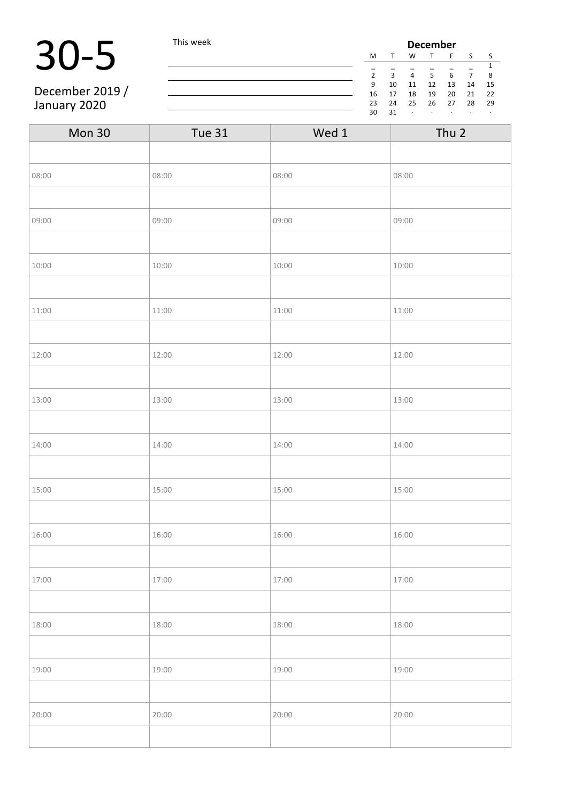### 30-5 This week

December 2019 / January 2020

| <b>December</b> |    |    |    |    |    |    |  |
|-----------------|----|----|----|----|----|----|--|
| M               |    | W  |    | F  | S  | S  |  |
| 1               |    |    |    |    |    |    |  |
| $\overline{2}$  | ς  | 4  | 5  | 6  |    | 8  |  |
| 9               | 10 | 11 | 12 | 13 | 14 | 15 |  |
| 16              | 17 | 18 | 19 | 20 | 21 | 22 |  |
| 23              | 24 | 25 | 26 | 27 | 28 | 29 |  |
| 30              | 31 | ٠  | ٠  | ٠  |    | ٠  |  |

| Mon 30 | <b>Tue 31</b> | Wed 1 | Thu 2 |
|--------|---------------|-------|-------|
|        |               |       |       |
| 08:00  | 08:00         | 08:00 | 08:00 |
|        |               |       |       |
| 09:00  | 09:00         | 09:00 | 09:00 |
|        |               |       |       |
| 10:00  | 10:00         | 10:00 | 10:00 |
|        |               |       |       |
| 11:00  | 11:00         | 11:00 | 11:00 |
|        |               |       |       |
| 12:00  | 12:00         | 12:00 | 12:00 |
|        |               |       |       |
| 13:00  | 13:00         | 13:00 | 13:00 |
|        |               |       |       |
| 14:00  | 14:00         | 14:00 | 14:00 |
|        |               |       |       |
| 15:00  | 15:00         | 15:00 | 15:00 |
|        |               |       |       |
| 16:00  | 16:00         | 16:00 | 16:00 |
|        |               |       |       |
| 17:00  | 17:00         | 17:00 | 17:00 |
|        |               |       |       |
| 18:00  | 18:00         | 18:00 | 18:00 |
|        |               |       |       |
| 19:00  | 19:00         | 19:00 | 19:00 |
|        |               |       |       |
| 20:00  | 20:00         | 20:00 | 20:00 |
|        |               |       |       |

<u> 1980 - Johann Barn, mars an t-Amerikaansk ferske ferhald (</u>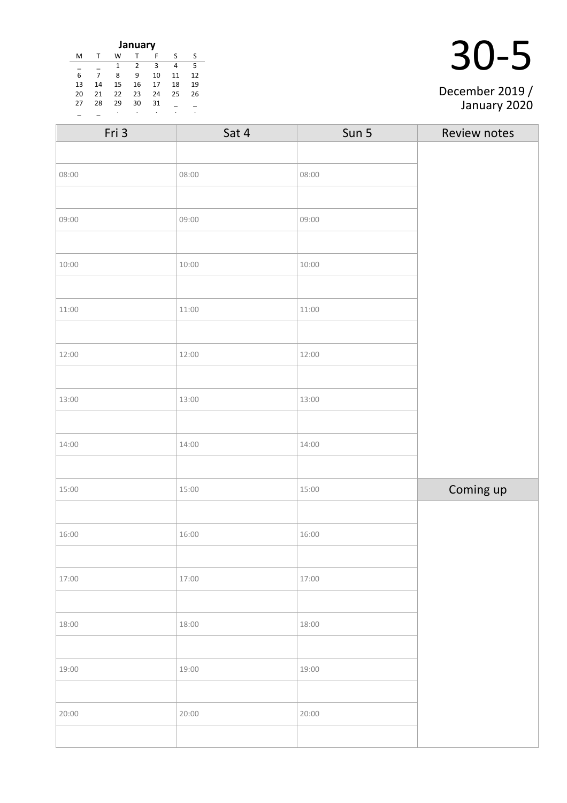| January               |    |    |    |    |    |    |  |
|-----------------------|----|----|----|----|----|----|--|
| м                     |    | w  |    | F  | S  | S  |  |
| 3<br>5<br>2<br>4<br>1 |    |    |    |    |    |    |  |
| 6                     |    | 8  | 9  | 10 | 11 | 12 |  |
| 13                    | 14 | 15 | 16 | 17 | 18 | 19 |  |
| 20                    | 21 | 22 | 23 | 24 | 25 | 26 |  |
| 27                    | 28 | 29 | 30 | 31 |    |    |  |
|                       |    |    | ٠  |    |    | ٠  |  |

| Fri 3 | Sat 4 | Sun 5 | Review notes |
|-------|-------|-------|--------------|
|       |       |       |              |
| 08:00 | 08:00 | 08:00 |              |
|       |       |       |              |
| 09:00 | 09:00 | 09:00 |              |
|       |       |       |              |
| 10:00 | 10:00 | 10:00 |              |
|       |       |       |              |
| 11:00 | 11:00 | 11:00 |              |
|       |       |       |              |
| 12:00 | 12:00 | 12:00 |              |
|       |       |       |              |
| 13:00 | 13:00 | 13:00 |              |
|       |       |       |              |
| 14:00 | 14:00 | 14:00 |              |
|       |       |       |              |
| 15:00 | 15:00 | 15:00 | Coming up    |
|       |       |       |              |
| 16:00 | 16:00 | 16:00 |              |
|       |       |       |              |
| 17:00 | 17:00 | 17:00 |              |
|       |       |       |              |
| 18:00 | 18:00 | 18:00 |              |
|       |       |       |              |
| 19:00 | 19:00 | 19:00 |              |
|       |       |       |              |
| 20:00 | 20:00 | 20:00 |              |
|       |       |       |              |

December 2019 / January 2020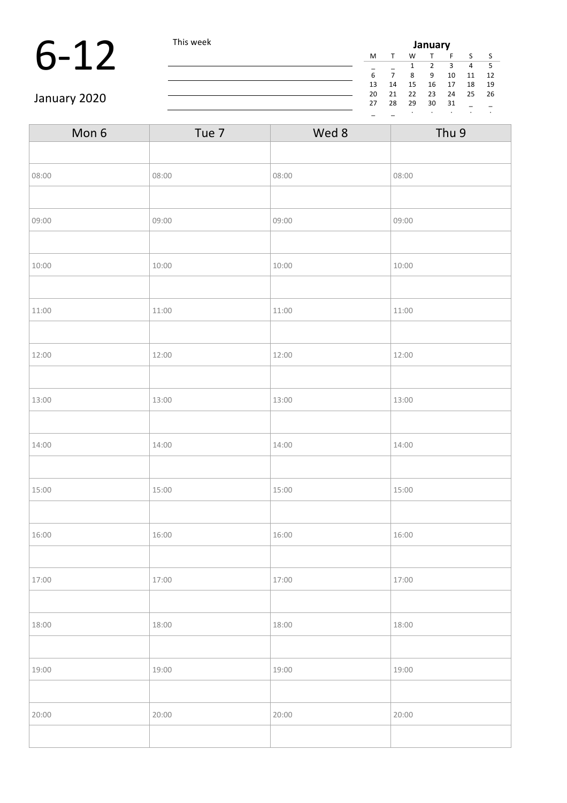#### 6-12 This week  $\frac{J_{\text{max}}}{5\frac{1}{2}}$   $\frac{M_{\text{max}}}{5\frac{1}{2}}$

| January |    |    |    |    |    |    |  |
|---------|----|----|----|----|----|----|--|
| M       |    | w  |    | F  | S  | S  |  |
|         |    | 1  | 2  | з  | 4  | 5  |  |
| 6       |    | 8  | 9  | 10 | 11 | 12 |  |
| 13      | 14 | 15 | 16 | 17 | 18 | 19 |  |
| 20      | 21 | 22 | 23 | 24 | 25 | 26 |  |
| 27      | 28 | 29 | 30 | 31 |    |    |  |
|         |    | ٠  |    |    |    |    |  |

January 2020

| Mon 6 | Tue 7 | Wed 8 | Thu 9 |
|-------|-------|-------|-------|
|       |       |       |       |
| 08:00 | 08:00 | 08:00 | 08:00 |
|       |       |       |       |
| 09:00 | 09:00 | 09:00 | 09:00 |
|       |       |       |       |
| 10:00 | 10:00 | 10:00 | 10:00 |
|       |       |       |       |
| 11:00 | 11:00 | 11:00 | 11:00 |
|       |       |       |       |
| 12:00 | 12:00 | 12:00 | 12:00 |
|       |       |       |       |
| 13:00 | 13:00 | 13:00 | 13:00 |
|       |       |       |       |
| 14:00 | 14:00 | 14:00 | 14:00 |
|       |       |       |       |
| 15:00 | 15:00 | 15:00 | 15:00 |
|       |       |       |       |
| 16:00 | 16:00 | 16:00 | 16:00 |
|       |       |       |       |
| 17:00 | 17:00 | 17:00 | 17:00 |
|       |       |       |       |
| 18:00 | 18:00 | 18:00 | 18:00 |
|       |       |       |       |
| 19:00 | 19:00 | 19:00 | 19:00 |
|       |       |       |       |
| 20:00 | 20:00 | 20:00 | 20:00 |
|       |       |       |       |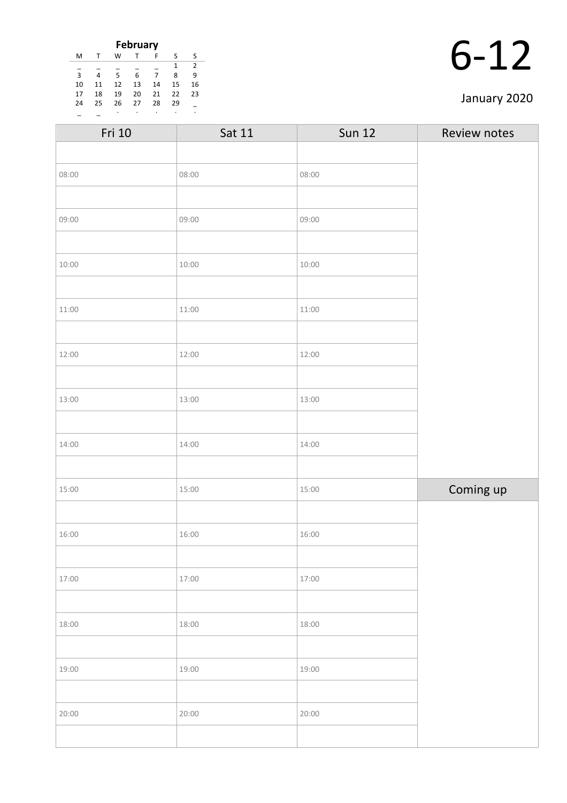| <b>February</b> |    |    |    |    |    |                |
|-----------------|----|----|----|----|----|----------------|
| M               |    | W  |    | F  | ς  | S              |
|                 |    |    |    |    | 1  | $\overline{2}$ |
| 3               | 4  | 5  | 6  | 7  | 8  | 9              |
| 10              | 11 | 12 | 13 | 14 | 15 | 16             |
| 17              | 18 | 19 | 20 | 21 | 22 | 23             |
| 24              | 25 | 26 | 27 | 28 | 29 |                |
|                 |    | ٠  |    | ٠  |    |                |

#### January 2020

| Sat 11 | <b>Sun 12</b> | Review notes |
|--------|---------------|--------------|
|        |               |              |
| 08:00  | 08:00         |              |
|        |               |              |
| 09:00  | 09:00         |              |
|        |               |              |
| 10:00  | 10:00         |              |
|        |               |              |
| 11:00  | 11:00         |              |
|        |               |              |
| 12:00  | 12:00         |              |
|        |               |              |
| 13:00  | 13:00         |              |
|        |               |              |
| 14:00  | 14:00         |              |
|        |               |              |
| 15:00  | 15:00         | Coming up    |
|        |               |              |
| 16:00  | 16:00         |              |
|        |               |              |
| 17:00  | 17:00         |              |
|        |               |              |
| 18:00  | 18:00         |              |
|        |               |              |
| 19:00  | 19:00         |              |
|        |               |              |
| 20:00  | 20:00         |              |
|        |               |              |
|        |               |              |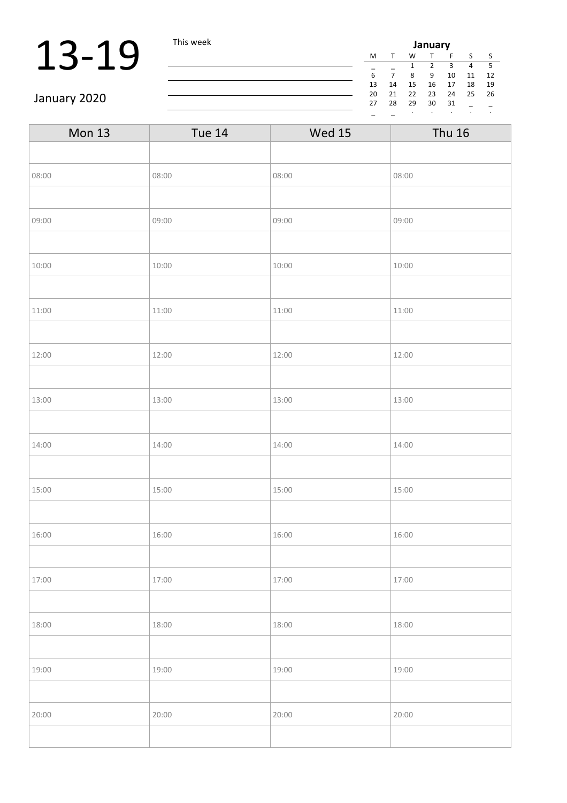### 13-19 This week

| January |    |    |    |    |    |    |  |
|---------|----|----|----|----|----|----|--|
| м       |    | W  |    | F  | S  | S  |  |
|         |    | 1  | 2  | 3  | 4  | 5  |  |
| 6       |    | 8  | 9  | 10 | 11 | 12 |  |
| 13      | 14 | 15 | 16 | 17 | 18 | 19 |  |
| 20      | 21 | 22 | 23 | 24 | 25 | 26 |  |
| 27      | 28 | 29 | 30 | 31 |    |    |  |
|         |    | ٠  | ٠  | ٠  | ٠  | ٠  |  |
|         |    |    |    |    |    |    |  |

January 2020

| <b>Mon 13</b> | <b>Tue 14</b> | <b>Wed 15</b> | <b>Thu 16</b> |
|---------------|---------------|---------------|---------------|
|               |               |               |               |
| 08:00         | 08:00         | 08:00         | 08:00         |
|               |               |               |               |
| 09:00         | 09:00         | 09:00         | 09:00         |
|               |               |               |               |
| 10:00         | 10:00         | 10:00         | 10:00         |
|               |               |               |               |
| 11:00         | 11:00         | 11:00         | 11:00         |
|               |               |               |               |
| 12:00         | 12:00         | 12:00         | 12:00         |
|               |               |               |               |
| 13:00         | 13:00         | 13:00         | 13:00         |
|               |               |               |               |
| 14:00         | 14:00         | 14:00         | 14:00         |
|               |               |               |               |
| 15:00         | 15:00         | 15:00         | 15:00         |
|               |               |               |               |
| 16:00         | 16:00         | 16:00         | 16:00         |
|               |               |               |               |
| 17:00         | 17:00         | 17:00         | 17:00         |
|               |               |               |               |
| 18:00         | 18:00         | 18:00         | 18:00         |
|               |               |               |               |
| 19:00         | 19:00         | 19:00         | 19:00         |
|               |               |               |               |
| 20:00         | 20:00         | 20:00         | 20:00         |
|               |               |               |               |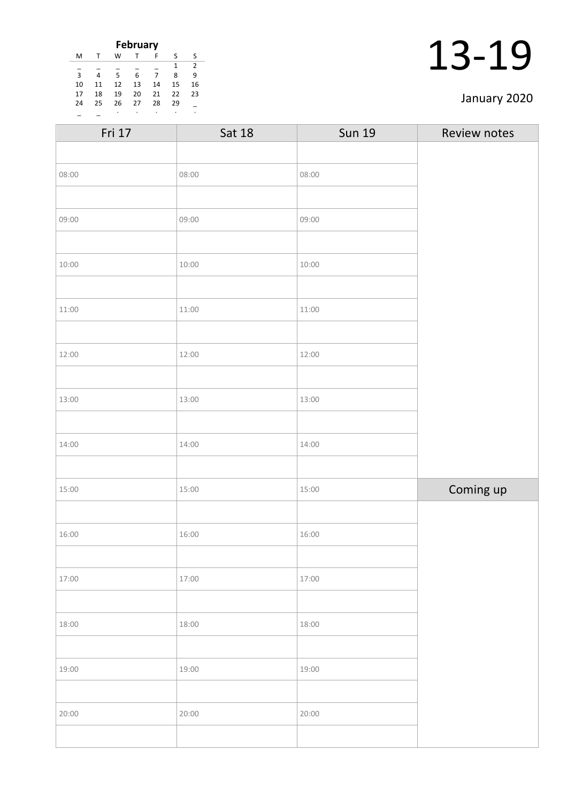| <b>February</b> |    |    |    |    |    |    |
|-----------------|----|----|----|----|----|----|
| M               |    | W  |    | F  | S  | S  |
|                 |    |    |    |    | 1  | 2  |
| $\overline{3}$  | 4  | 5  | 6  | 7  | ጸ  | ٩  |
| 10              | 11 | 12 | 13 | 14 | 15 | 16 |
| 17              | 18 | 19 | 20 | 21 | 22 | 23 |
| 24              | 25 | 26 | 27 | 28 | 29 |    |
|                 |    |    |    | ٠  |    |    |

#### January 2020

| Fri 17 | <b>Sat 18</b> | <b>Sun 19</b> | Review notes |
|--------|---------------|---------------|--------------|
|        |               |               |              |
| 08:00  | 08:00         | 08:00         |              |
|        |               |               |              |
| 09:00  | 09:00         | 09:00         |              |
|        |               |               |              |
| 10:00  | 10:00         | 10:00         |              |
|        |               |               |              |
| 11:00  | 11:00         | 11:00         |              |
|        |               |               |              |
| 12:00  | 12:00         | 12:00         |              |
|        |               |               |              |
| 13:00  | 13:00         | 13:00         |              |
|        |               |               |              |
| 14:00  | 14:00         | 14:00         |              |
|        |               |               |              |
| 15:00  | 15:00         | 15:00         | Coming up    |
|        |               |               |              |
| 16:00  | 16:00         | 16:00         |              |
|        |               |               |              |
| 17:00  | 17:00         | 17:00         |              |
|        |               |               |              |
| 18:00  | 18:00         | 18:00         |              |
|        |               |               |              |
| 19:00  | 19:00         | 19:00         |              |
|        |               |               |              |
| 20:00  | 20:00         | 20:00         |              |
|        |               |               |              |
|        |               |               |              |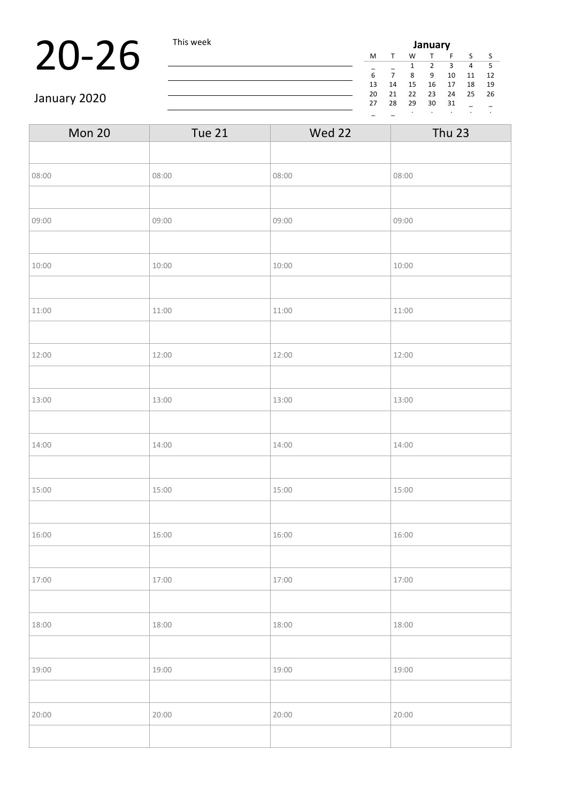### **20-26** This week **July 20-26** This week **July 20-26** The Mass  $\frac{M_{\frac{1}{6}}}{\frac{1}{6} + \frac{1}{7} + \frac{1}{8}}$

|    |    |    | January       |    |    |    |  |
|----|----|----|---------------|----|----|----|--|
| M  |    | w  |               | F  | S  | S  |  |
|    |    | 1  | $\mathcal{P}$ | 3  | 4  | 5  |  |
| 6  |    | 8  | q             | 10 | 11 | 12 |  |
| 13 | 14 | 15 | 16            | 17 | 18 | 19 |  |
| 20 | 21 | 22 | 23            | 24 | 25 | 26 |  |
| 27 | 28 | 29 | 30            | 31 |    |    |  |
|    |    |    |               |    |    | ٠  |  |

January 2020

| Tue 21 | Wed 22 | <b>Thu 23</b> |
|--------|--------|---------------|
|        |        |               |
| 08:00  | 08:00  | 08:00         |
|        |        |               |
| 09:00  | 09:00  | 09:00         |
|        |        |               |
| 10:00  | 10:00  | 10:00         |
|        |        |               |
| 11:00  | 11:00  | 11:00         |
|        |        |               |
| 12:00  | 12:00  | 12:00         |
|        |        |               |
| 13:00  | 13:00  | 13:00         |
|        |        |               |
| 14:00  | 14:00  | 14:00         |
|        |        |               |
| 15:00  | 15:00  | 15:00         |
|        |        |               |
| 16:00  | 16:00  | 16:00         |
|        |        |               |
| 17:00  | 17:00  | 17:00         |
|        |        |               |
| 18:00  | 18:00  | 18:00         |
|        |        |               |
| 19:00  | 19:00  | 19:00         |
|        |        |               |
| 20:00  | 20:00  | 20:00         |
|        |        |               |
|        |        |               |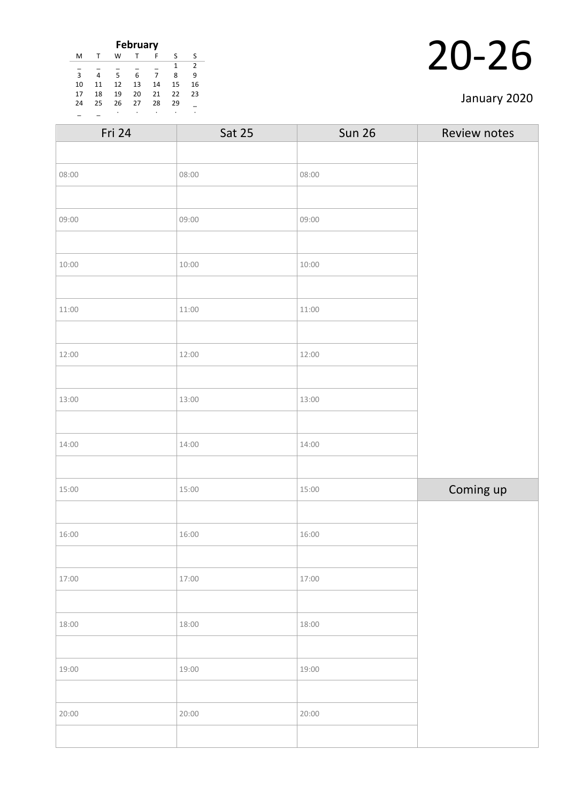|                |    |    | <b>February</b> |    |    |    |
|----------------|----|----|-----------------|----|----|----|
| M              |    | W  |                 | F  | S  | ς  |
|                |    |    |                 |    | 1  | 2  |
| $\overline{3}$ | 4  | 5  | 6               | 7  | 8  | 9  |
| 10             | 11 | 12 | 13              | 14 | 15 | 16 |
| 17             | 18 | 19 | 20              | 21 | 22 | 23 |
| 24             | 25 | 26 | 27              | 28 | 29 |    |
|                |    | ٠  |                 | ٠  |    |    |

#### January 2020

| Fri 24 | <b>Sat 25</b> | <b>Sun 26</b> | Review notes |
|--------|---------------|---------------|--------------|
|        |               |               |              |
| 08:00  | 08:00         | 08:00         |              |
|        |               |               |              |
| 09:00  | 09:00         | 09:00         |              |
|        |               |               |              |
| 10:00  | 10:00         | 10:00         |              |
|        |               |               |              |
| 11:00  | 11:00         | 11:00         |              |
|        |               |               |              |
| 12:00  | 12:00         | 12:00         |              |
|        |               |               |              |
| 13:00  | 13:00         | 13:00         |              |
|        |               |               |              |
| 14:00  | 14:00         | 14:00         |              |
|        |               |               |              |
| 15:00  | 15:00         | 15:00         | Coming up    |
|        |               |               |              |
| 16:00  | 16:00         | 16:00         |              |
|        |               |               |              |
| 17:00  | 17:00         | 17:00         |              |
|        |               |               |              |
| 18:00  | 18:00         | 18:00         |              |
|        |               |               |              |
| 19:00  | 19:00         | 19:00         |              |
|        |               |               |              |
| 20:00  | 20:00         | 20:00         |              |
|        |               |               |              |
|        |               |               |              |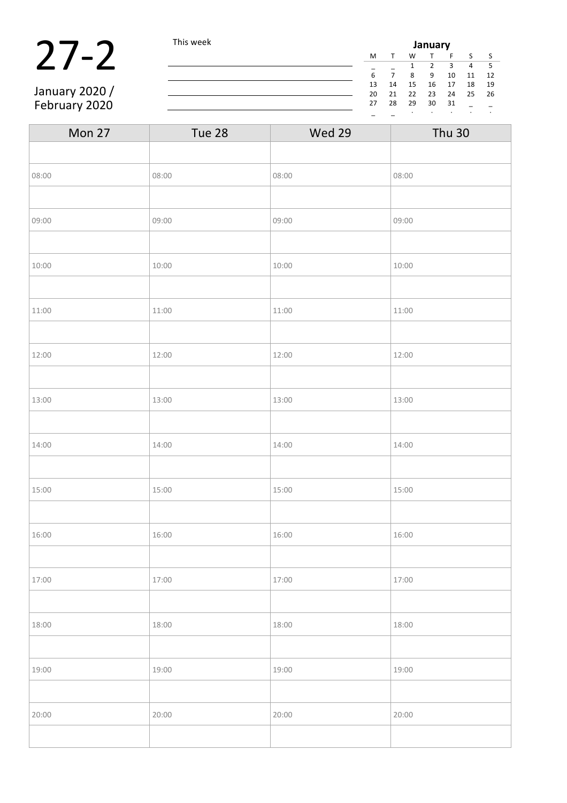#### **27-2** This week **January**<br> **27-2** This week **January**<br>  $\frac{M T W T F}{\frac{1}{6} \frac{7}{7} \frac{1}{8} \frac{2}{9} \frac{3}{10}}$ January 2020 /

February 2020

M T W T F S S \_ \_ 1 2 3 4 5  $11$  12 13 14 15 16 17 18 19 20 21 22 23 24 25 26  $28$  29 30 31  $-$ \_ \_ · · · · ·

| Mon 27 | Tue 28 | Wed 29 | <b>Thu 30</b> |
|--------|--------|--------|---------------|
|        |        |        |               |
| 08:00  | 08:00  | 08:00  | 08:00         |
|        |        |        |               |
| 09:00  | 09:00  | 09:00  | 09:00         |
|        |        |        |               |
| 10:00  | 10:00  | 10:00  | 10:00         |
|        |        |        |               |
| 11:00  | 11:00  | 11:00  | 11:00         |
|        |        |        |               |
| 12:00  | 12:00  | 12:00  | 12:00         |
|        |        |        |               |
| 13:00  | 13:00  | 13:00  | 13:00         |
|        |        |        |               |
| 14:00  | 14:00  | 14:00  | 14:00         |
|        |        |        |               |
| 15:00  | 15:00  | 15:00  | 15:00         |
|        |        |        |               |
| 16:00  | 16:00  | 16:00  | 16:00         |
|        |        |        |               |
| 17:00  | 17:00  | 17:00  | 17:00         |
|        |        |        |               |
| 18:00  | 18:00  | 18:00  | 18:00         |
|        |        |        |               |
| 19:00  | 19:00  | 19:00  | 19:00         |
|        |        |        |               |
| 20:00  | 20:00  | 20:00  | 20:00         |
|        |        |        |               |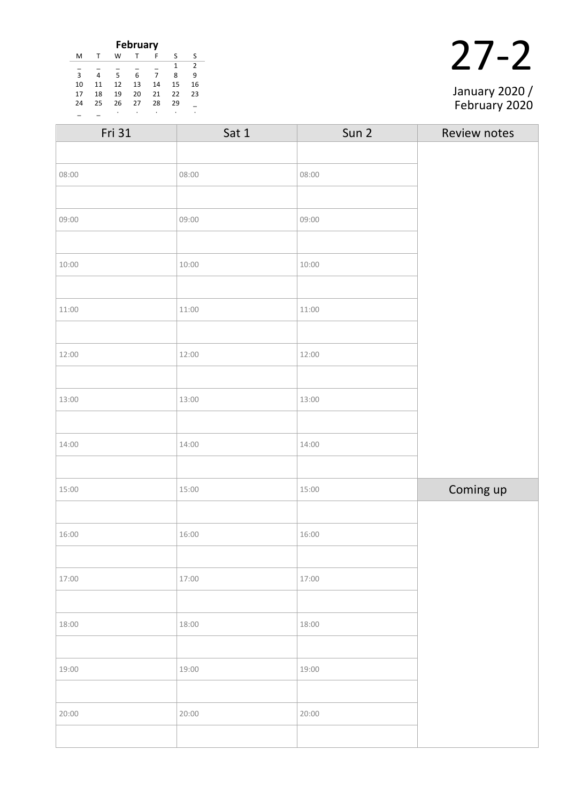|    |    |    | <b>February</b> |    |    |                |
|----|----|----|-----------------|----|----|----------------|
| M  | т  | w  |                 | F  | S  | S              |
|    |    |    |                 |    | 1  | $\overline{2}$ |
| 3  | 4  | 5  | 6               | 7  | 8  | 9              |
| 10 | 11 | 12 | 13              | 14 | 15 | 16             |
| 17 | 18 | 19 | 20              | 21 | 22 | 23             |
| 24 | 25 | 26 | 27              | 28 | 29 |                |
|    |    | ٠  |                 |    |    | ٠              |

|  | January 2020 /<br>February 2020 |
|--|---------------------------------|

| Fri 31 | Sat 1 | Sun 2 | Review notes |
|--------|-------|-------|--------------|
|        |       |       |              |
| 08:00  | 08:00 | 08:00 |              |
|        |       |       |              |
| 09:00  | 09:00 | 09:00 |              |
|        |       |       |              |
| 10:00  | 10:00 | 10:00 |              |
|        |       |       |              |
| 11:00  | 11:00 | 11:00 |              |
|        |       |       |              |
| 12:00  | 12:00 | 12:00 |              |
|        |       |       |              |
| 13:00  | 13:00 | 13:00 |              |
|        |       |       |              |
| 14:00  | 14:00 | 14:00 |              |
|        |       |       |              |
| 15:00  | 15:00 | 15:00 | Coming up    |
|        |       |       |              |
| 16:00  | 16:00 | 16:00 |              |
|        |       |       |              |
| 17:00  | 17:00 | 17:00 |              |
|        |       |       |              |
| 18:00  | 18:00 | 18:00 |              |
|        |       |       |              |
| 19:00  | 19:00 | 19:00 |              |
|        |       |       |              |
| 20:00  | 20:00 | 20:00 |              |
|        |       |       |              |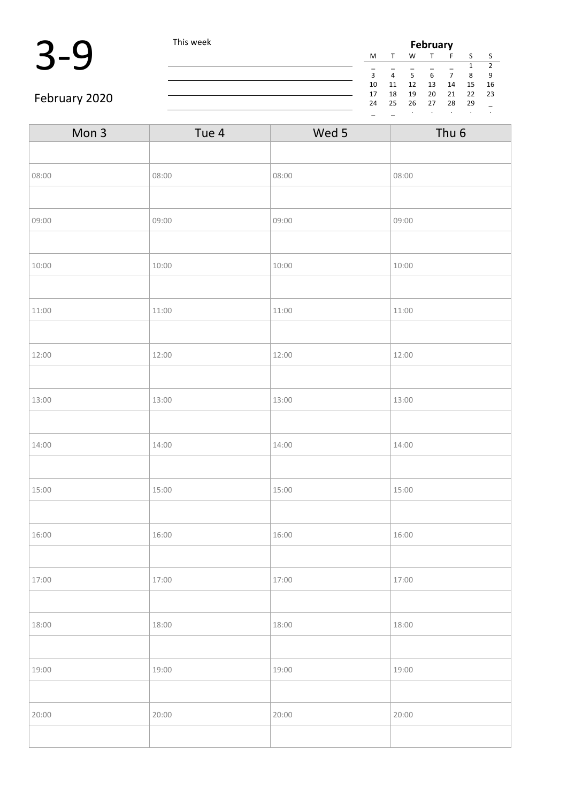

|    |    |    | <b>February</b> |    |    |    |
|----|----|----|-----------------|----|----|----|
| М  |    | W  |                 | F  | ς  | ς  |
|    |    |    |                 |    | 1  | 2  |
| 3  | 4  | 5  | 6               |    | 8  | 9  |
| 10 | 11 | 12 | 13              | 14 | 15 | 16 |
| 17 | 18 | 19 | 20              | 21 | 22 | 23 |
| 24 | 25 | 26 | 27              | 28 | 29 |    |
|    |    | ٠  |                 | ٠  | ٠  | ٠  |

#### February 2020

| Mon 3 | Tue 4 | Wed 5 | Thu <sub>6</sub> |
|-------|-------|-------|------------------|
|       |       |       |                  |
| 08:00 | 08:00 | 08:00 | 08:00            |
|       |       |       |                  |
| 09:00 | 09:00 | 09:00 | 09:00            |
|       |       |       |                  |
| 10:00 | 10:00 | 10:00 | 10:00            |
|       |       |       |                  |
| 11:00 | 11:00 | 11:00 | 11:00            |
|       |       |       |                  |
| 12:00 | 12:00 | 12:00 | 12:00            |
|       |       |       |                  |
| 13:00 | 13:00 | 13:00 | 13:00            |
|       |       |       |                  |
| 14:00 | 14:00 | 14:00 | 14:00            |
|       |       |       |                  |
| 15:00 | 15:00 | 15:00 | 15:00            |
|       |       |       |                  |
| 16:00 | 16:00 | 16:00 | 16:00            |
|       |       |       |                  |
| 17:00 | 17:00 | 17:00 | 17:00            |
|       |       |       |                  |
| 18:00 | 18:00 | 18:00 | 18:00            |
|       |       |       |                  |
| 19:00 | 19:00 | 19:00 | 19:00            |
|       |       |       |                  |
| 20:00 | 20:00 | 20:00 | 20:00            |
|       |       |       |                  |
|       |       |       |                  |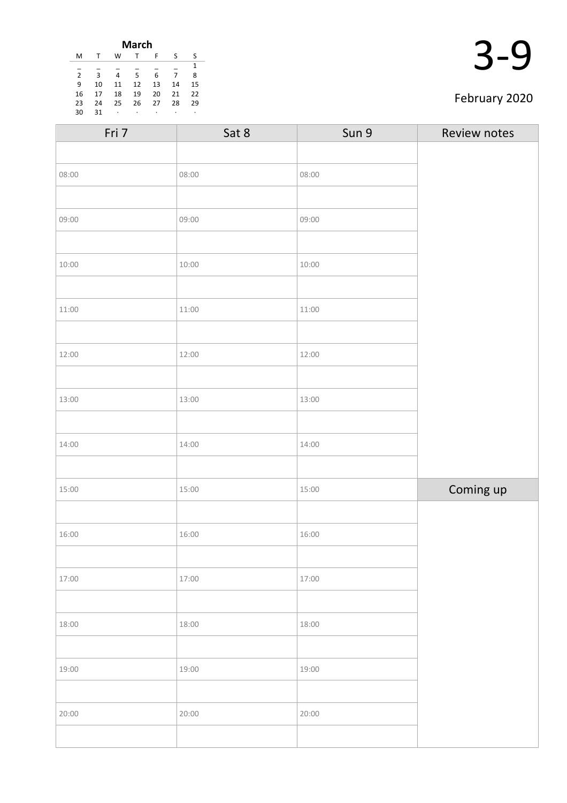|                |    |    | <b>March</b> |    |    |    |
|----------------|----|----|--------------|----|----|----|
| M              |    | W  | т            | F  | S  | S  |
|                |    |    |              |    |    | 1  |
| $\overline{2}$ | 3  | 4  | .5           | 6  |    | 8  |
| 9              | 10 | 11 | 12           | 13 | 14 | 15 |
| 16             | 17 | 18 | 19           | 20 | 21 | 22 |
| 23             | 24 | 25 | 26           | 27 | 28 | 29 |
| 30             | 31 | ٠  | ٠            | ٠  | ٠  | ۰  |
|                |    |    |              |    |    |    |

|  | l |
|--|---|
|--|---|

#### February 2020

| Fri 7 | Sat 8 | Sun 9 | Review notes |
|-------|-------|-------|--------------|
|       |       |       |              |
| 08:00 | 08:00 | 08:00 |              |
|       |       |       |              |
| 09:00 | 09:00 | 09:00 |              |
|       |       |       |              |
| 10:00 | 10:00 | 10:00 |              |
|       |       |       |              |
| 11:00 | 11:00 | 11:00 |              |
|       |       |       |              |
| 12:00 | 12:00 | 12:00 |              |
|       |       |       |              |
| 13:00 | 13:00 | 13:00 |              |
|       |       |       |              |
| 14:00 | 14:00 | 14:00 |              |
|       |       |       |              |
| 15:00 | 15:00 | 15:00 | Coming up    |
|       |       |       |              |
| 16:00 | 16:00 | 16:00 |              |
|       |       |       |              |
| 17:00 | 17:00 | 17:00 |              |
|       |       |       |              |
| 18:00 | 18:00 | 18:00 |              |
|       |       |       |              |
| 19:00 | 19:00 | 19:00 |              |
|       |       |       |              |
| 20:00 | 20:00 | 20:00 |              |
|       |       |       |              |
|       |       |       |              |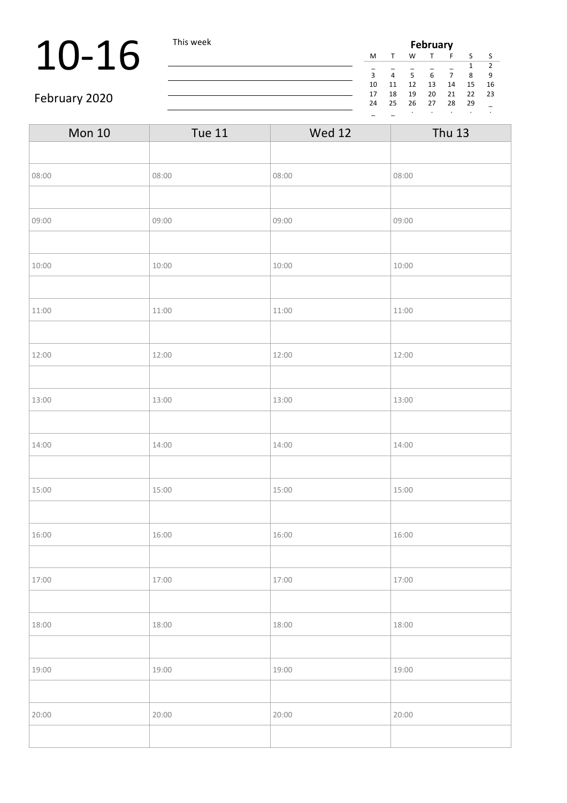## 10-16 This week

| <b>February</b> |    |    |    |    |    |               |  |
|-----------------|----|----|----|----|----|---------------|--|
| M               |    | w  |    | F  | ς  | ς             |  |
|                 |    |    |    |    | 1  | $\mathcal{P}$ |  |
| $\overline{3}$  | 4  | 5  | 6  | 7  | 8  | ٩             |  |
| 10              | 11 | 12 | 13 | 14 | 15 | 16            |  |
| 17              | 18 | 19 | 20 | 21 | 22 | 23            |  |
| 24              | 25 | 26 | 27 | 28 | 29 |               |  |
|                 |    | ٠  | ٠  |    |    | ٠             |  |

#### February 2020

| <b>Mon 10</b> | <b>Tue 11</b> | <b>Wed 12</b> | <b>Thu 13</b> |
|---------------|---------------|---------------|---------------|
|               |               |               |               |
| 08:00         | 08:00         | 08:00         | 08:00         |
|               |               |               |               |
| 09:00         | 09:00         | 09:00         | 09:00         |
|               |               |               |               |
| 10:00         | 10:00         | 10:00         | 10:00         |
|               |               |               |               |
| 11:00         | 11:00         | 11:00         | 11:00         |
|               |               |               |               |
| 12:00         | 12:00         | 12:00         | 12:00         |
|               |               |               |               |
| 13:00         | 13:00         | 13:00         | 13:00         |
|               |               |               |               |
| 14:00         | 14:00         | 14:00         | 14:00         |
|               |               |               |               |
| 15:00         | 15:00         | 15:00         | 15:00         |
|               |               |               |               |
| 16:00         | 16:00         | 16:00         | 16:00         |
|               |               |               |               |
| 17:00         | 17:00         | 17:00         | 17:00         |
|               |               |               |               |
| 18:00         | 18:00         | 18:00         | 18:00         |
|               |               |               |               |
| 19:00         | 19:00         | 19:00         | 19:00         |
|               |               |               |               |
| 20:00         | 20:00         | 20:00         | 20:00         |
|               |               |               |               |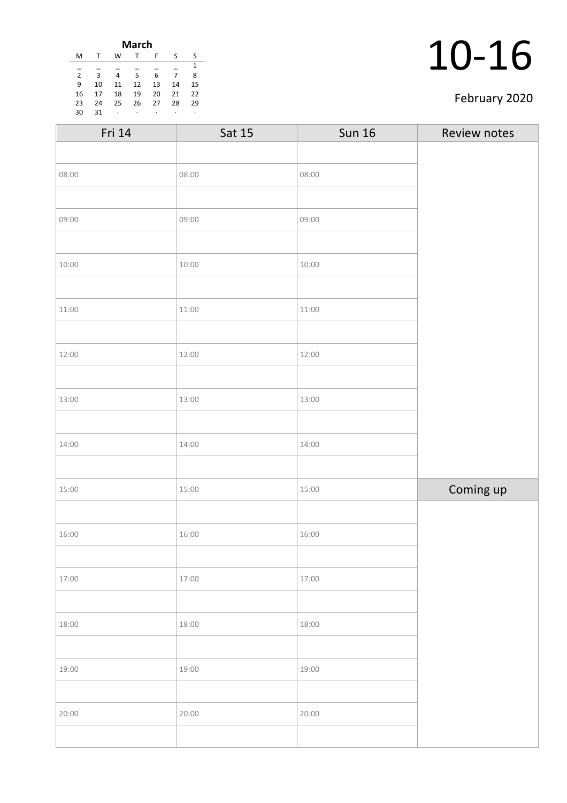| March          |    |    |    |    |    |    |  |
|----------------|----|----|----|----|----|----|--|
| м              |    | w  |    | F  | S  | S  |  |
| 1              |    |    |    |    |    |    |  |
| $\overline{2}$ | 3  | 4  | 5  | 6  | 7  | 8  |  |
| 9              | 10 | 11 | 12 | 13 | 14 | 15 |  |
| 16             | 17 | 18 | 19 | 20 | 21 | 22 |  |
| 23             | 24 | 25 | 26 | 27 | 28 | 29 |  |
| 30             | 31 | ٠  | ۰  | ٠  | ٠  | ٠  |  |

#### February 2020

|       | <b>Sun 16</b> | Review notes |
|-------|---------------|--------------|
|       |               |              |
| 08:00 | 08:00         |              |
|       |               |              |
| 09:00 | 09:00         |              |
|       |               |              |
| 10:00 | 10:00         |              |
|       |               |              |
| 11:00 | 11:00         |              |
|       |               |              |
| 12:00 | 12:00         |              |
|       |               |              |
| 13:00 | 13:00         |              |
|       |               |              |
| 14:00 | 14:00         |              |
|       |               |              |
| 15:00 | 15:00         | Coming up    |
|       |               |              |
| 16:00 | 16:00         |              |
|       |               |              |
| 17:00 | 17:00         |              |
|       |               |              |
| 18:00 | 18:00         |              |
|       |               |              |
| 19:00 | 19:00         |              |
|       |               |              |
| 20:00 | 20:00         |              |
|       |               |              |
|       | Sat 15        |              |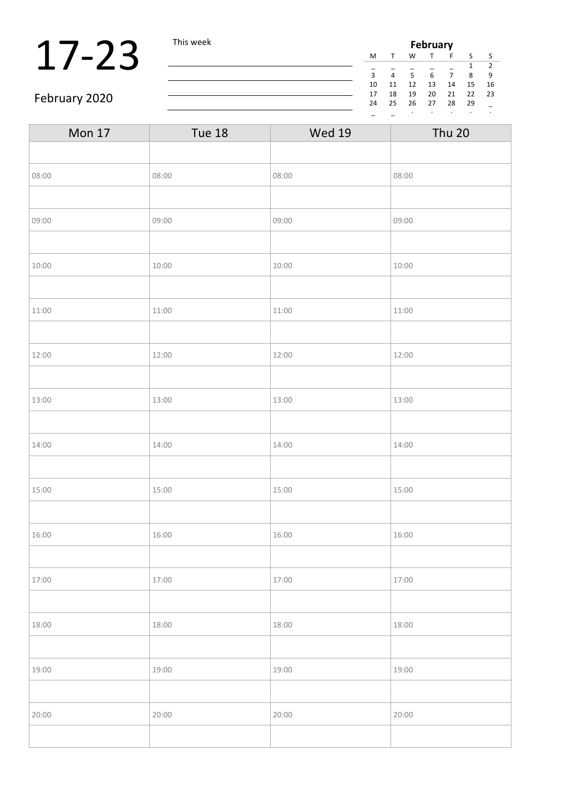### 17-23 This week

| <b>February</b> |    |    |    |    |    |    |    |
|-----------------|----|----|----|----|----|----|----|
|                 | M  |    | W  |    | F  | S  | ς  |
|                 |    |    |    |    |    | 1  | 2  |
|                 | 3  | 4  | 5  | 6  | 7  | 8  | ٩  |
|                 | 10 | 11 | 12 | 13 | 14 | 15 | 16 |
|                 | 17 | 18 | 19 | 20 | 21 | 22 | 23 |
|                 | 24 | 25 | 26 | 27 | 28 | 29 |    |
|                 |    |    | ٠  | ٠  | ٠  |    |    |

#### February 2020

| <b>Mon 17</b> | Tue 18 | <b>Wed 19</b> | <b>Thu 20</b> |
|---------------|--------|---------------|---------------|
|               |        |               |               |
| 08:00         | 08:00  | 08:00         | 08:00         |
|               |        |               |               |
| 09:00         | 09:00  | 09:00         | 09:00         |
|               |        |               |               |
| 10:00         | 10:00  | 10:00         | 10:00         |
|               |        |               |               |
| 11:00         | 11:00  | 11:00         | 11:00         |
|               |        |               |               |
| 12:00         | 12:00  | 12:00         | 12:00         |
|               |        |               |               |
| 13:00         | 13:00  | 13:00         | 13:00         |
|               |        |               |               |
| 14:00         | 14:00  | 14:00         | 14:00         |
|               |        |               |               |
| 15:00         | 15:00  | 15:00         | 15:00         |
|               |        |               |               |
| 16:00         | 16:00  | 16:00         | 16:00         |
|               |        |               |               |
| 17:00         | 17:00  | 17:00         | 17:00         |
|               |        |               |               |
| 18:00         | 18:00  | 18:00         | 18:00         |
|               |        |               |               |
| 19:00         | 19:00  | 19:00         | 19:00         |
|               |        |               |               |
| 20:00         | 20:00  | 20:00         | 20:00         |
|               |        |               |               |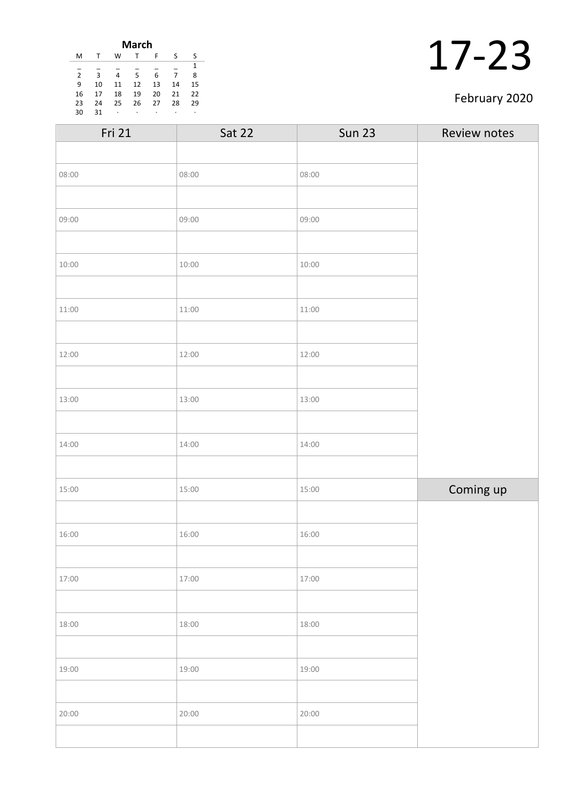| <b>March</b>   |    |    |    |    |    |    |  |
|----------------|----|----|----|----|----|----|--|
| M              |    | W  |    | F  | S  | S  |  |
| 1              |    |    |    |    |    |    |  |
| $\overline{2}$ | 3  | 4  | 5  | 6  | 7  | 8  |  |
| 9              | 10 | 11 | 12 | 13 | 14 | 15 |  |
| 16             | 17 | 18 | 19 | 20 | 21 | 22 |  |
| 23             | 24 | 25 | 26 | 27 | 28 | 29 |  |
| 30             | 31 | ٠  | ٠  | ٠  | ٠  | ٠  |  |

#### February 2020

| Fri 21 | Sat 22 | <b>Sun 23</b> | Review notes |
|--------|--------|---------------|--------------|
|        |        |               |              |
| 08:00  | 08:00  | 08:00         |              |
|        |        |               |              |
| 09:00  | 09:00  | 09:00         |              |
|        |        |               |              |
| 10:00  | 10:00  | 10:00         |              |
|        |        |               |              |
| 11:00  | 11:00  | 11:00         |              |
|        |        |               |              |
| 12:00  | 12:00  | 12:00         |              |
|        |        |               |              |
| 13:00  | 13:00  | 13:00         |              |
|        |        |               |              |
| 14:00  | 14:00  | 14:00         |              |
|        |        |               |              |
| 15:00  | 15:00  | 15:00         | Coming up    |
|        |        |               |              |
| 16:00  | 16:00  | 16:00         |              |
|        |        |               |              |
| 17:00  | 17:00  | 17:00         |              |
|        |        |               |              |
| 18:00  | 18:00  | 18:00         |              |
|        |        |               |              |
| 19:00  | 19:00  | 19:00         |              |
|        |        |               |              |
| 20:00  | 20:00  | 20:00         |              |
|        |        |               |              |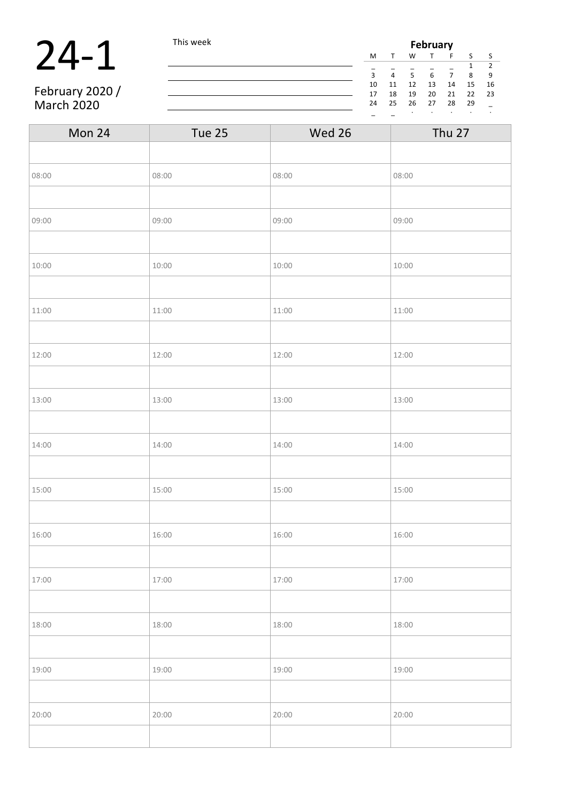### 24-1 This week

February 2020 / March 2020

| <b>February</b> |    |    |    |    |    |    |  |
|-----------------|----|----|----|----|----|----|--|
| M               |    | W  | T  | F  | S  | S  |  |
| 2<br>1          |    |    |    |    |    |    |  |
| $\overline{3}$  | 4  | 5  | 6  | 7  | 8  | 9  |  |
| 10              | 11 | 12 | 13 | 14 | 15 | 16 |  |
| 17              | 18 | 19 | 20 | 21 | 22 | 23 |  |
| 24              | 25 | 26 | 27 | 28 | 29 |    |  |
|                 |    | ٠  |    |    |    | ٠  |  |

| Mon 24 | Tue 25 | Wed 26 | <b>Thu 27</b> |
|--------|--------|--------|---------------|
|        |        |        |               |
| 08:00  | 08:00  | 08:00  | 08:00         |
|        |        |        |               |
| 09:00  | 09:00  | 09:00  | 09:00         |
|        |        |        |               |
| 10:00  | 10:00  | 10:00  | 10:00         |
|        |        |        |               |
| 11:00  | 11:00  | 11:00  | 11:00         |
|        |        |        |               |
| 12:00  | 12:00  | 12:00  | 12:00         |
|        |        |        |               |
| 13:00  | 13:00  | 13:00  | 13:00         |
|        |        |        |               |
| 14:00  | 14:00  | 14:00  | 14:00         |
|        |        |        |               |
| 15:00  | 15:00  | 15:00  | 15:00         |
|        |        |        |               |
| 16:00  | 16:00  | 16:00  | 16:00         |
|        |        |        |               |
| 17:00  | 17:00  | 17:00  | 17:00         |
|        |        |        |               |
| 18:00  | 18:00  | 18:00  | 18:00         |
|        |        |        |               |
| 19:00  | 19:00  | 19:00  | 19:00         |
|        |        |        |               |
| 20:00  | 20:00  | 20:00  | 20:00         |
|        |        |        |               |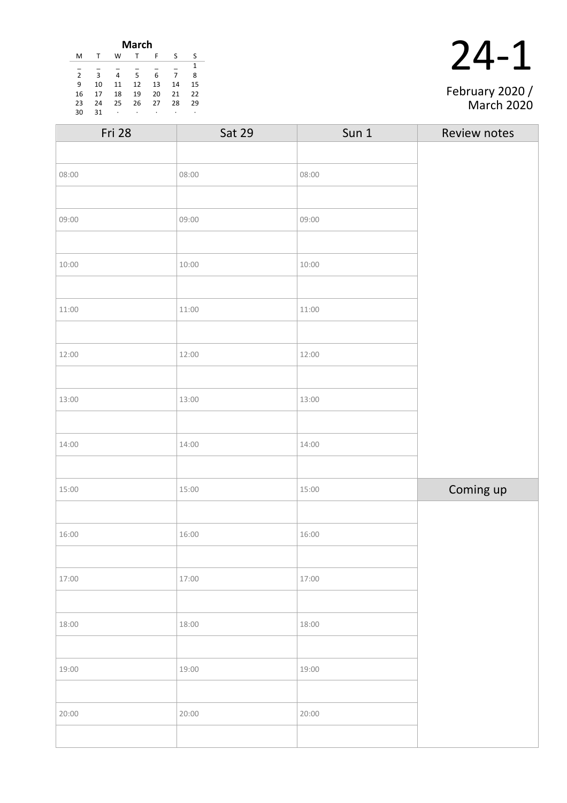|                |    |    | <b>March</b> |    |    |    |
|----------------|----|----|--------------|----|----|----|
| М              | т  | W  | т            | F  | -S | ς  |
|                |    |    |              |    |    | 1  |
| $\overline{2}$ | 3  | 4  | 5            | 6  |    | 8  |
| 9              | 10 | 11 | 12           | 13 | 14 | 15 |
| 16             | 17 | 18 | 19           | 20 | 21 | 22 |
| 23             | 24 | 25 | 26           | 27 | 28 | 29 |
| 30             | 31 |    | ٠            | ٠  | ٠  | ٠  |
|                |    |    |              |    |    |    |

| February 2020 /<br><b>March 2020</b> |
|--------------------------------------|

| <b>Sat 29</b> | Sun 1 | Review notes |
|---------------|-------|--------------|
|               |       |              |
| 08:00         | 08:00 |              |
|               |       |              |
| 09:00         | 09:00 |              |
|               |       |              |
| 10:00         | 10:00 |              |
|               |       |              |
| 11:00         | 11:00 |              |
|               |       |              |
| 12:00         | 12:00 |              |
|               |       |              |
| 13:00         | 13:00 |              |
|               |       |              |
| 14:00         | 14:00 |              |
|               |       |              |
| 15:00         | 15:00 | Coming up    |
|               |       |              |
| 16:00         | 16:00 |              |
|               |       |              |
| 17:00         | 17:00 |              |
|               |       |              |
| 18:00         | 18:00 |              |
|               |       |              |
| 19:00         | 19:00 |              |
|               |       |              |
| 20:00         | 20:00 |              |
|               |       |              |
|               |       |              |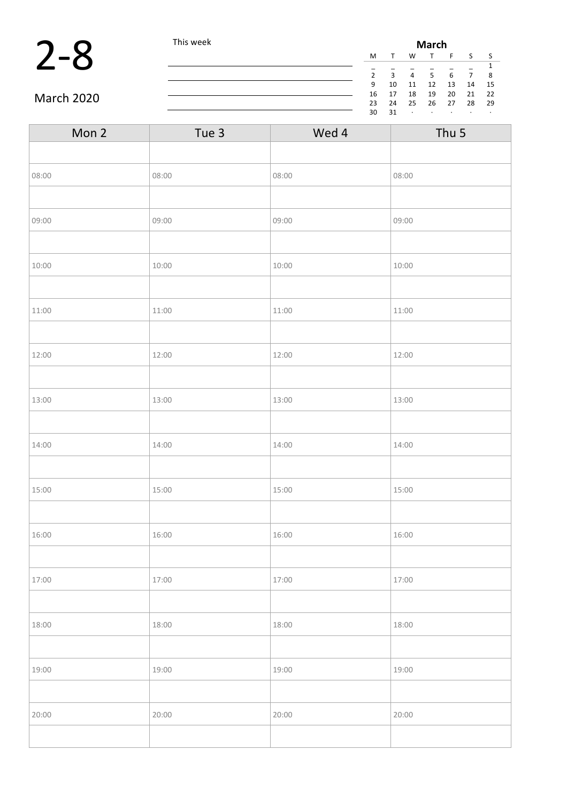**2-8** This week **March**<br>
This week **March**<br>  $\frac{M T W T F}{\frac{1}{2} - \frac{1}{3} - \frac{1}{4} - \frac{1}{5} - \frac{1}{6}}$  $S$  S  $\frac{}{5}$   $\frac{}{6}$   $\frac{}{7}$   $\frac{1}{8}$ 2 3 4 5 6 7 8 9 10 11 12 13 14 15 16 17 18 19 20 21 22 23 24 25 26 27 28 29  $31$ 

March 2020

| Mon 2 | Tue 3 | Wed 4 | Thu 5 |
|-------|-------|-------|-------|
|       |       |       |       |
| 08:00 | 08:00 | 08:00 | 08:00 |
|       |       |       |       |
| 09:00 | 09:00 | 09:00 | 09:00 |
|       |       |       |       |
| 10:00 | 10:00 | 10:00 | 10:00 |
|       |       |       |       |
| 11:00 | 11:00 | 11:00 | 11:00 |
|       |       |       |       |
| 12:00 | 12:00 | 12:00 | 12:00 |
|       |       |       |       |
| 13:00 | 13:00 | 13:00 | 13:00 |
|       |       |       |       |
| 14:00 | 14:00 | 14:00 | 14:00 |
|       |       |       |       |
| 15:00 | 15:00 | 15:00 | 15:00 |
|       |       |       |       |
| 16:00 | 16:00 | 16:00 | 16:00 |
|       |       |       |       |
| 17:00 | 17:00 | 17:00 | 17:00 |
|       |       |       |       |
| 18:00 | 18:00 | 18:00 | 18:00 |
|       |       |       |       |
| 19:00 | 19:00 | 19:00 | 19:00 |
|       |       |       |       |
| 20:00 | 20:00 | 20:00 | 20:00 |
|       |       |       |       |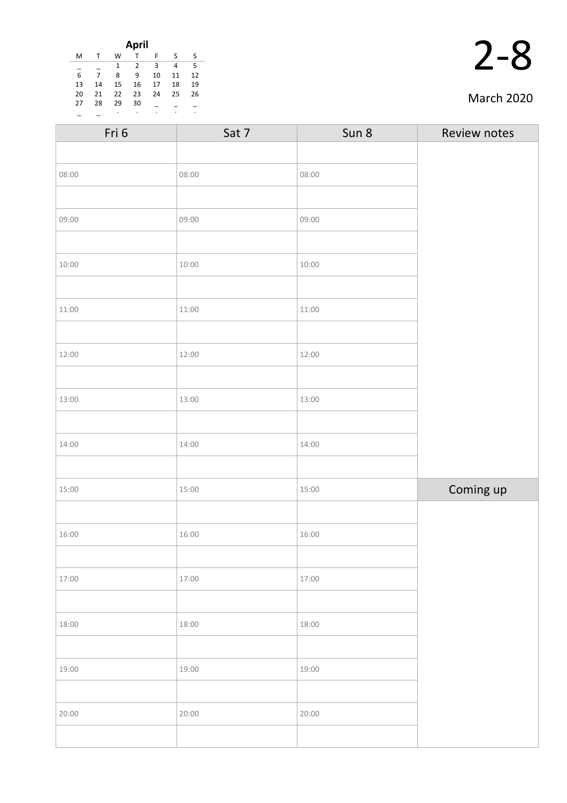|    |    |    | <b>April</b> |    |    |    |
|----|----|----|--------------|----|----|----|
| M  | T  | W  |              | F  | s  | S  |
|    |    | 1  | 2            | 3  | 4  | 5  |
| 6  | 7  | 8  | 9            | 10 | 11 | 12 |
| 13 | 14 | 15 | 16           | 17 | 18 | 19 |
| 20 | 21 | 22 | 23           | 24 | 25 | 26 |
| 27 | 28 | 29 | 30           |    |    |    |
|    |    | ٠  | ٠            | ٠  | ٠  | ٠  |

#### March 2020

| Fri 6 | Sat 7 | Sun 8 | Review notes |
|-------|-------|-------|--------------|
|       |       |       |              |
| 08:00 | 08:00 | 08:00 |              |
|       |       |       |              |
| 09:00 | 09:00 | 09:00 |              |
|       |       |       |              |
| 10:00 | 10:00 | 10:00 |              |
|       |       |       |              |
| 11:00 | 11:00 | 11:00 |              |
|       |       |       |              |
| 12:00 | 12:00 | 12:00 |              |
|       |       |       |              |
| 13:00 | 13:00 | 13:00 |              |
|       |       |       |              |
| 14:00 | 14:00 | 14:00 |              |
|       |       |       |              |
| 15:00 | 15:00 | 15:00 | Coming up    |
|       |       |       |              |
| 16:00 | 16:00 | 16:00 |              |
|       |       |       |              |
| 17:00 | 17:00 | 17:00 |              |
|       |       |       |              |
| 18:00 | 18:00 | 18:00 |              |
|       |       |       |              |
| 19:00 | 19:00 | 19:00 |              |
|       |       |       |              |
| 20:00 | 20:00 | 20:00 |              |
|       |       |       |              |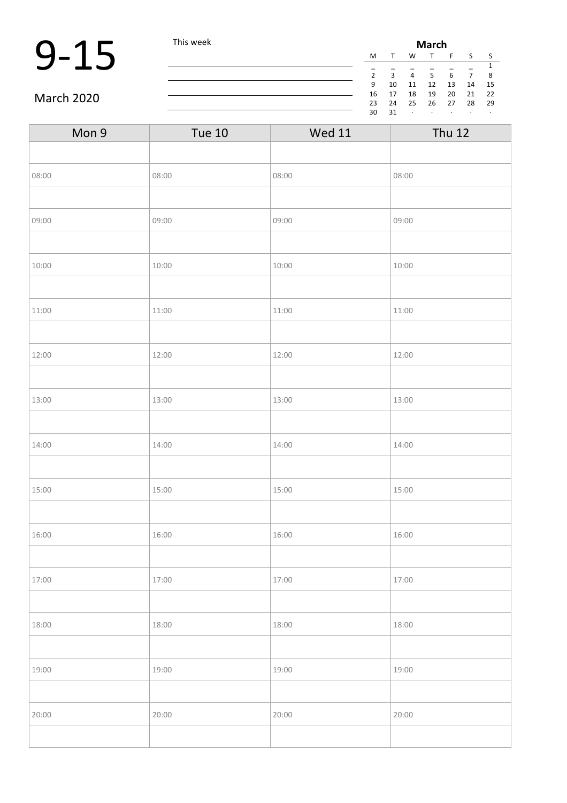|            | This week | <b>March</b>  |              |                |    |    |                |     |  |
|------------|-----------|---------------|--------------|----------------|----|----|----------------|-----|--|
|            |           | M             |              | W              |    |    |                |     |  |
|            |           | $\mathcal{D}$ | $\mathbf{a}$ | $\overline{4}$ |    | 6  | $\overline{7}$ | 8   |  |
|            |           | 9             | 10           | 11             | 12 | 13 | 14             | 15  |  |
|            |           | 16            |              | 18             | 19 | 20 | 21             | -22 |  |
| March 2020 |           | 23            | 24           | 25             | 26 | 27 | 28             | 29  |  |
|            |           | 30            | 31           |                |    |    | $\cdot$        |     |  |

#### March 2020

| Mon 9 | <b>Tue 10</b> | <b>Wed 11</b> | <b>Thu 12</b> |
|-------|---------------|---------------|---------------|
|       |               |               |               |
| 08:00 | 08:00         | 08:00         | 08:00         |
|       |               |               |               |
| 09:00 | 09:00         | 09:00         | 09:00         |
|       |               |               |               |
| 10:00 | 10:00         | 10:00         | 10:00         |
|       |               |               |               |
| 11:00 | 11:00         | 11:00         | 11:00         |
|       |               |               |               |
| 12:00 | 12:00         | 12:00         | 12:00         |
|       |               |               |               |
| 13:00 | 13:00         | 13:00         | 13:00         |
|       |               |               |               |
| 14:00 | 14:00         | 14:00         | 14:00         |
|       |               |               |               |
| 15:00 | 15:00         | 15:00         | 15:00         |
|       |               |               |               |
| 16:00 | 16:00         | 16:00         | 16:00         |
|       |               |               |               |
| 17:00 | 17:00         | 17:00         | 17:00         |
|       |               |               |               |
| 18:00 | 18:00         | 18:00         | 18:00         |
|       |               |               |               |
| 19:00 | 19:00         | 19:00         | 19:00         |
|       |               |               |               |
| 20:00 | 20:00         | 20:00         | 20:00         |
|       |               |               |               |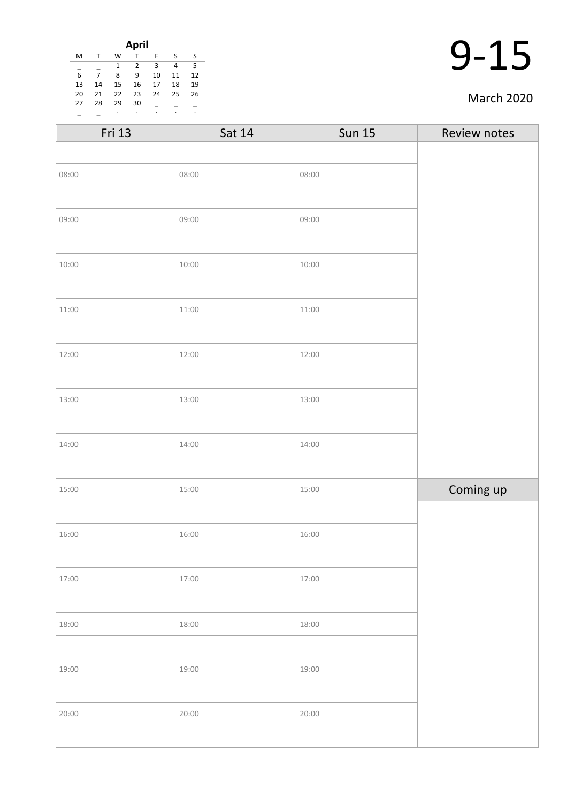| April |    |    |    |    |    |    |  |
|-------|----|----|----|----|----|----|--|
| M     |    | W  |    | F  | S  | S  |  |
|       |    | 1  | 2  | 3  | 4  | 5  |  |
| 6     |    | 8  | 9  | 10 | 11 | 12 |  |
| 13    | 14 | 15 | 16 | 17 | 18 | 19 |  |
| 20    | 21 | 22 | 23 | 24 | 25 | 26 |  |
| 27    | 28 | 29 | 30 |    |    |    |  |
|       |    | ٠  |    | ٠  | ٠  | ۰  |  |

#### March 2020

| Fri 13 | Sat 14 | <b>Sun 15</b> | Review notes |
|--------|--------|---------------|--------------|
|        |        |               |              |
| 08:00  | 08:00  | 08:00         |              |
|        |        |               |              |
| 09:00  | 09:00  | 09:00         |              |
|        |        |               |              |
| 10:00  | 10:00  | 10:00         |              |
|        |        |               |              |
| 11:00  | 11:00  | 11:00         |              |
|        |        |               |              |
| 12:00  | 12:00  | 12:00         |              |
|        |        |               |              |
| 13:00  | 13:00  | 13:00         |              |
|        |        |               |              |
| 14:00  | 14:00  | 14:00         |              |
|        |        |               |              |
| 15:00  | 15:00  | 15:00         | Coming up    |
|        |        |               |              |
| 16:00  | 16:00  | 16:00         |              |
|        |        |               |              |
| 17:00  | 17:00  | 17:00         |              |
|        |        |               |              |
| 18:00  | 18:00  | 18:00         |              |
|        |        |               |              |
| 19:00  | 19:00  | 19:00         |              |
|        |        |               |              |
| 20:00  | 20:00  | 20:00         |              |
|        |        |               |              |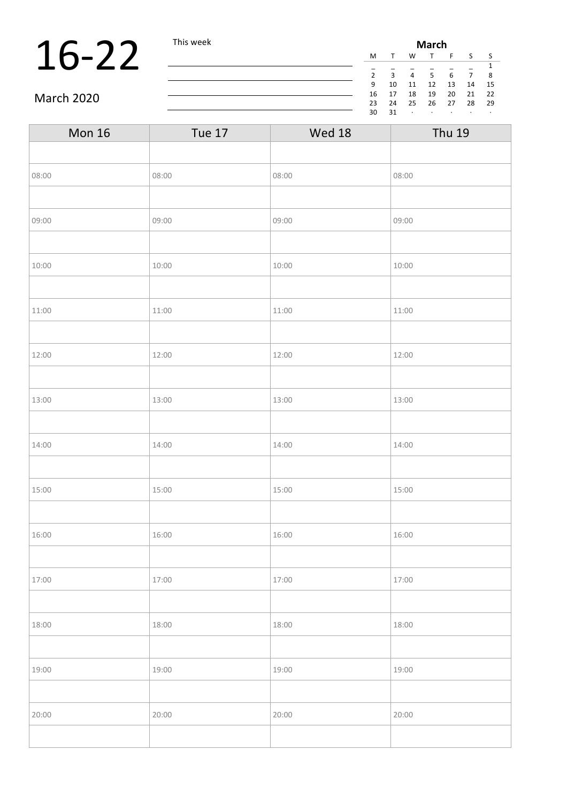### 16-22 This week

| March          |    |    |    |    |    |    |  |
|----------------|----|----|----|----|----|----|--|
| M              | т  | w  |    | F  | S  | S  |  |
|                |    |    |    |    |    | 1  |  |
| $\overline{2}$ | 3  | 4  | 5  | 6  | 7  | 8  |  |
| 9              | 10 | 11 | 12 | 13 | 14 | 15 |  |
| 16             | 17 | 18 | 19 | 20 | 21 | 22 |  |
| 23             | 24 | 25 | 26 | 27 | 28 | 29 |  |
| 30             | 31 | ٠  |    |    |    | ٠  |  |

#### March 2020

| <b>Mon 16</b> | <b>Tue 17</b> | Wed 18 | <b>Thu 19</b> |
|---------------|---------------|--------|---------------|
|               |               |        |               |
| 08:00         | 08:00         | 08:00  | 08:00         |
|               |               |        |               |
| 09:00         | 09:00         | 09:00  | 09:00         |
|               |               |        |               |
| 10:00         | 10:00         | 10:00  | 10:00         |
|               |               |        |               |
| 11:00         | 11:00         | 11:00  | 11:00         |
|               |               |        |               |
| 12:00         | 12:00         | 12:00  | 12:00         |
|               |               |        |               |
| 13:00         | 13:00         | 13:00  | 13:00         |
|               |               |        |               |
| 14:00         | 14:00         | 14:00  | 14:00         |
|               |               |        |               |
| 15:00         | 15:00         | 15:00  | 15:00         |
|               |               |        |               |
| 16:00         | 16:00         | 16:00  | 16:00         |
|               |               |        |               |
| 17:00         | 17:00         | 17:00  | 17:00         |
|               |               |        |               |
| 18:00         | 18:00         | 18:00  | 18:00         |
|               |               |        |               |
| 19:00         | 19:00         | 19:00  | 19:00         |
|               |               |        |               |
| 20:00         | 20:00         | 20:00  | 20:00         |
|               |               |        |               |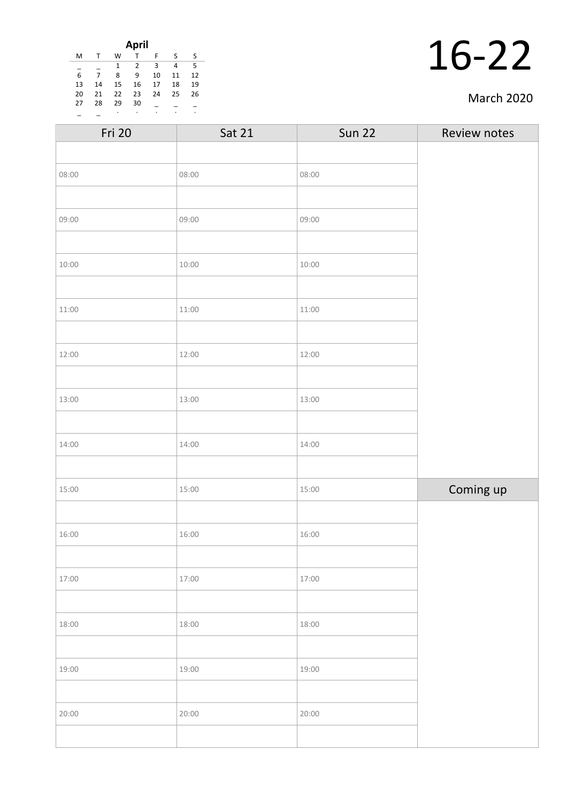| April                              |    |    |    |    |    |    |
|------------------------------------|----|----|----|----|----|----|
| M                                  |    | W  |    | F  | S  | S  |
| 3<br>5<br>$\overline{2}$<br>1<br>4 |    |    |    |    |    |    |
| 6                                  |    | 8  | 9  | 10 | 11 | 12 |
| 13                                 | 14 | 15 | 16 | 17 | 18 | 19 |
| 20                                 | 21 | 22 | 23 | 24 | 25 | 26 |
| 27                                 | 28 | 29 | 30 |    |    |    |
|                                    |    | ٠  | ٠  | ٠  | ٠  | ۰  |

#### March 2020

| <b>Sat 21</b> | <b>Sun 22</b> | Review notes |
|---------------|---------------|--------------|
|               |               |              |
| 08:00         | 08:00         |              |
|               |               |              |
| 09:00         | 09:00         |              |
|               |               |              |
| 10:00         | 10:00         |              |
|               |               |              |
| 11:00         | 11:00         |              |
|               |               |              |
| 12:00         | 12:00         |              |
|               |               |              |
| 13:00         | 13:00         |              |
|               |               |              |
| 14:00         | 14:00         |              |
|               |               |              |
| 15:00         | 15:00         | Coming up    |
|               |               |              |
| 16:00         | 16:00         |              |
|               |               |              |
| 17:00         | 17:00         |              |
|               |               |              |
| 18:00         | 18:00         |              |
|               |               |              |
| 19:00         | 19:00         |              |
|               |               |              |
| 20:00         | 20:00         |              |
|               |               |              |
|               |               |              |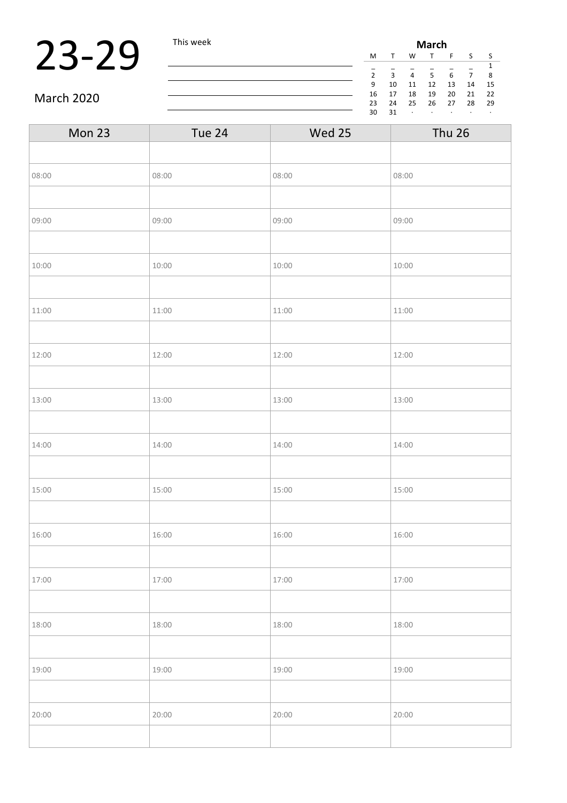### 23-29 This week

| March          |        |    |    |    |    |    |
|----------------|--------|----|----|----|----|----|
| M              | $\tau$ | w  |    | F  | S  | S  |
|                |        |    |    |    |    | 1  |
| $\overline{2}$ | 3      | 4  | 5  | 6  | 7  | 8  |
| 9              | 10     | 11 | 12 | 13 | 14 | 15 |
| 16             | 17     | 18 | 19 | 20 | 21 | 22 |
| 23             | 24     | 25 | 26 | 27 | 28 | 29 |
| 30             | 31     | ٠  |    |    |    | ٠  |

March 2020

| Mon 23 | Tue 24 | Wed 25 | <b>Thu 26</b> |
|--------|--------|--------|---------------|
|        |        |        |               |
| 08:00  | 08:00  | 08:00  | 08:00         |
|        |        |        |               |
| 09:00  | 09:00  | 09:00  | 09:00         |
|        |        |        |               |
| 10:00  | 10:00  | 10:00  | 10:00         |
|        |        |        |               |
| 11:00  | 11:00  | 11:00  | 11:00         |
|        |        |        |               |
| 12:00  | 12:00  | 12:00  | 12:00         |
|        |        |        |               |
| 13:00  | 13:00  | 13:00  | 13:00         |
|        |        |        |               |
| 14:00  | 14:00  | 14:00  | 14:00         |
|        |        |        |               |
| 15:00  | 15:00  | 15:00  | 15:00         |
|        |        |        |               |
| 16:00  | 16:00  | 16:00  | 16:00         |
|        |        |        |               |
| 17:00  | 17:00  | 17:00  | 17:00         |
|        |        |        |               |
| 18:00  | 18:00  | 18:00  | 18:00         |
|        |        |        |               |
| 19:00  | 19:00  | 19:00  | 19:00         |
|        |        |        |               |
| 20:00  | 20:00  | 20:00  | 20:00         |
|        |        |        |               |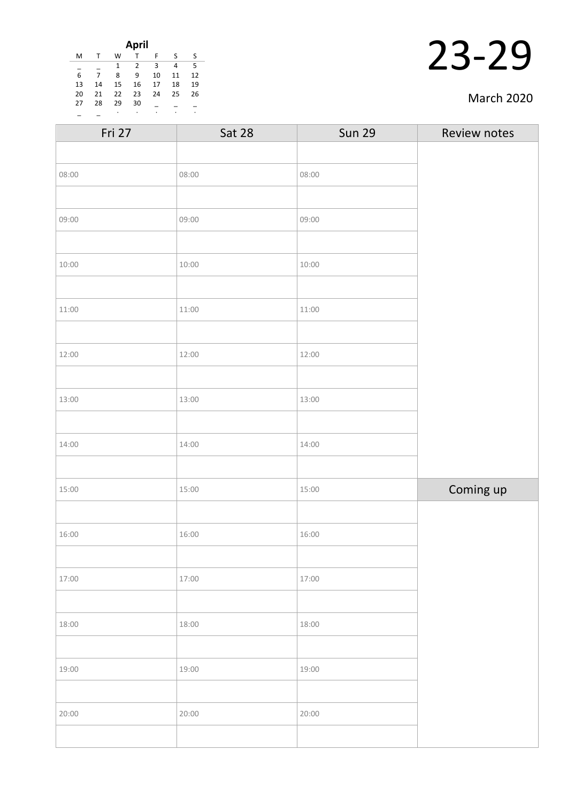| April                              |    |    |    |    |    |    |
|------------------------------------|----|----|----|----|----|----|
| M                                  |    | W  |    | F  | S  | S  |
| 5<br>3<br>$\overline{2}$<br>1<br>4 |    |    |    |    |    |    |
| 6                                  | 7  | 8  | 9  | 10 | 11 | 12 |
| 13                                 | 14 | 15 | 16 | 17 | 18 | 19 |
| 20                                 | 21 | 22 | 23 | 24 | 25 | 26 |
| 27                                 | 28 | 29 | 30 |    |    |    |
|                                    |    | ٠  | ٠  | ٠  | ٠  | ٠  |

| March 2020 |  |
|------------|--|
|------------|--|

| <b>Sat 28</b> | <b>Sun 29</b> | Review notes |
|---------------|---------------|--------------|
|               |               |              |
| 08:00         | 08:00         |              |
|               |               |              |
| 09:00         | 09:00         |              |
|               |               |              |
| 10:00         | 10:00         |              |
|               |               |              |
| 11:00         | 11:00         |              |
|               |               |              |
| 12:00         | 12:00         |              |
|               |               |              |
| 13:00         | 13:00         |              |
|               |               |              |
| 14:00         | 14:00         |              |
|               |               |              |
| 15:00         | 15:00         | Coming up    |
|               |               |              |
| 16:00         | 16:00         |              |
|               |               |              |
| 17:00         | 17:00         |              |
|               |               |              |
| 18:00         | 18:00         |              |
|               |               |              |
| 19:00         | 19:00         |              |
|               |               |              |
| 20:00         | 20:00         |              |
|               |               |              |
|               |               |              |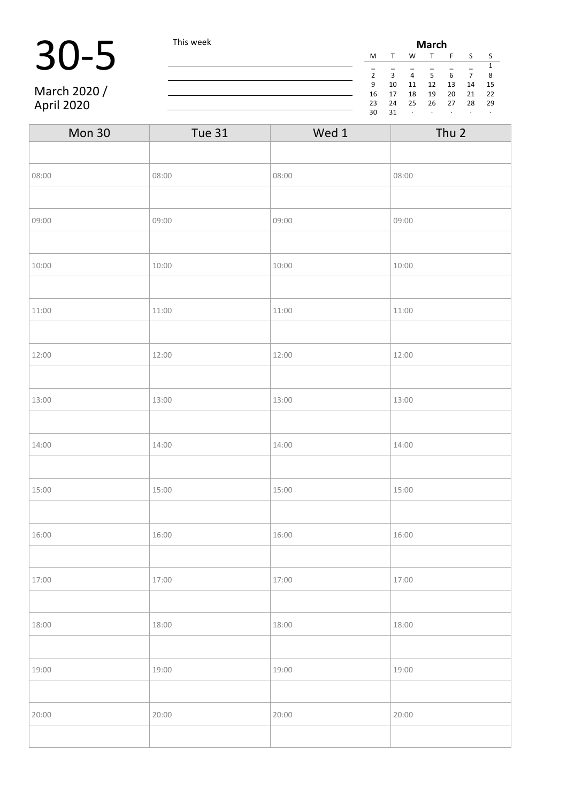# 30-5 This week

March 2020 / April 2020

| <b>March</b>   |    |    |    |    |    |    |
|----------------|----|----|----|----|----|----|
| M              |    | W  |    | F  | S  | S  |
| 1              |    |    |    |    |    |    |
| $\overline{2}$ | 3  | 4  | 5  | 6  | 7  | 8  |
| 9              | 10 | 11 | 12 | 13 | 14 | 15 |
| 16             | 17 | 18 | 19 | 20 | 21 | 22 |
| 23             | 24 | 25 | 26 | 27 | 28 | 29 |
| 30             | 31 | ٠  | ٠  |    | ٠  | ٠  |

| Mon 30 | <b>Tue 31</b> | Wed 1 | Thu 2 |
|--------|---------------|-------|-------|
|        |               |       |       |
| 08:00  | 08:00         | 08:00 | 08:00 |
|        |               |       |       |
| 09:00  | 09:00         | 09:00 | 09:00 |
|        |               |       |       |
| 10:00  | 10:00         | 10:00 | 10:00 |
|        |               |       |       |
| 11:00  | 11:00         | 11:00 | 11:00 |
|        |               |       |       |
| 12:00  | 12:00         | 12:00 | 12:00 |
|        |               |       |       |
| 13:00  | 13:00         | 13:00 | 13:00 |
|        |               |       |       |
| 14:00  | 14:00         | 14:00 | 14:00 |
|        |               |       |       |
| 15:00  | 15:00         | 15:00 | 15:00 |
|        |               |       |       |
| 16:00  | 16:00         | 16:00 | 16:00 |
|        |               |       |       |
| 17:00  | 17:00         | 17:00 | 17:00 |
|        |               |       |       |
| 18:00  | 18:00         | 18:00 | 18:00 |
|        |               |       |       |
| 19:00  | 19:00         | 19:00 | 19:00 |
|        |               |       |       |
| 20:00  | 20:00         | 20:00 | 20:00 |
|        |               |       |       |

<u> 1980 - Johann Barbara, martxa amerikan per</u>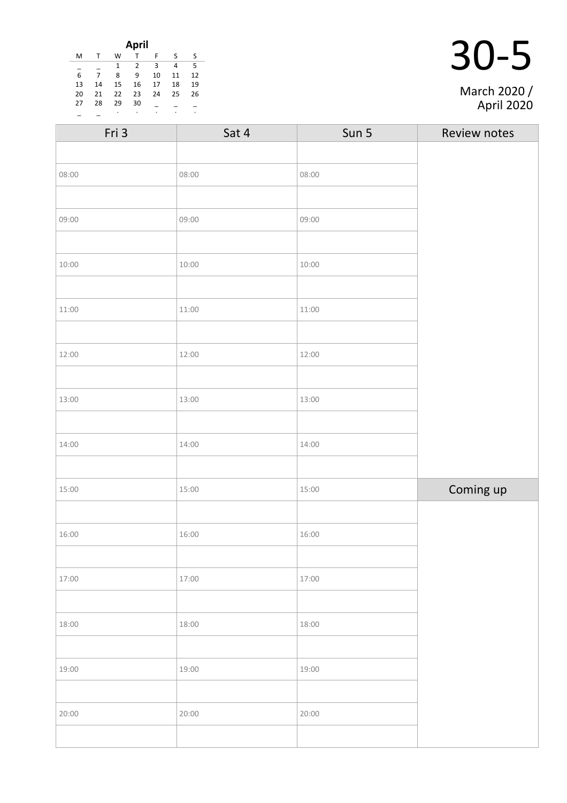| April                 |    |    |    |    |    |    |
|-----------------------|----|----|----|----|----|----|
| M                     |    | W  |    | F  | ς  | S  |
| 5<br>3<br>4<br>2<br>1 |    |    |    |    |    |    |
| 6                     |    | 8  | 9  | 10 | 11 | 12 |
| 13                    | 14 | 15 | 16 | 17 | 18 | 19 |
| 20                    | 21 | 22 | 23 | 24 | 25 | 26 |
| 27                    | 28 | 29 | 30 |    |    |    |
|                       |    |    | ٠  | ٠  | ٠  | ٠  |

| Fri 3 | Sat 4 | Sun 5 | Review notes |
|-------|-------|-------|--------------|
|       |       |       |              |
| 08:00 | 08:00 | 08:00 |              |
|       |       |       |              |
| 09:00 | 09:00 | 09:00 |              |
|       |       |       |              |
| 10:00 | 10:00 | 10:00 |              |
|       |       |       |              |
| 11:00 | 11:00 | 11:00 |              |
|       |       |       |              |
| 12:00 | 12:00 | 12:00 |              |
|       |       |       |              |
| 13:00 | 13:00 | 13:00 |              |
|       |       |       |              |
| 14:00 | 14:00 | 14:00 |              |
|       |       |       |              |
| 15:00 | 15:00 | 15:00 | Coming up    |
|       |       |       |              |
| 16:00 | 16:00 | 16:00 |              |
|       |       |       |              |
| 17:00 | 17:00 | 17:00 |              |
|       |       |       |              |
| 18:00 | 18:00 | 18:00 |              |
|       |       |       |              |
| 19:00 | 19:00 | 19:00 |              |
|       |       |       |              |
| 20:00 | 20:00 | 20:00 |              |
|       |       |       |              |

March 2020 / April 2020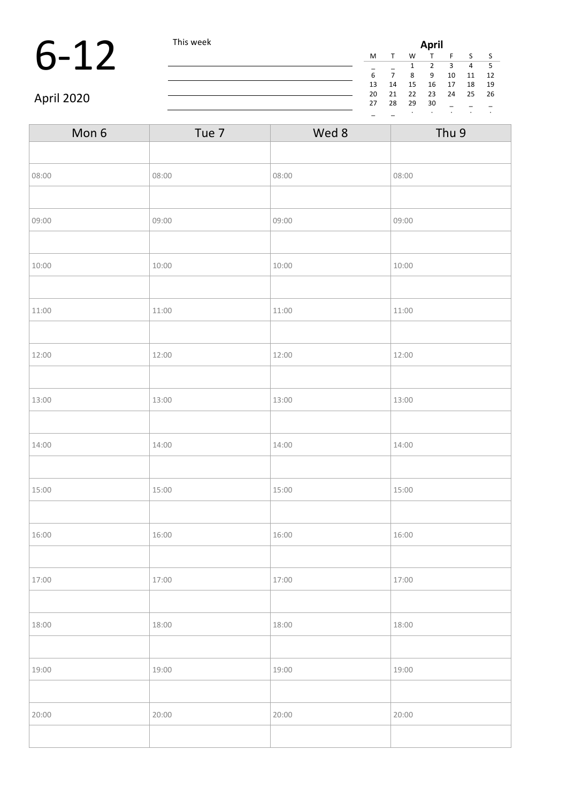#### 6-12 This week **April**<br>  $\frac{M T W T}{\frac{1}{6} - \frac{1}{7} - \frac{2}{8} - \frac{2}{9}}$

| Aprıl |    |    |    |    |    |    |  |
|-------|----|----|----|----|----|----|--|
| M     |    | W  |    | F  | S  | S  |  |
|       |    | 1  | 2  | 3  | 4  | 5  |  |
| 6     |    | 8  | 9  | 10 | 11 | 12 |  |
| 13    | 14 | 15 | 16 | 17 | 18 | 19 |  |
| 20    | 21 | 22 | 23 | 24 | 25 | 26 |  |
| 27    | 28 | 29 | 30 |    |    |    |  |
|       |    | ٠  | ٠  |    |    | ٠  |  |
|       |    |    |    |    |    |    |  |

April 2020

| Mon 6 | Tue 7 | Wed 8 | Thu 9 |
|-------|-------|-------|-------|
|       |       |       |       |
| 08:00 | 08:00 | 08:00 | 08:00 |
|       |       |       |       |
| 09:00 | 09:00 | 09:00 | 09:00 |
|       |       |       |       |
| 10:00 | 10:00 | 10:00 | 10:00 |
|       |       |       |       |
| 11:00 | 11:00 | 11:00 | 11:00 |
|       |       |       |       |
| 12:00 | 12:00 | 12:00 | 12:00 |
|       |       |       |       |
| 13:00 | 13:00 | 13:00 | 13:00 |
|       |       |       |       |
| 14:00 | 14:00 | 14:00 | 14:00 |
|       |       |       |       |
| 15:00 | 15:00 | 15:00 | 15:00 |
|       |       |       |       |
| 16:00 | 16:00 | 16:00 | 16:00 |
|       |       |       |       |
| 17:00 | 17:00 | 17:00 | 17:00 |
|       |       |       |       |
| 18:00 | 18:00 | 18:00 | 18:00 |
|       |       |       |       |
| 19:00 | 19:00 | 19:00 | 19:00 |
|       |       |       |       |
| 20:00 | 20:00 | 20:00 | 20:00 |
|       |       |       |       |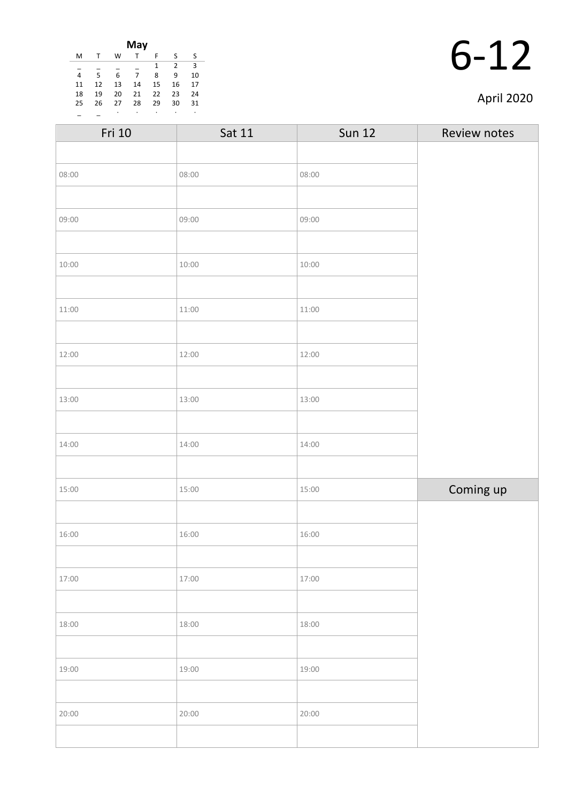| May |    |    |    |    |                |    |
|-----|----|----|----|----|----------------|----|
| M   | т  | W  |    | F  | S              | S  |
|     |    |    |    | 1  | $\overline{2}$ | 3  |
| 4   | 5  | 6  | 7  | 8  | 9              | 10 |
| 11  | 12 | 13 | 14 | 15 | 16             | 17 |
| 18  | 19 | 20 | 21 | 22 | 23             | 24 |
| 25  | 26 | 27 | 28 | 29 | 30             | 31 |
|     |    | ٠  |    |    |                | ٠  |

| Fri 10 | Sat 11 | <b>Sun 12</b> | Review notes |
|--------|--------|---------------|--------------|
|        |        |               |              |
| 08:00  | 08:00  | 08:00         |              |
|        |        |               |              |
| 09:00  | 09:00  | 09:00         |              |
|        |        |               |              |
| 10:00  | 10:00  | 10:00         |              |
|        |        |               |              |
| 11:00  | 11:00  | 11:00         |              |
|        |        |               |              |
| 12:00  | 12:00  | 12:00         |              |
|        |        |               |              |
| 13:00  | 13:00  | 13:00         |              |
|        |        |               |              |
| 14:00  | 14:00  | 14:00         |              |
|        |        |               |              |
| 15:00  | 15:00  | 15:00         | Coming up    |
|        |        |               |              |
| 16:00  | 16:00  | 16:00         |              |
|        |        |               |              |
| 17:00  | 17:00  | 17:00         |              |
|        |        |               |              |
| 18:00  | 18:00  | 18:00         |              |
|        |        |               |              |
| 19:00  | 19:00  | 19:00         |              |
|        |        |               |              |
| 20:00  | 20:00  | 20:00         |              |
|        |        |               |              |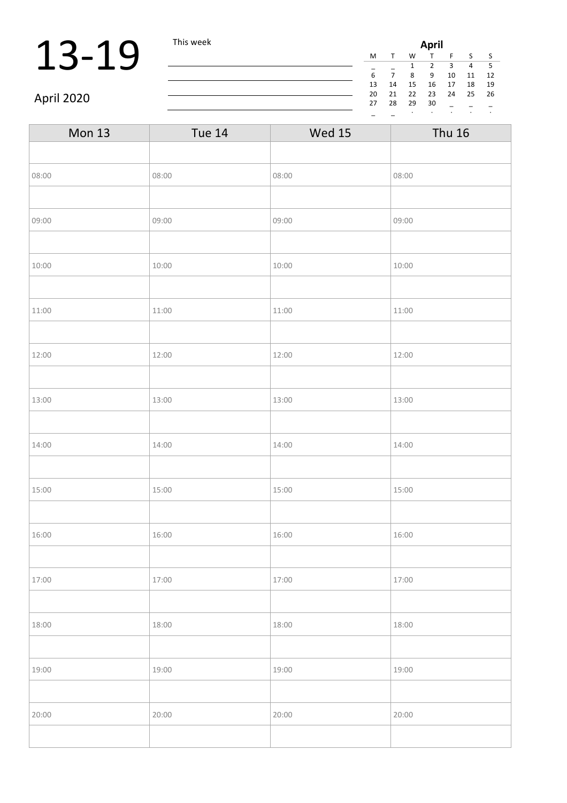### **13-19** This week **April**

| April |    |    |    |    |    |    |  |
|-------|----|----|----|----|----|----|--|
| M     |    | W  |    | F  | S  | S  |  |
|       |    | 1  | 2  | 3  | 4  | 5  |  |
| 6     |    | 8  | 9  | 10 | 11 | 12 |  |
| 13    | 14 | 15 | 16 | 17 | 18 | 19 |  |
| 20    | 21 | 22 | 23 | 24 | 25 | 26 |  |
| 27    | 28 | 29 | 30 |    |    |    |  |
|       |    | ٠  |    |    | ٠  | ٠  |  |

April 2020

| <b>Mon 13</b> | <b>Tue 14</b> | <b>Wed 15</b> | <b>Thu 16</b> |
|---------------|---------------|---------------|---------------|
|               |               |               |               |
| 08:00         | 08:00         | 08:00         | 08:00         |
|               |               |               |               |
| 09:00         | 09:00         | 09:00         | 09:00         |
|               |               |               |               |
| 10:00         | 10:00         | 10:00         | 10:00         |
|               |               |               |               |
| 11:00         | 11:00         | 11:00         | 11:00         |
|               |               |               |               |
| 12:00         | 12:00         | 12:00         | 12:00         |
|               |               |               |               |
| 13:00         | 13:00         | 13:00         | 13:00         |
|               |               |               |               |
| 14:00         | 14:00         | 14:00         | 14:00         |
|               |               |               |               |
| 15:00         | 15:00         | 15:00         | 15:00         |
|               |               |               |               |
| 16:00         | 16:00         | 16:00         | 16:00         |
|               |               |               |               |
| 17:00         | 17:00         | 17:00         | 17:00         |
|               |               |               |               |
| 18:00         | 18:00         | 18:00         | 18:00         |
|               |               |               |               |
| 19:00         | 19:00         | 19:00         | 19:00         |
|               |               |               |               |
| 20:00         | 20:00         | 20:00         | 20:00         |
|               |               |               |               |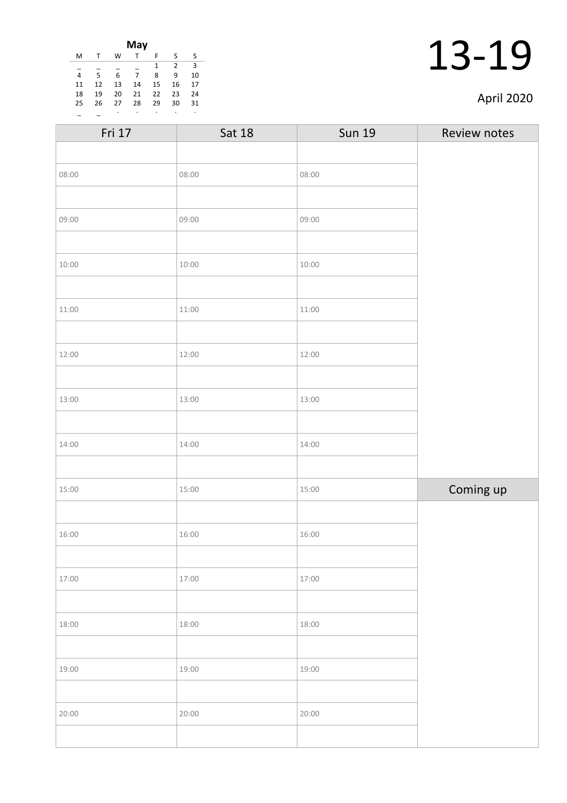| April 2020 |  |
|------------|--|
|------------|--|

| May |    |    |    |    |                |    |
|-----|----|----|----|----|----------------|----|
| M   | т  | W  | т  | F  | S              | S  |
|     |    |    |    | 1  | $\overline{2}$ | 3  |
| 4   | 5  | 6  | 7  | 8  | 9              | 10 |
| 11  | 12 | 13 | 14 | 15 | 16             | 17 |
| 18  | 19 | 20 | 21 | 22 | 23             | 24 |
| 25  | 26 | 27 | 28 | 29 | 30             | 31 |
|     |    | ٠  |    | ٠  | ٠              | ٠  |

| Fri 17 | <b>Sat 18</b> | <b>Sun 19</b> | Review notes |
|--------|---------------|---------------|--------------|
|        |               |               |              |
| 08:00  | 08:00         | 08:00         |              |
|        |               |               |              |
| 09:00  | 09:00         | 09:00         |              |
|        |               |               |              |
| 10:00  | 10:00         | 10:00         |              |
|        |               |               |              |
| 11:00  | 11:00         | 11:00         |              |
|        |               |               |              |
| 12:00  | 12:00         | 12:00         |              |
|        |               |               |              |
| 13:00  | 13:00         | 13:00         |              |
|        |               |               |              |
| 14:00  | 14:00         | 14:00         |              |
|        |               |               |              |
| 15:00  | 15:00         | 15:00         | Coming up    |
|        |               |               |              |
| 16:00  | 16:00         | 16:00         |              |
|        |               |               |              |
| 17:00  | 17:00         | 17:00         |              |
|        |               |               |              |
| 18:00  | 18:00         | 18:00         |              |
|        |               |               |              |
| 19:00  | 19:00         | 19:00         |              |
|        |               |               |              |
| 20:00  | 20:00         | 20:00         |              |
|        |               |               |              |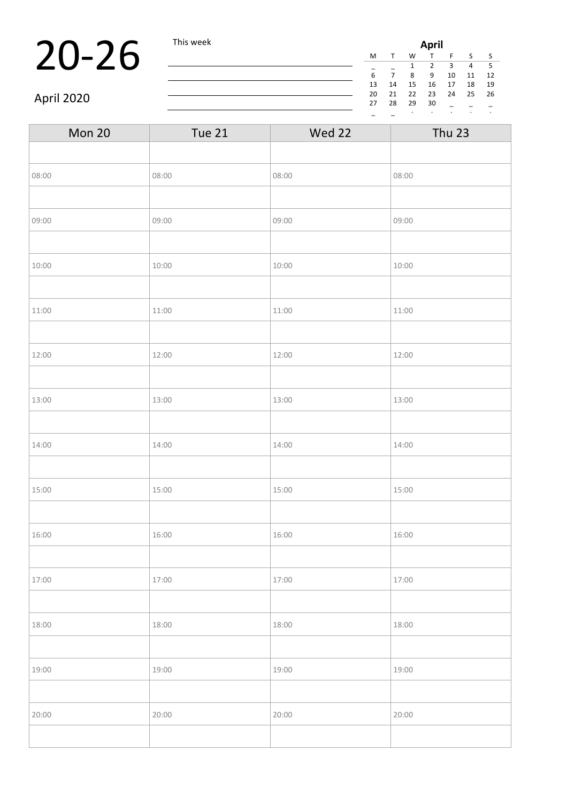### **20-26** This week **April**

| April |    |    |    |    |    |    |  |
|-------|----|----|----|----|----|----|--|
| M     | T  | W  |    | F  | S  | S  |  |
|       |    | 1  | 2  | 3  | 4  | 5  |  |
| 6     |    | 8  | 9  | 10 | 11 | 12 |  |
| 13    | 14 | 15 | 16 | 17 | 18 | 19 |  |
| 20    | 21 | 22 | 23 | 24 | 25 | 26 |  |
| 27    | 28 | 29 | 30 |    |    |    |  |
|       |    |    |    |    | ٠  | ٠  |  |

April 2020

| Mon 20 | <b>Tue 21</b> | Wed 22 | <b>Thu 23</b> |
|--------|---------------|--------|---------------|
|        |               |        |               |
| 08:00  | 08:00         | 08:00  | 08:00         |
|        |               |        |               |
| 09:00  | 09:00         | 09:00  | 09:00         |
|        |               |        |               |
| 10:00  | 10:00         | 10:00  | 10:00         |
|        |               |        |               |
| 11:00  | 11:00         | 11:00  | 11:00         |
|        |               |        |               |
| 12:00  | 12:00         | 12:00  | 12:00         |
|        |               |        |               |
| 13:00  | 13:00         | 13:00  | 13:00         |
|        |               |        |               |
| 14:00  | 14:00         | 14:00  | 14:00         |
|        |               |        |               |
| 15:00  | 15:00         | 15:00  | 15:00         |
|        |               |        |               |
| 16:00  | 16:00         | 16:00  | 16:00         |
|        |               |        |               |
| 17:00  | 17:00         | 17:00  | 17:00         |
|        |               |        |               |
| 18:00  | 18:00         | 18:00  | 18:00         |
|        |               |        |               |
| 19:00  | 19:00         | 19:00  | 19:00         |
|        |               |        |               |
| 20:00  | 20:00         | 20:00  | 20:00         |
|        |               |        |               |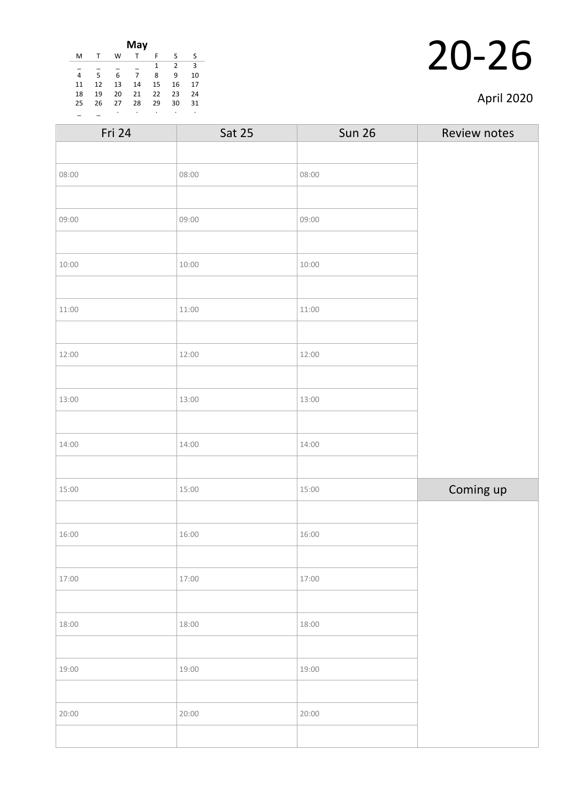| May |    |    |    |    |                |    |
|-----|----|----|----|----|----------------|----|
| M   |    | W  |    | F  | S              | S  |
|     |    |    |    | 1  | $\overline{2}$ | 3  |
| 4   | 5  | 6  | 7  | 8  | 9              | 10 |
| 11  | 12 | 13 | 14 | 15 | 16             | 17 |
| 18  | 19 | 20 | 21 | 22 | 23             | 24 |
| 25  | 26 | 27 | 28 | 29 | 30             | 31 |
|     |    |    |    | ٠  |                | ٠  |

| April 2020 |
|------------|
|------------|

| <b>Sat 25</b> | <b>Sun 26</b> | Review notes |
|---------------|---------------|--------------|
|               |               |              |
| 08:00         | 08:00         |              |
|               |               |              |
| 09:00         | 09:00         |              |
|               |               |              |
| 10:00         | 10:00         |              |
|               |               |              |
| 11:00         | 11:00         |              |
|               |               |              |
| 12:00         | 12:00         |              |
|               |               |              |
| 13:00         | 13:00         |              |
|               |               |              |
| 14:00         | 14:00         |              |
|               |               |              |
| 15:00         | 15:00         | Coming up    |
|               |               |              |
| 16:00         | 16:00         |              |
|               |               |              |
| 17:00         | 17:00         |              |
|               |               |              |
| 18:00         | 18:00         |              |
|               |               |              |
| 19:00         | 19:00         |              |
|               |               |              |
| 20:00         | 20:00         |              |
|               |               |              |
|               |               |              |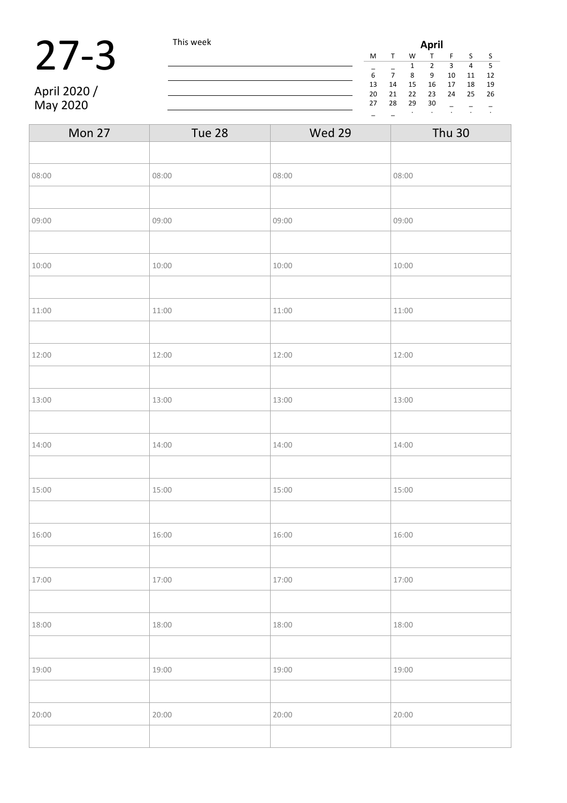### 27-3 This week

April 2020 / May 2020

| April |    |    |    |    |    |    |    |
|-------|----|----|----|----|----|----|----|
|       | M  |    | W  |    | F  | S  | S  |
|       |    |    | 1  | 2  | 3  | 4  | 5  |
|       | 6  |    | 8  | 9  | 10 | 11 | 12 |
|       | 13 | 14 | 15 | 16 | 17 | 18 | 19 |
|       | 20 | 21 | 22 | 23 | 24 | 25 | 26 |
|       | 27 | 28 | 29 | 30 |    |    |    |
|       |    |    | ٠  | ٠  | ٠  | ٠  | ٠  |

| Mon 27 | Tue 28 | Wed 29 | <b>Thu 30</b> |
|--------|--------|--------|---------------|
|        |        |        |               |
| 08:00  | 08:00  | 08:00  | 08:00         |
|        |        |        |               |
| 09:00  | 09:00  | 09:00  | 09:00         |
|        |        |        |               |
| 10:00  | 10:00  | 10:00  | 10:00         |
|        |        |        |               |
| 11:00  | 11:00  | 11:00  | 11:00         |
|        |        |        |               |
| 12:00  | 12:00  | 12:00  | 12:00         |
|        |        |        |               |
| 13:00  | 13:00  | 13:00  | 13:00         |
|        |        |        |               |
| 14:00  | 14:00  | 14:00  | 14:00         |
|        |        |        |               |
| 15:00  | 15:00  | 15:00  | 15:00         |
|        |        |        |               |
| 16:00  | 16:00  | 16:00  | 16:00         |
|        |        |        |               |
| 17:00  | 17:00  | 17:00  | 17:00         |
|        |        |        |               |
| 18:00  | 18:00  | 18:00  | 18:00         |
|        |        |        |               |
| 19:00  | 19:00  | 19:00  | 19:00         |
|        |        |        |               |
| 20:00  | 20:00  | 20:00  | 20:00         |
|        |        |        |               |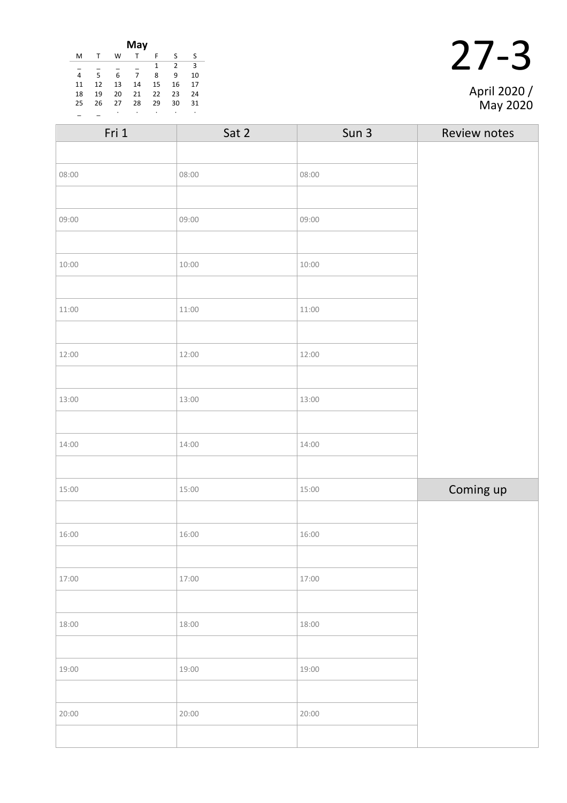| May |    |    |    |    |    |    |
|-----|----|----|----|----|----|----|
| M   |    | W  |    | F  | ς  | S  |
|     |    |    |    | 1  | 2  | 3  |
| 4   | 5  | 6  | 7  | 8  | 9  | 10 |
| 11  | 12 | 13 | 14 | 15 | 16 | 17 |
| 18  | 19 | 20 | 21 | 22 | 23 | 24 |
| 25  | 26 | 27 | 28 | 29 | 30 | 31 |
|     |    |    |    | ٠  |    | ٠  |

| Fri 1 | Sat 2 | Sun 3 | Review notes |
|-------|-------|-------|--------------|
|       |       |       |              |
| 08:00 | 08:00 | 08:00 |              |
|       |       |       |              |
| 09:00 | 09:00 | 09:00 |              |
|       |       |       |              |
| 10:00 | 10:00 | 10:00 |              |
|       |       |       |              |
| 11:00 | 11:00 | 11:00 |              |
|       |       |       |              |
| 12:00 | 12:00 | 12:00 |              |
|       |       |       |              |
| 13:00 | 13:00 | 13:00 |              |
|       |       |       |              |
| 14:00 | 14:00 | 14:00 |              |
|       |       |       |              |
| 15:00 | 15:00 | 15:00 | Coming up    |
|       |       |       |              |
| 16:00 | 16:00 | 16:00 |              |
|       |       |       |              |
| 17:00 | 17:00 | 17:00 |              |
|       |       |       |              |
| 18:00 | 18:00 | 18:00 |              |
|       |       |       |              |
| 19:00 | 19:00 | 19:00 |              |
|       |       |       |              |
| 20:00 | 20:00 | 20:00 |              |
|       |       |       |              |

27-3 April 2020 /

May 2020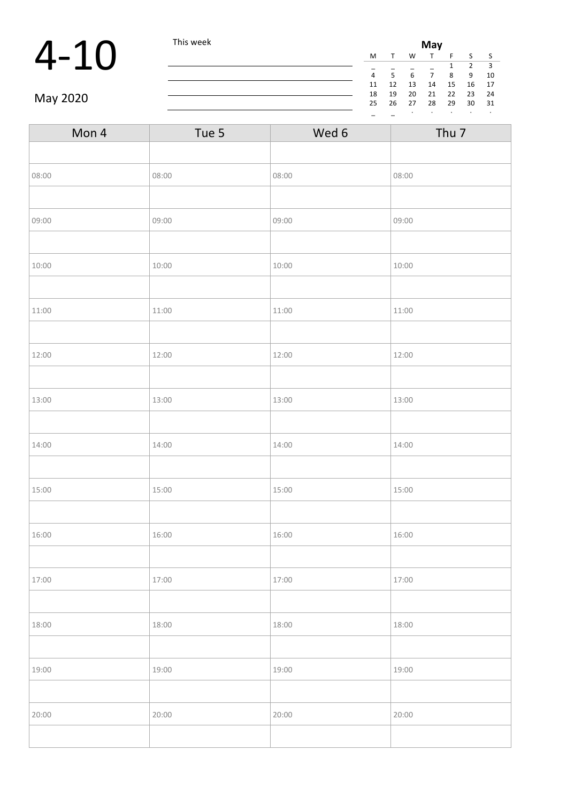## $4-10$  This week May 1

| May |    |    |    |    |    |    |
|-----|----|----|----|----|----|----|
| M   |    | W  |    | F  | S  | S  |
|     |    |    |    | 1  | 2  | 3  |
| 4   | 5  | 6  | 7  | 8  | 9  | 10 |
| 11  | 12 | 13 | 14 | 15 | 16 | 17 |
| 18  | 19 | 20 | 21 | 22 | 23 | 24 |
| 25  | 26 | 27 | 28 | 29 | 30 | 31 |
|     |    |    |    |    |    | ٠  |

May 2020

| Tue 5 | Wed 6 | Thu <sub>7</sub> |
|-------|-------|------------------|
|       |       |                  |
| 08:00 | 08:00 | 08:00            |
|       |       |                  |
| 09:00 | 09:00 | 09:00            |
|       |       |                  |
| 10:00 | 10:00 | 10:00            |
|       |       |                  |
| 11:00 | 11:00 | 11:00            |
|       |       |                  |
| 12:00 | 12:00 | 12:00            |
|       |       |                  |
| 13:00 | 13:00 | 13:00            |
|       |       |                  |
| 14:00 | 14:00 | 14:00            |
|       |       |                  |
| 15:00 | 15:00 | 15:00            |
|       |       |                  |
| 16:00 | 16:00 | 16:00            |
|       |       |                  |
| 17:00 | 17:00 | 17:00            |
|       |       |                  |
| 18:00 | 18:00 | 18:00            |
|       |       |                  |
| 19:00 | 19:00 | 19:00            |
|       |       |                  |
| 20:00 | 20:00 | 20:00            |
|       |       |                  |
|       |       |                  |

<u> 1980 - Johann Barbara, martxa amerikan per</u>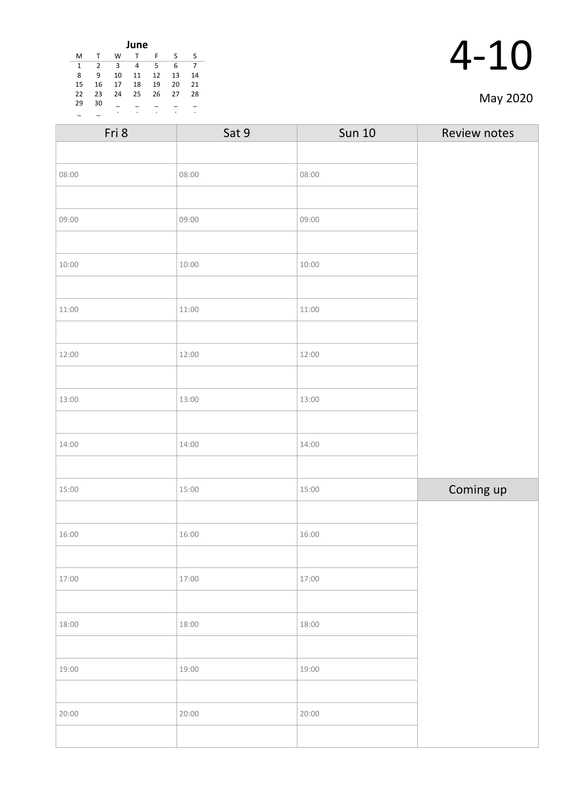| June |    |    |    |    |    |    |
|------|----|----|----|----|----|----|
| M    | T  | W  | т  | F  | S  | S  |
| 1    | 2  | 3  | 4  | 5  | 6  | 7  |
| 8    | 9  | 10 | 11 | 12 | 13 | 14 |
| 15   | 16 | 17 | 18 | 19 | 20 | 21 |
| 22   | 23 | 24 | 25 | 26 | 27 | 28 |
| 29   | 30 |    |    |    |    |    |
|      |    | ٠  | ٠  | ٠  | ٠  | ٠  |

| $\mathcal{A}-$ | 10 |
|----------------|----|
|                |    |

|  | May 2020 |
|--|----------|
|--|----------|

| Fri 8 | Sat 9 | <b>Sun 10</b> | Review notes |
|-------|-------|---------------|--------------|
|       |       |               |              |
| 08:00 | 08:00 | 08:00         |              |
|       |       |               |              |
| 09:00 | 09:00 | 09:00         |              |
|       |       |               |              |
| 10:00 | 10:00 | 10:00         |              |
|       |       |               |              |
| 11:00 | 11:00 | 11:00         |              |
|       |       |               |              |
| 12:00 | 12:00 | 12:00         |              |
|       |       |               |              |
| 13:00 | 13:00 | 13:00         |              |
|       |       |               |              |
| 14:00 | 14:00 | 14:00         |              |
|       |       |               |              |
| 15:00 | 15:00 | 15:00         | Coming up    |
|       |       |               |              |
| 16:00 | 16:00 | 16:00         |              |
|       |       |               |              |
| 17:00 | 17:00 | 17:00         |              |
|       |       |               |              |
| 18:00 | 18:00 | 18:00         |              |
|       |       |               |              |
| 19:00 | 19:00 | 19:00         |              |
|       |       |               |              |
| 20:00 | 20:00 | 20:00         |              |
|       |       |               |              |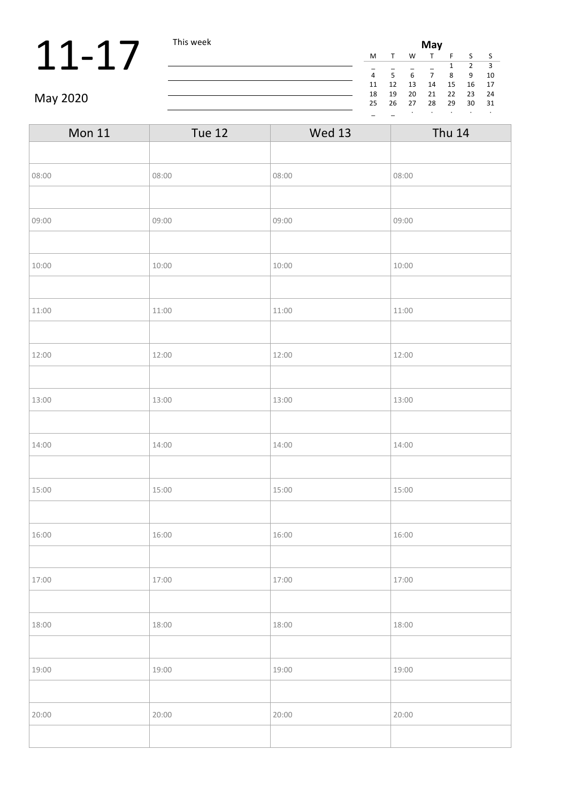## **11-17** This week **Miss and This week Miss and The Miss and The Miss and The Miss and The Miss and The Miss and The Miss and The Miss and The Miss and The Miss and The Miss and The Miss and The Miss and The Miss and The**

| May |    |    |    |    |    |    |
|-----|----|----|----|----|----|----|
| M   |    | W  |    | F  | S  | S  |
|     |    |    |    | 1  | 2  | 3  |
| 4   | 5  | 6  | 7  | 8  | ٩  | 10 |
| 11  | 12 | 13 | 14 | 15 | 16 | 17 |
| 18  | 19 | 20 | 21 | 22 | 23 | 24 |
| 25  | 26 | 27 | 28 | 29 | 30 | 31 |
|     |    |    |    |    |    | ٠  |

### May 2020

| <b>Mon 11</b> | <b>Tue 12</b> | <b>Wed 13</b> | <b>Thu 14</b> |
|---------------|---------------|---------------|---------------|
|               |               |               |               |
| 08:00         | 08:00         | 08:00         | 08:00         |
|               |               |               |               |
| 09:00         | 09:00         | 09:00         | 09:00         |
|               |               |               |               |
| 10:00         | 10:00         | 10:00         | 10:00         |
|               |               |               |               |
| 11:00         | 11:00         | 11:00         | 11:00         |
|               |               |               |               |
| 12:00         | 12:00         | 12:00         | 12:00         |
|               |               |               |               |
| 13:00         | 13:00         | 13:00         | 13:00         |
|               |               |               |               |
| 14:00         | 14:00         | 14:00         | 14:00         |
|               |               |               |               |
| 15:00         | 15:00         | 15:00         | 15:00         |
|               |               |               |               |
| 16:00         | 16:00         | 16:00         | 16:00         |
|               |               |               |               |
| 17:00         | 17:00         | 17:00         | 17:00         |
|               |               |               |               |
| 18:00         | 18:00         | 18:00         | 18:00         |
|               |               |               |               |
| 19:00         | 19:00         | 19:00         | 19:00         |
|               |               |               |               |
| 20:00         | 20:00         | 20:00         | 20:00         |
|               |               |               |               |

<u> 1980 - Johann Barnett, fransk politik (</u>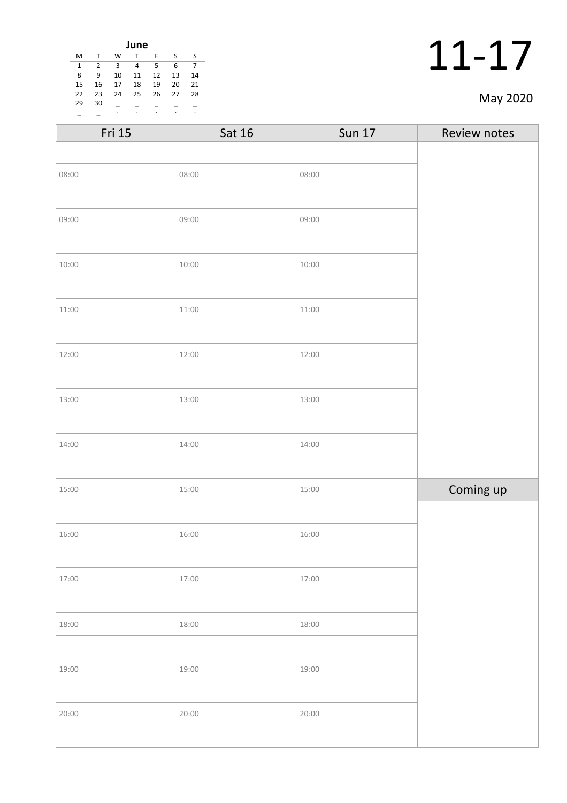| June |                |    |    |    |    |    |
|------|----------------|----|----|----|----|----|
| М    |                | w  | т  | F  | S  | S  |
| 1    | $\overline{2}$ | 3  | 4  | 5  | 6  | 7  |
| 8    | 9              | 10 | 11 | 12 | 13 | 14 |
| 15   | 16             | 17 | 18 | 19 | 20 | 21 |
| 22   | 23             | 24 | 25 | 26 | 27 | 28 |
| 29   | 30             |    |    |    |    |    |
|      |                | ٠  | ٠  | ٠  | ٠  | ٠  |

|  | May 2020 |
|--|----------|
|--|----------|

| Fri 15 | Sat 16 | <b>Sun 17</b> | Review notes |
|--------|--------|---------------|--------------|
|        |        |               |              |
| 08:00  | 08:00  | 08:00         |              |
|        |        |               |              |
| 09:00  | 09:00  | 09:00         |              |
|        |        |               |              |
| 10:00  | 10:00  | 10:00         |              |
|        |        |               |              |
| 11:00  | 11:00  | 11:00         |              |
|        |        |               |              |
| 12:00  | 12:00  | 12:00         |              |
|        |        |               |              |
| 13:00  | 13:00  | 13:00         |              |
|        |        |               |              |
| 14:00  | 14:00  | 14:00         |              |
|        |        |               |              |
| 15:00  | 15:00  | 15:00         | Coming up    |
|        |        |               |              |
| 16:00  | 16:00  | 16:00         |              |
|        |        |               |              |
| 17:00  | 17:00  | 17:00         |              |
|        |        |               |              |
| 18:00  | 18:00  | 18:00         |              |
|        |        |               |              |
| 19:00  | 19:00  | 19:00         |              |
|        |        |               |              |
| 20:00  | 20:00  | 20:00         |              |
|        |        |               |              |
|        |        |               |              |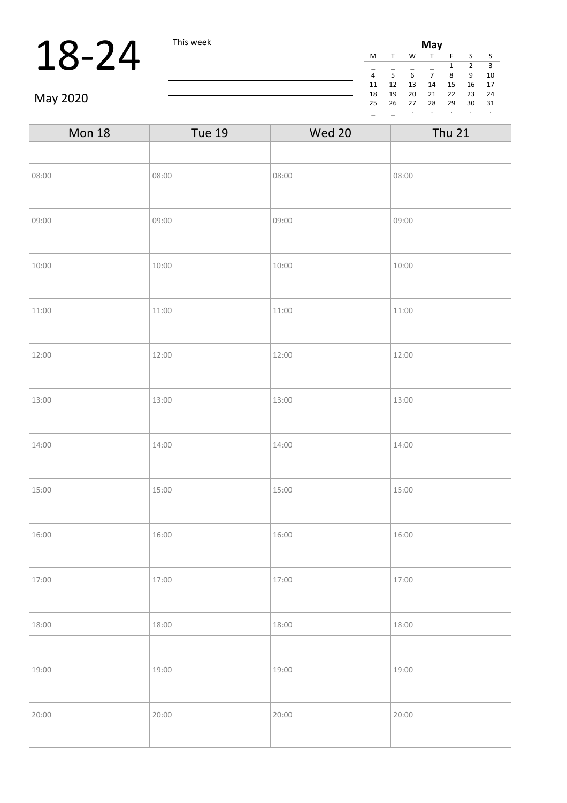## **18-24** This week Miss and Miss and Miss and Miss and Miss and Miss and Miss and Miss and Miss and Miss and Miss and Miss and Miss and Miss and Miss and Miss and Miss and Miss and Miss and Miss and Miss and Miss and Miss

| May |    |    |    |    |    |    |  |
|-----|----|----|----|----|----|----|--|
| M   |    | W  | T. | F  | S  | S  |  |
|     |    |    |    | 1  | 2  | 3  |  |
| 4   | 5  | 6  | 7  | 8  | 9  | 10 |  |
| 11  | 12 | 13 | 14 | 15 | 16 | 17 |  |
| 18  | 19 | 20 | 21 | 22 | 23 | 24 |  |
| 25  | 26 | 27 | 28 | 29 | 30 | 31 |  |
|     |    |    |    |    |    |    |  |

May 2020

| <b>Mon 18</b> | <b>Tue 19</b> | <b>Wed 20</b> | <b>Thu 21</b> |  |  |
|---------------|---------------|---------------|---------------|--|--|
|               |               |               |               |  |  |
| 08:00         | 08:00         | 08:00         | 08:00         |  |  |
|               |               |               |               |  |  |
| 09:00         | 09:00         | 09:00         | 09:00         |  |  |
|               |               |               |               |  |  |
| 10:00         | 10:00         | 10:00         | 10:00         |  |  |
|               |               |               |               |  |  |
| 11:00         | 11:00         | 11:00         | 11:00         |  |  |
|               |               |               |               |  |  |
| 12:00         | 12:00         | 12:00         | 12:00         |  |  |
|               |               |               |               |  |  |
| 13:00         | 13:00         | 13:00         | 13:00         |  |  |
|               |               |               |               |  |  |
| 14:00         | 14:00         | 14:00         | 14:00         |  |  |
|               |               |               |               |  |  |
| 15:00         | 15:00         | 15:00         | 15:00         |  |  |
|               |               |               |               |  |  |
| 16:00         | 16:00         | 16:00         | 16:00         |  |  |
|               |               |               |               |  |  |
| 17:00         | 17:00         | 17:00         | 17:00         |  |  |
|               |               |               |               |  |  |
| 18:00         | 18:00         | 18:00         | 18:00         |  |  |
|               |               |               |               |  |  |
| 19:00         | 19:00         | 19:00         | 19:00         |  |  |
|               |               |               |               |  |  |
| 20:00         | 20:00         | 20:00         | 20:00         |  |  |
|               |               |               |               |  |  |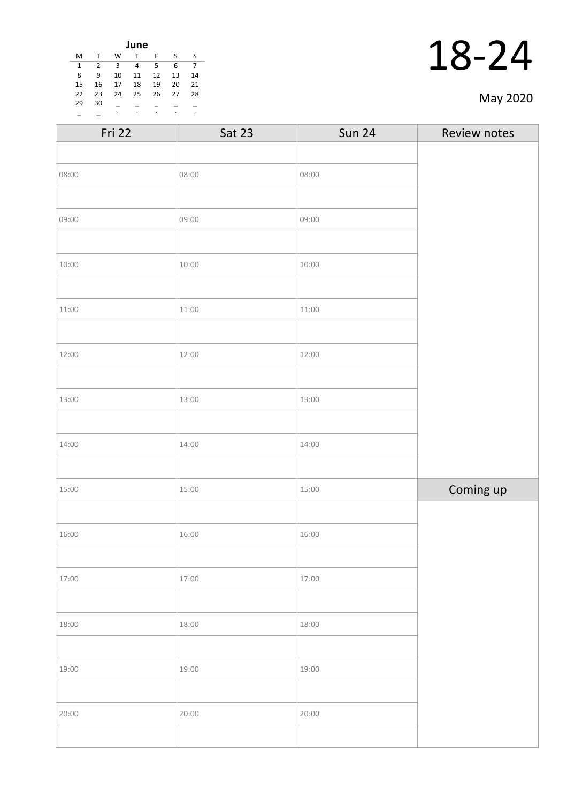| June |              |    |    |    |    |    |  |
|------|--------------|----|----|----|----|----|--|
| M    | $\mathsf{T}$ | W  | т  | F  | S  | S  |  |
| 1    | 2            | 3  | 4  | 5  | 6  | 7  |  |
| 8    | 9            | 10 | 11 | 12 | 13 | 14 |  |
| 15   | 16           | 17 | 18 | 19 | 20 | 21 |  |
| 22   | 23           | 24 | 25 | 26 | 27 | 28 |  |
| 29   | 30           |    |    |    |    |    |  |
|      |              | ٠  | ٠  | ٠  | ٠  | ٠  |  |

|  | May 2020 |
|--|----------|
|--|----------|

| Fri 22 | <b>Sat 23</b> | <b>Sun 24</b> | Review notes |
|--------|---------------|---------------|--------------|
|        |               |               |              |
| 08:00  | 08:00         | 08:00         |              |
|        |               |               |              |
| 09:00  | 09:00         | 09:00         |              |
|        |               |               |              |
| 10:00  | 10:00         | 10:00         |              |
|        |               |               |              |
| 11:00  | 11:00         | 11:00         |              |
|        |               |               |              |
| 12:00  | 12:00         | 12:00         |              |
|        |               |               |              |
| 13:00  | 13:00         | 13:00         |              |
|        |               |               |              |
| 14:00  | 14:00         | 14:00         |              |
|        |               |               |              |
| 15:00  | 15:00         | 15:00         | Coming up    |
|        |               |               |              |
| 16:00  | 16:00         | 16:00         |              |
|        |               |               |              |
| 17:00  | 17:00         | 17:00         |              |
|        |               |               |              |
| 18:00  | 18:00         | 18:00         |              |
|        |               |               |              |
| 19:00  | 19:00         | 19:00         |              |
|        |               |               |              |
| 20:00  | 20:00         | 20:00         |              |
|        |               |               |              |
|        |               |               |              |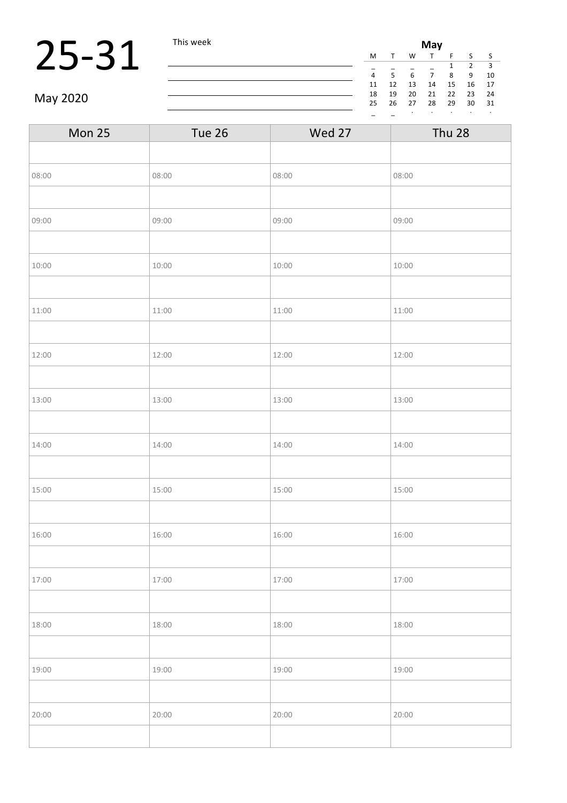## **25-31** This week **Mix 1** This week **Mix 1**  $\frac{M}{4}$   $\frac{1}{5}$   $\frac{1}{6}$   $\frac{1}{7}$

| May |              |    |    |    |    |    |
|-----|--------------|----|----|----|----|----|
| М   | $\mathsf{T}$ | W  |    | F  | S  | S  |
|     |              |    |    | 1  | 2  | з  |
| 4   | 5            | 6  | 7  | 8  | 9  | 10 |
| 11  | 12           | 13 | 14 | 15 | 16 | 17 |
| 18  | 19           | 20 | 21 | 22 | 23 | 24 |
| 25  | 26           | 27 | 28 | 29 | 30 | 31 |
|     |              |    |    |    |    | ٠  |

May 2020

| Mon 25 | Tue 26 | Wed 27 | Thu 28 |
|--------|--------|--------|--------|
|        |        |        |        |
| 08:00  | 08:00  | 08:00  | 08:00  |
|        |        |        |        |
| 09:00  | 09:00  | 09:00  | 09:00  |
|        |        |        |        |
| 10:00  | 10:00  | 10:00  | 10:00  |
|        |        |        |        |
| 11:00  | 11:00  | 11:00  | 11:00  |
|        |        |        |        |
| 12:00  | 12:00  | 12:00  | 12:00  |
|        |        |        |        |
| 13:00  | 13:00  | 13:00  | 13:00  |
|        |        |        |        |
| 14:00  | 14:00  | 14:00  | 14:00  |
|        |        |        |        |
| 15:00  | 15:00  | 15:00  | 15:00  |
|        |        |        |        |
| 16:00  | 16:00  | 16:00  | 16:00  |
|        |        |        |        |
| 17:00  | 17:00  | 17:00  | 17:00  |
|        |        |        |        |
| 18:00  | 18:00  | 18:00  | 18:00  |
|        |        |        |        |
| 19:00  | 19:00  | 19:00  | 19:00  |
|        |        |        |        |
| 20:00  | 20:00  | 20:00  | 20:00  |
|        |        |        |        |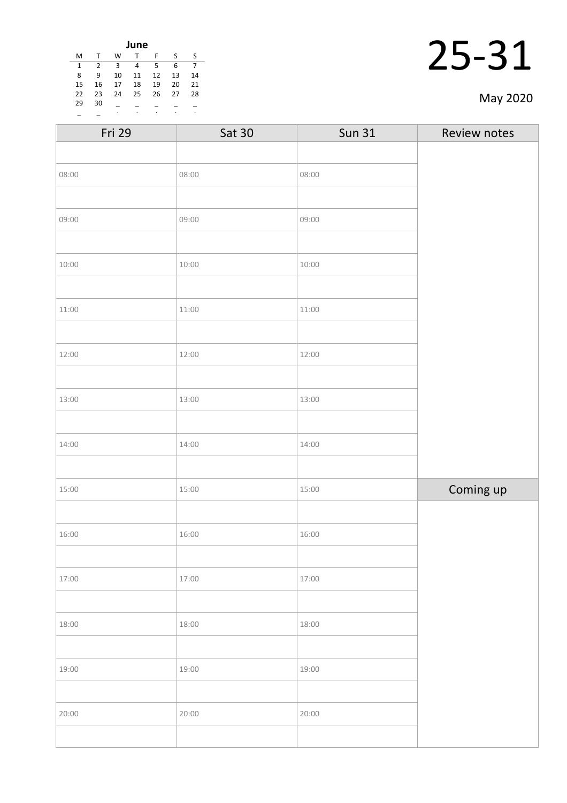| June |                |    |    |    |    |    |  |
|------|----------------|----|----|----|----|----|--|
| M    | $\mathsf{T}$   | W  | T  | F  | S  | ς  |  |
| 1    | $\overline{2}$ | 3  | 4  | 5  | 6  | 7  |  |
| 8    | 9              | 10 | 11 | 12 | 13 | 14 |  |
| 15   | 16             | 17 | 18 | 19 | 20 | 21 |  |
| 22   | 23             | 24 | 25 | 26 | 27 | 28 |  |
| 29   | 30             |    |    |    |    |    |  |
|      |                | ٠  | ٠  | ٠  | ٠  | ٠  |  |

|  | May 2020 |
|--|----------|
|--|----------|

| Fri 29 | <b>Sat 30</b> | <b>Sun 31</b> | Review notes |
|--------|---------------|---------------|--------------|
|        |               |               |              |
| 08:00  | 08:00         | 08:00         |              |
|        |               |               |              |
| 09:00  | 09:00         | 09:00         |              |
|        |               |               |              |
| 10:00  | 10:00         | 10:00         |              |
|        |               |               |              |
| 11:00  | 11:00         | 11:00         |              |
|        |               |               |              |
| 12:00  | 12:00         | 12:00         |              |
|        |               |               |              |
| 13:00  | 13:00         | 13:00         |              |
|        |               |               |              |
| 14:00  | 14:00         | 14:00         |              |
|        |               |               |              |
| 15:00  | 15:00         | 15:00         | Coming up    |
|        |               |               |              |
| 16:00  | 16:00         | 16:00         |              |
|        |               |               |              |
| 17:00  | 17:00         | 17:00         |              |
|        |               |               |              |
| 18:00  | 18:00         | 18:00         |              |
|        |               |               |              |
| 19:00  | 19:00         | 19:00         |              |
|        |               |               |              |
| 20:00  | 20:00         | 20:00         |              |
|        |               |               |              |
|        |               |               |              |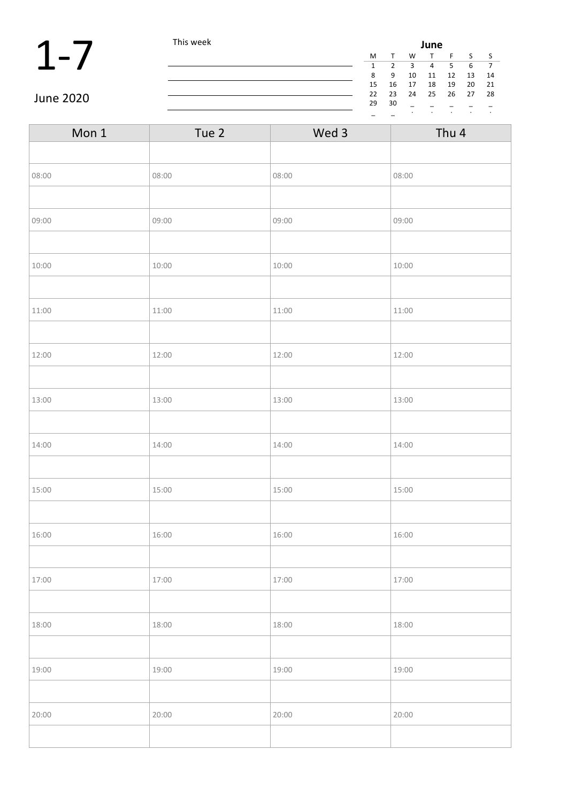|           | This week |    | June |         |           |      |         |      |  |  |
|-----------|-----------|----|------|---------|-----------|------|---------|------|--|--|
|           |           | M  |      | W       |           |      |         |      |  |  |
|           |           |    |      |         | 4         |      | 6       |      |  |  |
|           |           | 8  | 9    | 10      | 11        | 12   | 13      | 14   |  |  |
|           |           | 15 | 16   | 17      | 18        | 19   | 20      | 21   |  |  |
|           |           | 22 | 23   | 24      | 25        | - 26 | 27      | - 28 |  |  |
| June 2020 |           | 29 | 30   |         |           |      |         |      |  |  |
|           |           |    |      | $\cdot$ | $\bullet$ |      | $\cdot$ |      |  |  |

| Mon 1 | Tue 2 | Wed 3 | Thu 4 |
|-------|-------|-------|-------|
|       |       |       |       |
| 08:00 | 08:00 | 08:00 | 08:00 |
|       |       |       |       |
| 09:00 | 09:00 | 09:00 | 09:00 |
|       |       |       |       |
| 10:00 | 10:00 | 10:00 | 10:00 |
|       |       |       |       |
| 11:00 | 11:00 | 11:00 | 11:00 |
|       |       |       |       |
| 12:00 | 12:00 | 12:00 | 12:00 |
|       |       |       |       |
| 13:00 | 13:00 | 13:00 | 13:00 |
|       |       |       |       |
| 14:00 | 14:00 | 14:00 | 14:00 |
|       |       |       |       |
| 15:00 | 15:00 | 15:00 | 15:00 |
|       |       |       |       |
| 16:00 | 16:00 | 16:00 | 16:00 |
|       |       |       |       |
| 17:00 | 17:00 | 17:00 | 17:00 |
|       |       |       |       |
| 18:00 | 18:00 | 18:00 | 18:00 |
|       |       |       |       |
| 19:00 | 19:00 | 19:00 | 19:00 |
|       |       |       |       |
| 20:00 | 20:00 | 20:00 | 20:00 |
|       |       |       |       |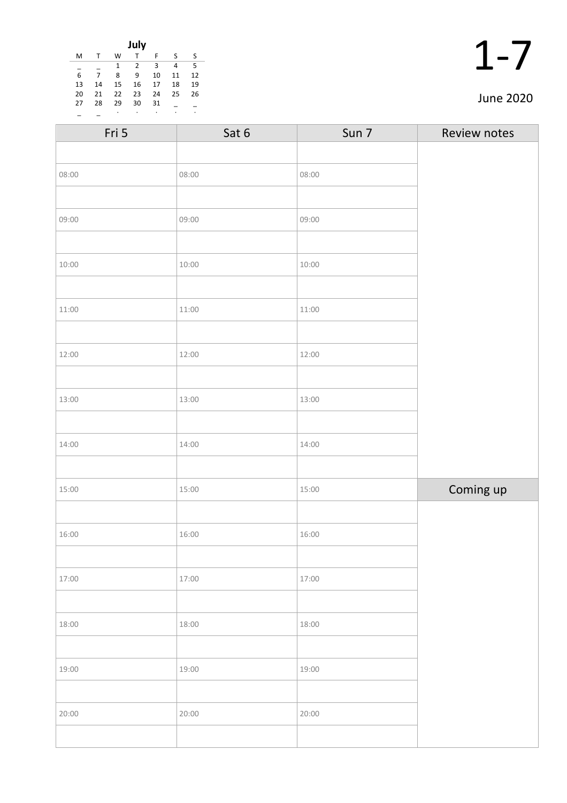|    |    |    | July |    |    |    |
|----|----|----|------|----|----|----|
| M  |    | W  |      | F  | S  | S  |
|    |    | 1  | 2    | 3  | 4  | 5  |
| 6  | 7  | 8  | 9    | 10 | 11 | 12 |
| 13 | 14 | 15 | 16   | 17 | 18 | 19 |
| 20 | 21 | 22 | 23   | 24 | 25 | 26 |
| 27 | 28 | 29 | 30   | 31 |    |    |
|    |    | ٠  | ٠    | ٠  | ٠  | ٠  |

| $\blacktriangleleft$ |   |
|----------------------|---|
|                      | 1 |

### June 2020

| Fri 5 | Sat 6 | Sun 7 | Review notes |
|-------|-------|-------|--------------|
|       |       |       |              |
| 08:00 | 08:00 | 08:00 |              |
|       |       |       |              |
| 09:00 | 09:00 | 09:00 |              |
|       |       |       |              |
| 10:00 | 10:00 | 10:00 |              |
|       |       |       |              |
| 11:00 | 11:00 | 11:00 |              |
|       |       |       |              |
| 12:00 | 12:00 | 12:00 |              |
|       |       |       |              |
| 13:00 | 13:00 | 13:00 |              |
|       |       |       |              |
| 14:00 | 14:00 | 14:00 |              |
|       |       |       |              |
| 15:00 | 15:00 | 15:00 | Coming up    |
|       |       |       |              |
| 16:00 | 16:00 | 16:00 |              |
|       |       |       |              |
| 17:00 | 17:00 | 17:00 |              |
|       |       |       |              |
| 18:00 | 18:00 | 18:00 |              |
|       |       |       |              |
| 19:00 | 19:00 | 19:00 |              |
|       |       |       |              |
| 20:00 | 20:00 | 20:00 |              |
|       |       |       |              |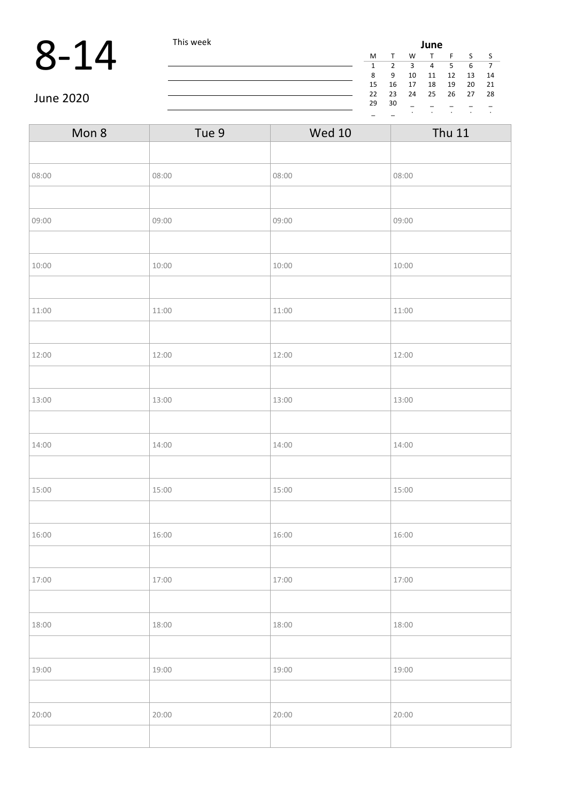### 8-14 This week **June 1 and 1** This week **June 1** and 1 and 1 and 1 and 1 and 1 and 1 and 1 and 1 and 1 and 1 and 1 and 1 and 1 and 1 and 1 and 1 and 1 and 1 and 1 and 1 and 1 and 1 and 1 and 1 and 1 and 1 and 1 and 1 and

|    |    |    | June |    |    |    |  |
|----|----|----|------|----|----|----|--|
| М  |    | W  | т    | F  | S  | S  |  |
| 1  | 2  | 3  | 4    | 5  | 6  |    |  |
| 8  | ٩  | 10 | 11   | 12 | 13 | 14 |  |
| 15 | 16 | 17 | 18   | 19 | 20 | 21 |  |
| 22 | 23 | 24 | 25   | 26 | 27 | 28 |  |
| 29 | 30 |    |      |    |    |    |  |
|    |    | ٠  | ٠    | ٠  | ٠  | ٠  |  |

June 2020

| Mon 8 | Tue 9 | <b>Wed 10</b> | <b>Thu 11</b> |
|-------|-------|---------------|---------------|
|       |       |               |               |
| 08:00 | 08:00 | 08:00         | 08:00         |
|       |       |               |               |
| 09:00 | 09:00 | 09:00         | 09:00         |
|       |       |               |               |
| 10:00 | 10:00 | 10:00         | 10:00         |
|       |       |               |               |
| 11:00 | 11:00 | 11:00         | 11:00         |
|       |       |               |               |
| 12:00 | 12:00 | 12:00         | 12:00         |
|       |       |               |               |
| 13:00 | 13:00 | 13:00         | 13:00         |
|       |       |               |               |
| 14:00 | 14:00 | 14:00         | 14:00         |
|       |       |               |               |
| 15:00 | 15:00 | 15:00         | 15:00         |
|       |       |               |               |
| 16:00 | 16:00 | 16:00         | 16:00         |
|       |       |               |               |
| 17:00 | 17:00 | 17:00         | 17:00         |
|       |       |               |               |
| 18:00 | 18:00 | 18:00         | 18:00         |
|       |       |               |               |
| 19:00 | 19:00 | 19:00         | 19:00         |
|       |       |               |               |
| 20:00 | 20:00 | 20:00         | 20:00         |
|       |       |               |               |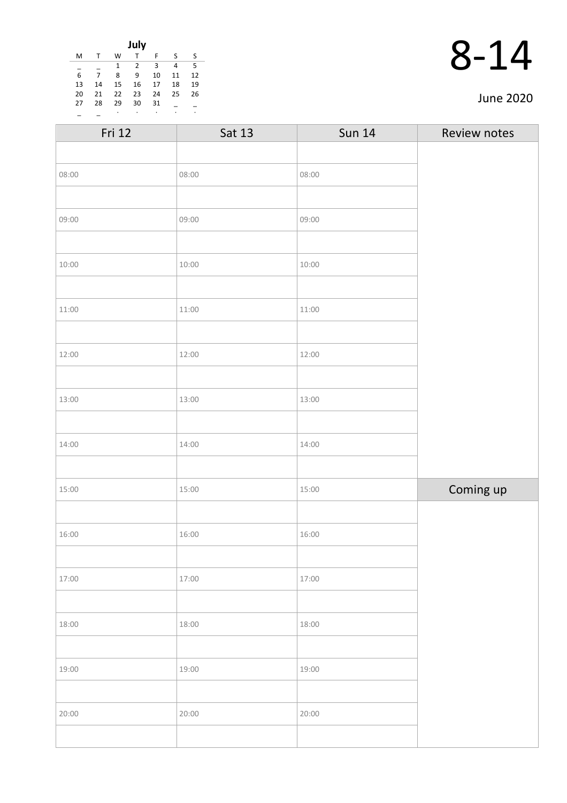|    |    |              | July           |    |    |    |
|----|----|--------------|----------------|----|----|----|
| M  |    | W            | т              | F  | S  | S  |
|    |    | $\mathbf{1}$ | $\overline{2}$ | 3  | 4  | 5  |
| 6  | 7  | 8            | 9              | 10 | 11 | 12 |
| 13 | 14 | 15           | 16             | 17 | 18 | 19 |
| 20 | 21 | 22           | 23             | 24 | 25 | 26 |
| 27 | 28 | 29           | 30             | 31 |    |    |
|    |    | ٠            | ٠              | ٠  | ٠  | ٠  |

|  | 14 |
|--|----|
|  |    |

| Fri 12 | Sat 13 | <b>Sun 14</b> | Review notes |
|--------|--------|---------------|--------------|
|        |        |               |              |
| 08:00  | 08:00  | 08:00         |              |
|        |        |               |              |
| 09:00  | 09:00  | 09:00         |              |
|        |        |               |              |
| 10:00  | 10:00  | 10:00         |              |
|        |        |               |              |
| 11:00  | 11:00  | 11:00         |              |
|        |        |               |              |
| 12:00  | 12:00  | 12:00         |              |
|        |        |               |              |
| 13:00  | 13:00  | 13:00         |              |
|        |        |               |              |
| 14:00  | 14:00  | 14:00         |              |
|        |        |               |              |
| 15:00  | 15:00  | 15:00         | Coming up    |
|        |        |               |              |
| 16:00  | 16:00  | 16:00         |              |
|        |        |               |              |
| 17:00  | 17:00  | 17:00         |              |
|        |        |               |              |
| 18:00  | 18:00  | 18:00         |              |
|        |        |               |              |
| 19:00  | 19:00  | 19:00         |              |
|        |        |               |              |
| 20:00  | 20:00  | 20:00         |              |
|        |        |               |              |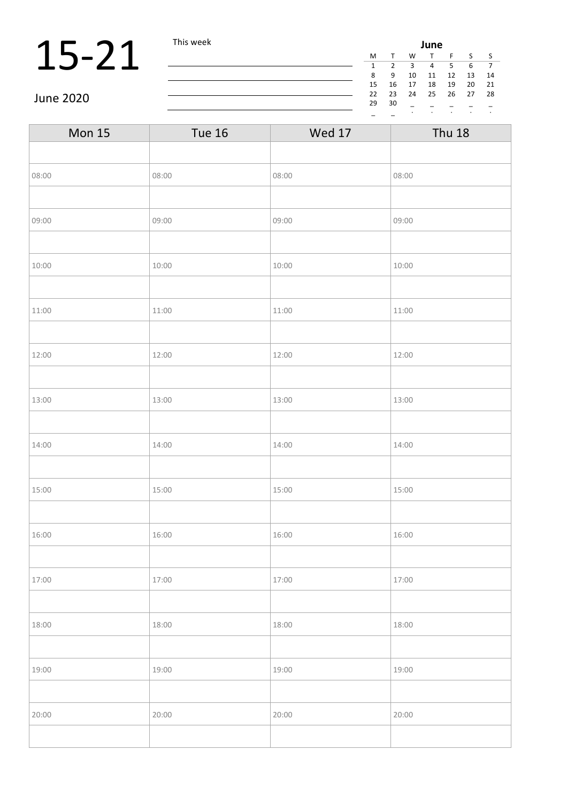## **15-21** This week **June 1** This week **June 1**  $\frac{M}{3}$   $\frac{1}{9}$   $\frac{M}{10}$

|    |        |    | June |    |    |    |  |
|----|--------|----|------|----|----|----|--|
| M  | $\tau$ | w  | т    | F  | ς  | S  |  |
| 1  | 2      | 3  | 4    | 5  | 6  |    |  |
| 8  | ٩      | 10 | 11   | 12 | 13 | 14 |  |
| 15 | 16     | 17 | 18   | 19 | 20 | 21 |  |
| 22 | 23     | 24 | 25   | 26 | 27 | 28 |  |
| 29 | 30     |    |      |    |    |    |  |
|    |        | ٠  | ٠    | ٠  |    | ٠  |  |

June 2020

| <b>Mon 15</b> | <b>Tue 16</b> | <b>Wed 17</b> | <b>Thu 18</b> |
|---------------|---------------|---------------|---------------|
|               |               |               |               |
| 08:00         | 08:00         | 08:00         | 08:00         |
|               |               |               |               |
| 09:00         | 09:00         | 09:00         | 09:00         |
|               |               |               |               |
| 10:00         | 10:00         | 10:00         | 10:00         |
|               |               |               |               |
| 11:00         | 11:00         | 11:00         | 11:00         |
|               |               |               |               |
| 12:00         | 12:00         | 12:00         | 12:00         |
|               |               |               |               |
| 13:00         | 13:00         | 13:00         | 13:00         |
|               |               |               |               |
| 14:00         | 14:00         | 14:00         | 14:00         |
|               |               |               |               |
| 15:00         | 15:00         | 15:00         | 15:00         |
|               |               |               |               |
| 16:00         | 16:00         | 16:00         | 16:00         |
|               |               |               |               |
| 17:00         | 17:00         | 17:00         | 17:00         |
|               |               |               |               |
| 18:00         | 18:00         | 18:00         | 18:00         |
|               |               |               |               |
| 19:00         | 19:00         | 19:00         | 19:00         |
|               |               |               |               |
| 20:00         | 20:00         | 20:00         | 20:00         |
|               |               |               |               |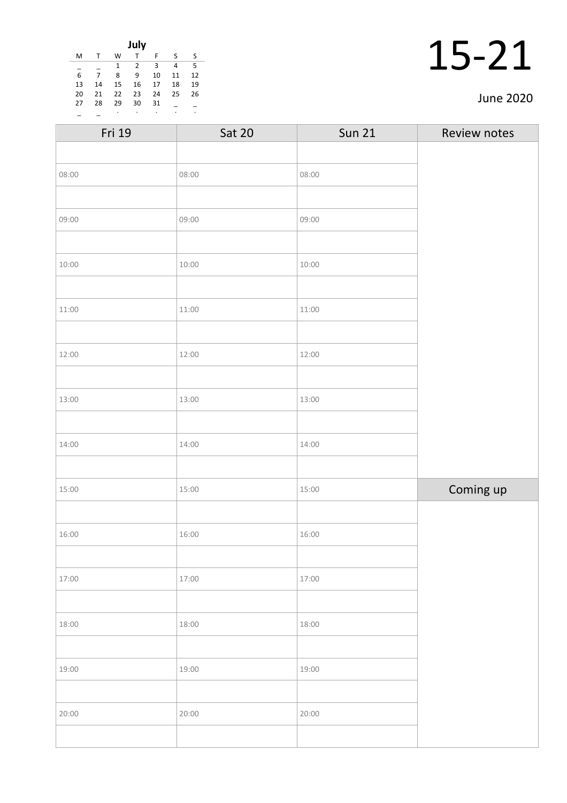|    |    |    | July         |    |    |    |
|----|----|----|--------------|----|----|----|
| M  | т  | W  | $\mathsf{T}$ | F  | -S | -S |
|    |    | 1  | 2            | 3  | 4  | .5 |
| 6  | 7  | 8  | 9            | 10 | 11 | 12 |
| 13 | 14 | 15 | 16           | 17 | 18 | 19 |
| 20 | 21 | 22 | 23           | 24 | 25 | 26 |
| 27 | 28 | 29 | 30           | 31 |    |    |
|    |    | ٠  | ٠            | ٠  | ٠  | ٠  |

| 15-21 |  |
|-------|--|
|       |  |

| Fri 19 | <b>Sat 20</b> | <b>Sun 21</b> | Review notes |
|--------|---------------|---------------|--------------|
|        |               |               |              |
| 08:00  | 08:00         | 08:00         |              |
|        |               |               |              |
| 09:00  | 09:00         | 09:00         |              |
|        |               |               |              |
| 10:00  | 10:00         | 10:00         |              |
|        |               |               |              |
| 11:00  | 11:00         | 11:00         |              |
|        |               |               |              |
| 12:00  | 12:00         | 12:00         |              |
|        |               |               |              |
| 13:00  | 13:00         | 13:00         |              |
|        |               |               |              |
| 14:00  | 14:00         | 14:00         |              |
|        |               |               |              |
| 15:00  | 15:00         | 15:00         | Coming up    |
|        |               |               |              |
| 16:00  | 16:00         | 16:00         |              |
|        |               |               |              |
| 17:00  | 17:00         | 17:00         |              |
|        |               |               |              |
| 18:00  | 18:00         | 18:00         |              |
|        |               |               |              |
| 19:00  | 19:00         | 19:00         |              |
|        |               |               |              |
| 20:00  | 20:00         | 20:00         |              |
|        |               |               |              |
|        |               |               |              |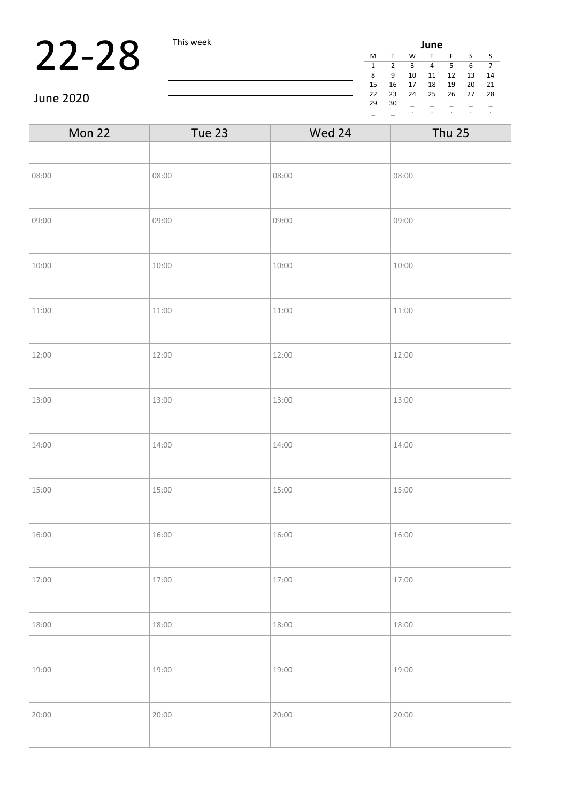## **22-28** This week **June 22-28** This week **June 22-28** This week **June 22-28** The Term of  $\frac{M}{s}$   $\frac{1}{s}$   $\frac{1}{s}$   $\frac{1}{s}$   $\frac{1}{s}$   $\frac{1}{s}$   $\frac{1}{s}$

| June |    |    |    |    |    |    |  |
|------|----|----|----|----|----|----|--|
| М    |    | W  | т  | F  | S  | S  |  |
| 1    | 2  | 3  | 4  | 5  | 6  |    |  |
| 8    | 9  | 10 | 11 | 12 | 13 | 14 |  |
| 15   | 16 | 17 | 18 | 19 | 20 | 21 |  |
| 22   | 23 | 24 | 25 | 26 | 27 | 28 |  |
| 29   | 30 |    |    |    |    |    |  |
|      |    | ٠  | ٠  | ۰  | ٠  | ٠  |  |

June 2020

| Mon 22 | Tue 23 | Wed 24 | <b>Thu 25</b> |
|--------|--------|--------|---------------|
|        |        |        |               |
| 08:00  | 08:00  | 08:00  | 08:00         |
|        |        |        |               |
| 09:00  | 09:00  | 09:00  | 09:00         |
|        |        |        |               |
| 10:00  | 10:00  | 10:00  | 10:00         |
|        |        |        |               |
| 11:00  | 11:00  | 11:00  | 11:00         |
|        |        |        |               |
| 12:00  | 12:00  | 12:00  | 12:00         |
|        |        |        |               |
| 13:00  | 13:00  | 13:00  | 13:00         |
|        |        |        |               |
| 14:00  | 14:00  | 14:00  | 14:00         |
|        |        |        |               |
| 15:00  | 15:00  | 15:00  | 15:00         |
|        |        |        |               |
| 16:00  | 16:00  | 16:00  | 16:00         |
|        |        |        |               |
| 17:00  | 17:00  | 17:00  | 17:00         |
|        |        |        |               |
| 18:00  | 18:00  | 18:00  | 18:00         |
|        |        |        |               |
| 19:00  | 19:00  | 19:00  | 19:00         |
|        |        |        |               |
| 20:00  | 20:00  | 20:00  | 20:00         |
|        |        |        |               |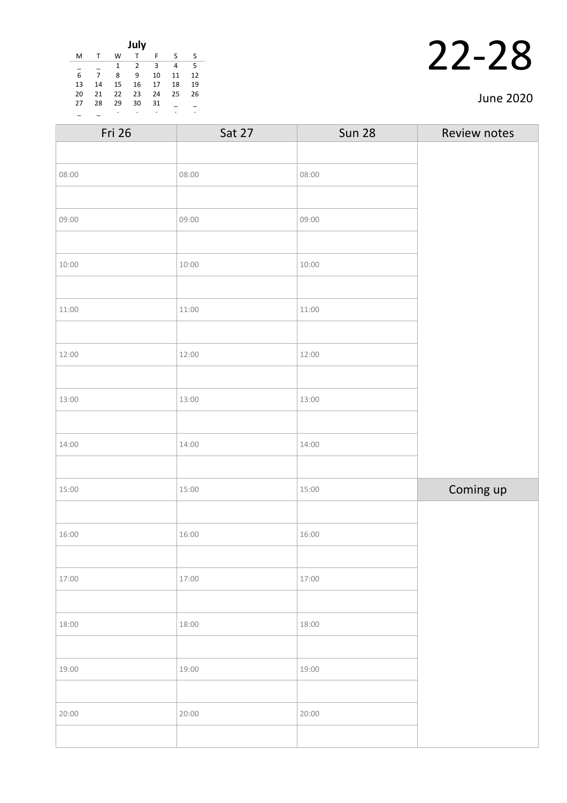| July |    |              |                |    |    |    |
|------|----|--------------|----------------|----|----|----|
| M    |    | W            | т              | F  | S  | S  |
|      |    | $\mathbf{1}$ | $\overline{2}$ | 3  | 4  | 5  |
| 6    | 7  | 8            | 9              | 10 | 11 | 12 |
| 13   | 14 | 15           | 16             | 17 | 18 | 19 |
| 20   | 21 | 22           | 23             | 24 | 25 | 26 |
| 27   | 28 | 29           | 30             | 31 |    |    |
|      |    | ٠            | ٠              | ٠  | ٠  | ٠  |

| Fri 26 | Sat 27 | <b>Sun 28</b> | Review notes |
|--------|--------|---------------|--------------|
|        |        |               |              |
| 08:00  | 08:00  | 08:00         |              |
|        |        |               |              |
| 09:00  | 09:00  | 09:00         |              |
|        |        |               |              |
| 10:00  | 10:00  | 10:00         |              |
|        |        |               |              |
| 11:00  | 11:00  | 11:00         |              |
|        |        |               |              |
| 12:00  | 12:00  | 12:00         |              |
|        |        |               |              |
| 13:00  | 13:00  | 13:00         |              |
|        |        |               |              |
| 14:00  | 14:00  | 14:00         |              |
|        |        |               |              |
| 15:00  | 15:00  | 15:00         | Coming up    |
|        |        |               |              |
| 16:00  | 16:00  | 16:00         |              |
|        |        |               |              |
| 17:00  | 17:00  | 17:00         |              |
|        |        |               |              |
| 18:00  | 18:00  | 18:00         |              |
|        |        |               |              |
| 19:00  | 19:00  | 19:00         |              |
|        |        |               |              |
| 20:00  | 20:00  | 20:00         |              |
|        |        |               |              |
|        |        |               |              |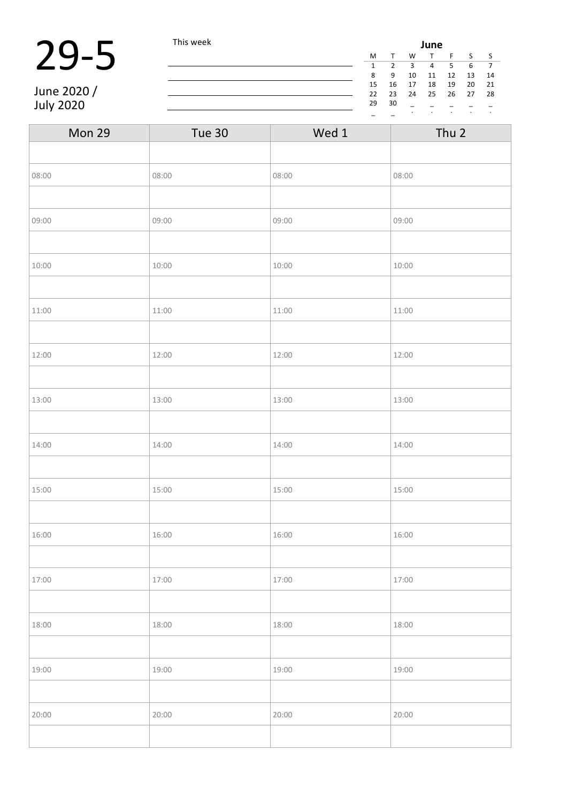## 29-5 This week

June 2020 / July 2020

| June         |    |    |    |    |    |    |
|--------------|----|----|----|----|----|----|
| M            |    | W  | т  | F  | ς  | S  |
| $\mathbf{1}$ | 2  | 3  | 4  | 5  | 6  | 7  |
| 8            | 9  | 10 | 11 | 12 | 13 | 14 |
| 15           | 16 | 17 | 18 | 19 | 20 | 21 |
| 22           | 23 | 24 | 25 | 26 | 27 | 28 |
| 29           | 30 |    |    |    |    |    |
|              |    | ٠  | ٠  | ٠  | ٠  | ٠  |

| Mon 29 | Tue 30 | Wed 1 | Thu 2 |
|--------|--------|-------|-------|
|        |        |       |       |
| 08:00  | 08:00  | 08:00 | 08:00 |
|        |        |       |       |
| 09:00  | 09:00  | 09:00 | 09:00 |
|        |        |       |       |
| 10:00  | 10:00  | 10:00 | 10:00 |
|        |        |       |       |
| 11:00  | 11:00  | 11:00 | 11:00 |
|        |        |       |       |
| 12:00  | 12:00  | 12:00 | 12:00 |
|        |        |       |       |
| 13:00  | 13:00  | 13:00 | 13:00 |
|        |        |       |       |
| 14:00  | 14:00  | 14:00 | 14:00 |
|        |        |       |       |
| 15:00  | 15:00  | 15:00 | 15:00 |
|        |        |       |       |
| 16:00  | 16:00  | 16:00 | 16:00 |
|        |        |       |       |
| 17:00  | 17:00  | 17:00 | 17:00 |
|        |        |       |       |
| 18:00  | 18:00  | 18:00 | 18:00 |
|        |        |       |       |
| 19:00  | 19:00  | 19:00 | 19:00 |
|        |        |       |       |
| 20:00  | 20:00  | 20:00 | 20:00 |
|        |        |       |       |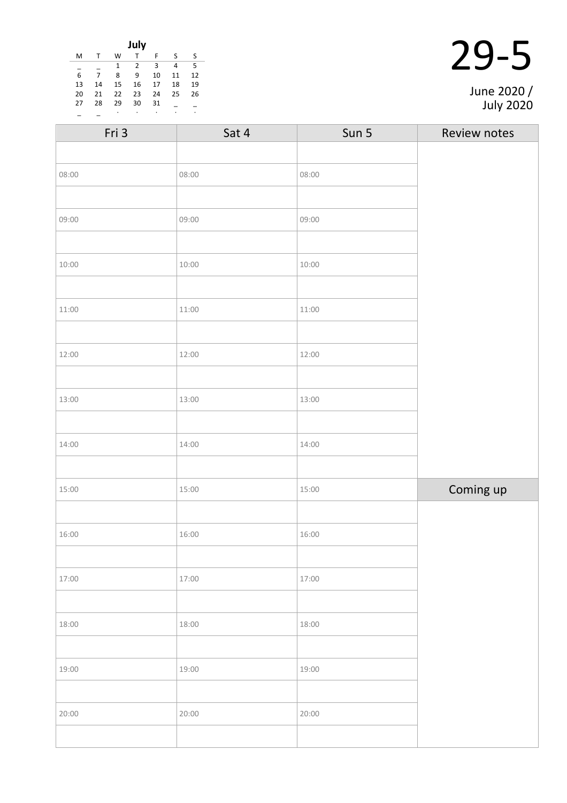| July |    |    |                |    |    |    |  |
|------|----|----|----------------|----|----|----|--|
| M    |    | W  | T              | F  | S  | ς  |  |
|      |    | 1  | $\overline{2}$ | 3  | 4  | 5  |  |
| 6    | 7  | 8  | 9              | 10 | 11 | 12 |  |
| 13   | 14 | 15 | 16             | 17 | 18 | 19 |  |
| 20   | 21 | 22 | 23             | 24 | 25 | 26 |  |
| 27   | 28 | 29 | 30             | 31 |    |    |  |
|      |    |    |                |    |    | ٠  |  |

| Fri 3 | Sat 4 | Sun 5 | Review notes |
|-------|-------|-------|--------------|
|       |       |       |              |
| 08:00 | 08:00 | 08:00 |              |
|       |       |       |              |
| 09:00 | 09:00 | 09:00 |              |
|       |       |       |              |
| 10:00 | 10:00 | 10:00 |              |
|       |       |       |              |
| 11:00 | 11:00 | 11:00 |              |
|       |       |       |              |
| 12:00 | 12:00 | 12:00 |              |
|       |       |       |              |
| 13:00 | 13:00 | 13:00 |              |
|       |       |       |              |
| 14:00 | 14:00 | 14:00 |              |
|       |       |       |              |
| 15:00 | 15:00 | 15:00 | Coming up    |
|       |       |       |              |
| 16:00 | 16:00 | 16:00 |              |
|       |       |       |              |
| 17:00 | 17:00 | 17:00 |              |
|       |       |       |              |
| 18:00 | 18:00 | 18:00 |              |
|       |       |       |              |
| 19:00 | 19:00 | 19:00 |              |
|       |       |       |              |
| 20:00 | 20:00 | 20:00 |              |
|       |       |       |              |

June 2020 / July 2020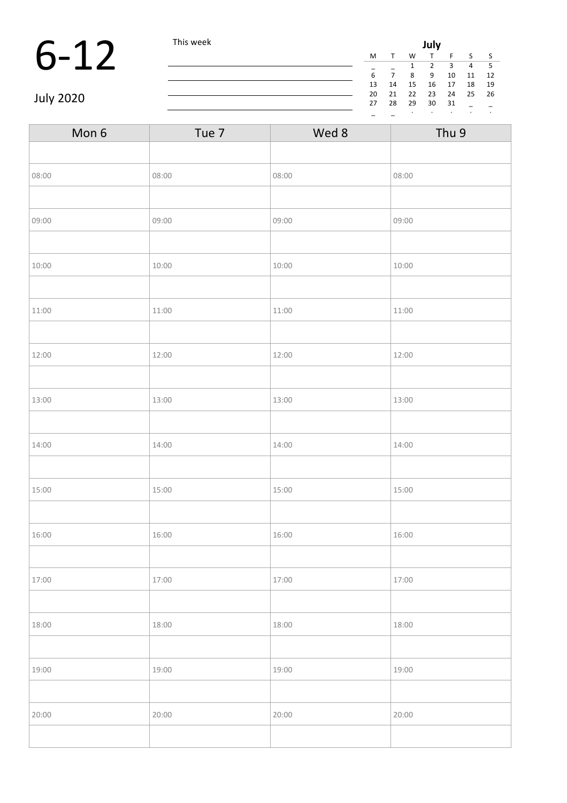## 6-12 This week **July**<br>  $\frac{M T W T}{\frac{1}{6} - \frac{1}{7} - \frac{2}{8} - \frac{1}{9}}$

| July |    |    |    |    |    |    |  |
|------|----|----|----|----|----|----|--|
| M    |    | W  |    | F  | S  | ς  |  |
|      |    | 1  | 2  | 3  | 4  | 5  |  |
| 6    | 7  | 8  | 9  | 10 | 11 | 12 |  |
| 13   | 14 | 15 | 16 | 17 | 18 | 19 |  |
| 20   | 21 | 22 | 23 | 24 | 25 | 26 |  |
| 27   | 28 | 29 | 30 | 31 |    |    |  |
|      |    | ٠  | ٠  | ٠  | ٠  | ٠  |  |
|      |    |    |    |    |    |    |  |

July 2020

| Mon 6 | Tue 7 | Wed 8 | Thu 9 |  |
|-------|-------|-------|-------|--|
|       |       |       |       |  |
| 08:00 | 08:00 | 08:00 | 08:00 |  |
|       |       |       |       |  |
| 09:00 | 09:00 | 09:00 | 09:00 |  |
|       |       |       |       |  |
| 10:00 | 10:00 | 10:00 | 10:00 |  |
|       |       |       |       |  |
| 11:00 | 11:00 | 11:00 | 11:00 |  |
|       |       |       |       |  |
| 12:00 | 12:00 | 12:00 | 12:00 |  |
|       |       |       |       |  |
| 13:00 | 13:00 | 13:00 | 13:00 |  |
|       |       |       |       |  |
| 14:00 | 14:00 | 14:00 | 14:00 |  |
|       |       |       |       |  |
| 15:00 | 15:00 | 15:00 | 15:00 |  |
|       |       |       |       |  |
| 16:00 | 16:00 | 16:00 | 16:00 |  |
|       |       |       |       |  |
| 17:00 | 17:00 | 17:00 | 17:00 |  |
|       |       |       |       |  |
| 18:00 | 18:00 | 18:00 | 18:00 |  |
|       |       |       |       |  |
| 19:00 | 19:00 | 19:00 | 19:00 |  |
|       |       |       |       |  |
| 20:00 | 20:00 | 20:00 | 20:00 |  |
|       |       |       |       |  |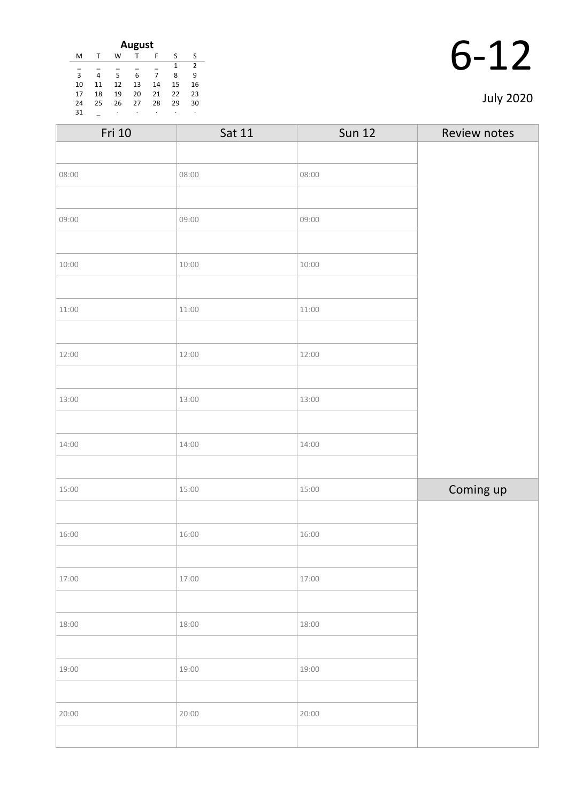| August |    |    |    |    |    |    |
|--------|----|----|----|----|----|----|
| M      |    | W  | T  | F  | ς  | S  |
|        |    |    |    |    | 1  | 2  |
| 3      | 4  | 5  | 6  | 7  | 8  | 9  |
| 10     | 11 | 12 | 13 | 14 | 15 | 16 |
| 17     | 18 | 19 | 20 | 21 | 22 | 23 |
| 24     | 25 | 26 | 27 | 28 | 29 | 30 |
| 31     |    | ٠  | ٠  | ٠  | ٠  | ٠  |

|    | 12 |
|----|----|
| D- |    |

| <b>July 2020</b> |  |
|------------------|--|
|------------------|--|

| Fri 10 | Sat 11 | <b>Sun 12</b> | Review notes |
|--------|--------|---------------|--------------|
|        |        |               |              |
| 08:00  | 08:00  | 08:00         |              |
|        |        |               |              |
| 09:00  | 09:00  | 09:00         |              |
|        |        |               |              |
| 10:00  | 10:00  | 10:00         |              |
|        |        |               |              |
| 11:00  | 11:00  | 11:00         |              |
|        |        |               |              |
| 12:00  | 12:00  | 12:00         |              |
|        |        |               |              |
| 13:00  | 13:00  | 13:00         |              |
|        |        |               |              |
| 14:00  | 14:00  | 14:00         |              |
|        |        |               |              |
| 15:00  | 15:00  | 15:00         | Coming up    |
|        |        |               |              |
| 16:00  | 16:00  | 16:00         |              |
|        |        |               |              |
| 17:00  | 17:00  | 17:00         |              |
|        |        |               |              |
| 18:00  | 18:00  | 18:00         |              |
|        |        |               |              |
| 19:00  | 19:00  | 19:00         |              |
|        |        |               |              |
| 20:00  | 20:00  | 20:00         |              |
|        |        |               |              |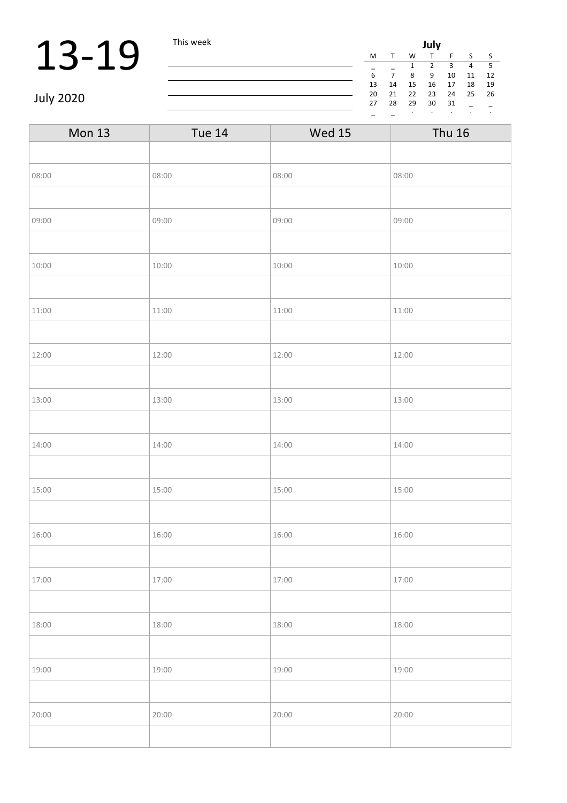## **13-19** This week **July**

| July                              |              |    |    |    |    |    |  |
|-----------------------------------|--------------|----|----|----|----|----|--|
| M                                 | $\mathsf{T}$ | W  | т  | F  | S. | S  |  |
| 3<br>5<br>4<br>$\mathcal{P}$<br>1 |              |    |    |    |    |    |  |
| 6                                 |              | 8  | ٩  | 10 | 11 | 12 |  |
| 13                                | 14           | 15 | 16 | 17 | 18 | 19 |  |
| 20                                | 21           | 22 | 23 | 24 | 25 | 26 |  |
| 27                                | 28           | 29 | 30 | 31 |    |    |  |
|                                   |              |    |    |    |    | ٠  |  |

July 2020

| <b>Mon 13</b> | <b>Tue 14</b> | <b>Wed 15</b> | <b>Thu 16</b> |  |
|---------------|---------------|---------------|---------------|--|
|               |               |               |               |  |
| 08:00         | 08:00         | 08:00         | 08:00         |  |
|               |               |               |               |  |
| 09:00         | 09:00         | 09:00         | 09:00         |  |
|               |               |               |               |  |
| 10:00         | 10:00         | 10:00         | 10:00         |  |
|               |               |               |               |  |
| 11:00         | 11:00         | 11:00         | 11:00         |  |
|               |               |               |               |  |
| 12:00         | 12:00         | 12:00         | 12:00         |  |
|               |               |               |               |  |
| 13:00         | 13:00         | 13:00         | 13:00         |  |
|               |               |               |               |  |
| 14:00         | 14:00         | 14:00         | 14:00         |  |
|               |               |               |               |  |
| 15:00         | 15:00         | 15:00         | 15:00         |  |
|               |               |               |               |  |
| 16:00         | 16:00         | 16:00         | 16:00         |  |
|               |               |               |               |  |
| 17:00         | 17:00         | 17:00         | 17:00         |  |
|               |               |               |               |  |
| 18:00         | 18:00         | 18:00         | 18:00         |  |
|               |               |               |               |  |
| 19:00         | 19:00         | 19:00         | 19:00         |  |
|               |               |               |               |  |
| 20:00         | 20:00         | 20:00         | 20:00         |  |
|               |               |               |               |  |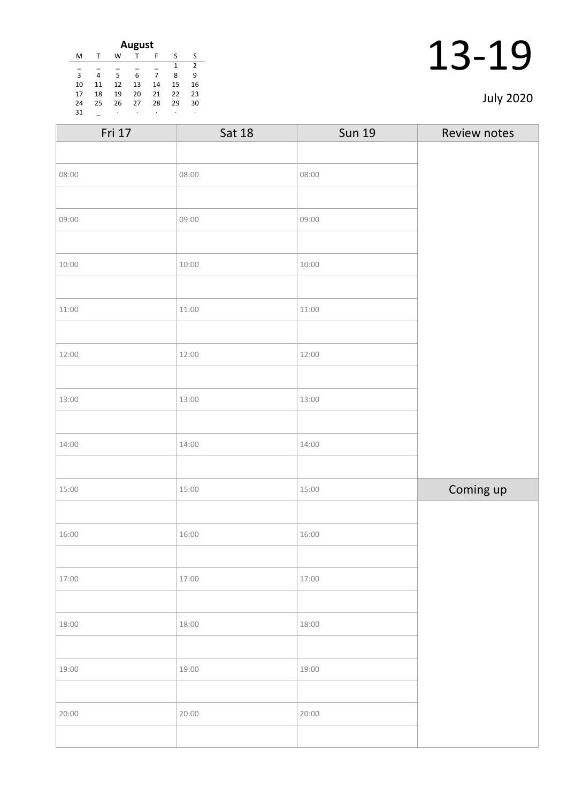| August |    |    |    |    |    |    |  |
|--------|----|----|----|----|----|----|--|
| M      |    | W  |    | F  | ς  | S  |  |
| 2<br>1 |    |    |    |    |    |    |  |
| 3      | 4  | 5  | 6  | 7  | 8  | 9  |  |
| 10     | 11 | 12 | 13 | 14 | 15 | 16 |  |
| 17     | 18 | 19 | 20 | 21 | 22 | 23 |  |
| 24     | 25 | 26 | 27 | 28 | 29 | 30 |  |
| 31     |    | ٠  | ٠  | ٠  |    | ٠  |  |

| <b>Sat 18</b> | <b>Sun 19</b> | Review notes |
|---------------|---------------|--------------|
|               |               |              |
| 08:00         | 08:00         |              |
|               |               |              |
| 09:00         | 09:00         |              |
|               |               |              |
| 10:00         | 10:00         |              |
|               |               |              |
| 11:00         | 11:00         |              |
|               |               |              |
| 12:00         | 12:00         |              |
|               |               |              |
| 13:00         | 13:00         |              |
|               |               |              |
| 14:00         | 14:00         |              |
|               |               |              |
| 15:00         | 15:00         | Coming up    |
|               |               |              |
| 16:00         | 16:00         |              |
|               |               |              |
| 17:00         | 17:00         |              |
|               |               |              |
| 18:00         | 18:00         |              |
|               |               |              |
| 19:00         | 19:00         |              |
|               |               |              |
| 20:00         | 20:00         |              |
|               |               |              |
|               |               |              |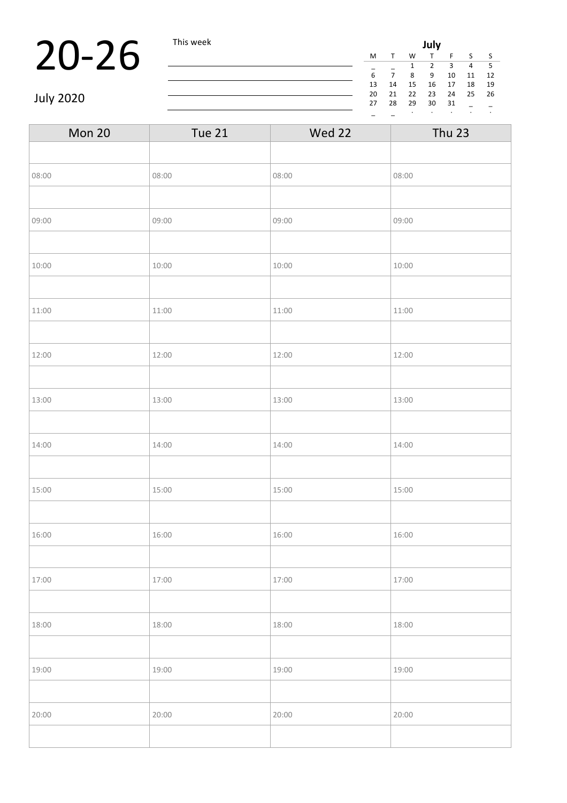## **20-26** This week **July**<br> $\frac{M T W T}{\frac{1}{6} - \frac{1}{7} - \frac{2}{8} - \frac{1}{9}}$

| July |    |    |    |    |    |    |  |
|------|----|----|----|----|----|----|--|
| M    | т  | W  | т  | F  | S  | S  |  |
|      |    | 1  | 2  | 3  | 4  | 5  |  |
| 6    | 7  | 8  | 9  | 10 | 11 | 12 |  |
| 13   | 14 | 15 | 16 | 17 | 18 | 19 |  |
| 20   | 21 | 22 | 23 | 24 | 25 | 26 |  |
| 27   | 28 | 29 | 30 | 31 |    |    |  |
|      |    |    | ٠  |    |    | ٠  |  |

July 2020

| Mon 20 | <b>Tue 21</b> | Wed 22 | <b>Thu 23</b> |  |
|--------|---------------|--------|---------------|--|
|        |               |        |               |  |
| 08:00  | 08:00         | 08:00  | 08:00         |  |
|        |               |        |               |  |
| 09:00  | 09:00         | 09:00  | 09:00         |  |
|        |               |        |               |  |
| 10:00  | 10:00         | 10:00  | 10:00         |  |
|        |               |        |               |  |
| 11:00  | 11:00         | 11:00  | 11:00         |  |
|        |               |        |               |  |
| 12:00  | 12:00         | 12:00  | 12:00         |  |
|        |               |        |               |  |
| 13:00  | 13:00         | 13:00  | 13:00         |  |
|        |               |        |               |  |
| 14:00  | 14:00         | 14:00  | 14:00         |  |
|        |               |        |               |  |
| 15:00  | 15:00         | 15:00  | 15:00         |  |
|        |               |        |               |  |
| 16:00  | 16:00         | 16:00  | 16:00         |  |
|        |               |        |               |  |
| 17:00  | 17:00         | 17:00  | 17:00         |  |
|        |               |        |               |  |
| 18:00  | 18:00         | 18:00  | 18:00         |  |
|        |               |        |               |  |
| 19:00  | 19:00         | 19:00  | 19:00         |  |
|        |               |        |               |  |
| 20:00  | 20:00         | 20:00  | 20:00         |  |
|        |               |        |               |  |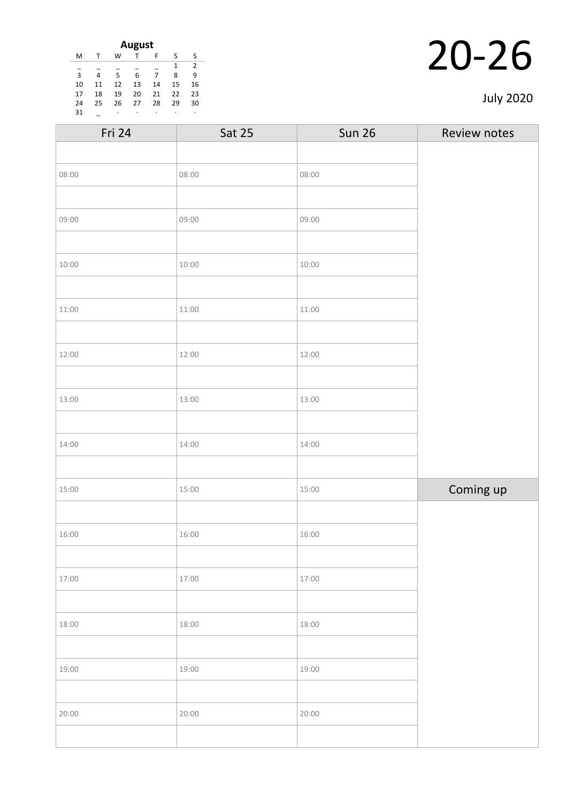| August |    |    |    |    |    |    |
|--------|----|----|----|----|----|----|
| M      |    | W  | т  | F  | S  | S  |
|        |    |    |    |    | 1  | 2  |
| 3      | 4  | 5  | 6  | 7  | 8  | 9  |
| 10     | 11 | 12 | 13 | 14 | 15 | 16 |
| 17     | 18 | 19 | 20 | 21 | 22 | 23 |
| 24     | 25 | 26 | 27 | 28 | 29 | 30 |
| 31     |    | ٠  | ٠  | ٠  |    | ٠  |

|  | <b>July 2020</b> |
|--|------------------|
|--|------------------|

| Fri 24 | <b>Sat 25</b> | <b>Sun 26</b> | Review notes |
|--------|---------------|---------------|--------------|
|        |               |               |              |
| 08:00  | 08:00         | 08:00         |              |
|        |               |               |              |
| 09:00  | 09:00         | 09:00         |              |
|        |               |               |              |
| 10:00  | 10:00         | 10:00         |              |
|        |               |               |              |
| 11:00  | 11:00         | 11:00         |              |
|        |               |               |              |
| 12:00  | 12:00         | 12:00         |              |
|        |               |               |              |
| 13:00  | 13:00         | 13:00         |              |
|        |               |               |              |
| 14:00  | 14:00         | 14:00         |              |
|        |               |               |              |
| 15:00  | 15:00         | 15:00         | Coming up    |
|        |               |               |              |
| 16:00  | 16:00         | 16:00         |              |
|        |               |               |              |
| 17:00  | 17:00         | 17:00         |              |
|        |               |               |              |
| 18:00  | 18:00         | 18:00         |              |
|        |               |               |              |
| 19:00  | 19:00         | 19:00         |              |
|        |               |               |              |
| 20:00  | 20:00         | 20:00         |              |
|        |               |               |              |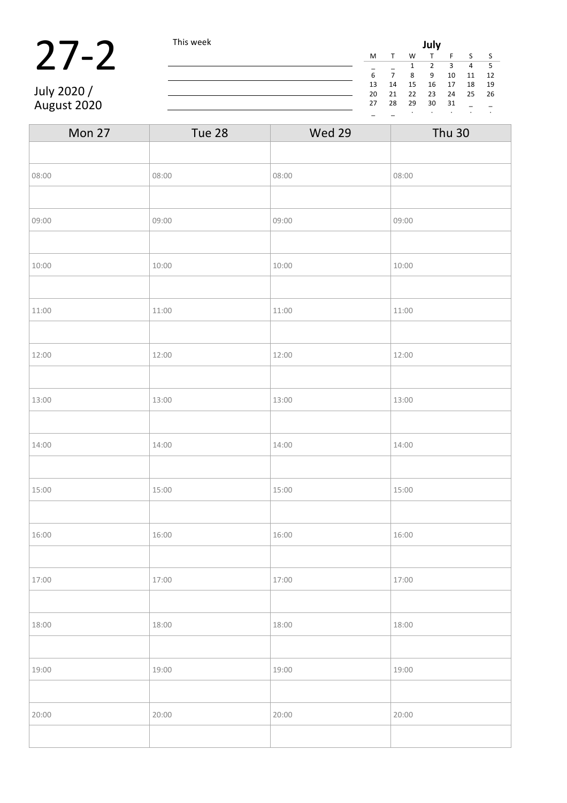|             | This week |    | July |    |    |    |       |      |  |
|-------------|-----------|----|------|----|----|----|-------|------|--|
|             |           | M  |      | W  |    |    |       |      |  |
|             |           |    |      |    |    |    | 4     | - 5  |  |
|             |           |    |      | 8  | -9 | 10 | 11 12 |      |  |
|             |           | 13 | 14   | 15 | 16 | 17 | 18    | - 19 |  |
| July 2020 / |           | 20 | 21   | 22 | 23 | 24 | 25    | 26   |  |
| August 2020 |           | 27 | 28   | 29 | 30 | 31 |       |      |  |
|             |           |    |      |    |    |    |       |      |  |

| Mon 27 | Tue 28 | Wed 29 | <b>Thu 30</b> |
|--------|--------|--------|---------------|
|        |        |        |               |
| 08:00  | 08:00  | 08:00  | 08:00         |
|        |        |        |               |
| 09:00  | 09:00  | 09:00  | 09:00         |
|        |        |        |               |
| 10:00  | 10:00  | 10:00  | 10:00         |
|        |        |        |               |
| 11:00  | 11:00  | 11:00  | 11:00         |
|        |        |        |               |
| 12:00  | 12:00  | 12:00  | 12:00         |
|        |        |        |               |
| 13:00  | 13:00  | 13:00  | 13:00         |
|        |        |        |               |
| 14:00  | 14:00  | 14:00  | 14:00         |
|        |        |        |               |
| 15:00  | 15:00  | 15:00  | 15:00         |
|        |        |        |               |
| 16:00  | 16:00  | 16:00  | 16:00         |
|        |        |        |               |
| 17:00  | 17:00  | 17:00  | 17:00         |
|        |        |        |               |
| 18:00  | 18:00  | 18:00  | 18:00         |
|        |        |        |               |
| 19:00  | 19:00  | 19:00  | 19:00         |
|        |        |        |               |
| 20:00  | 20:00  | 20:00  | 20:00         |
|        |        |        |               |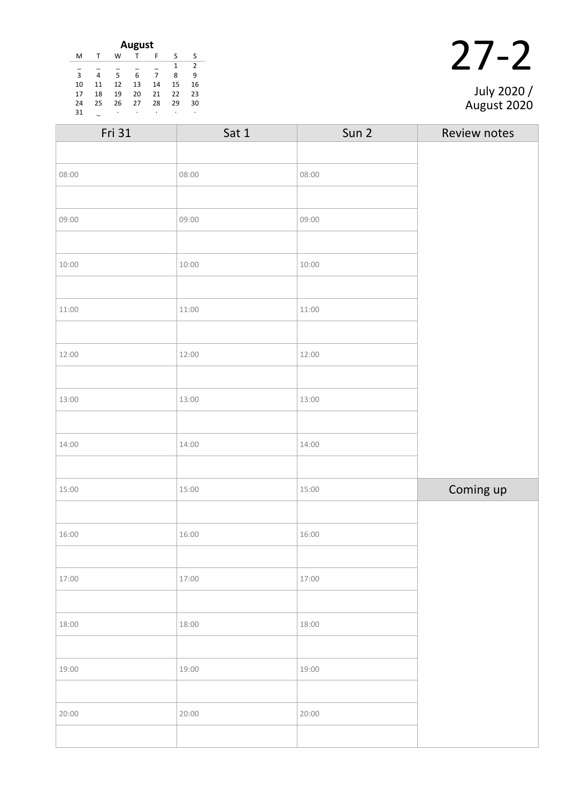| August |    |    |    |    |    |    |
|--------|----|----|----|----|----|----|
| м      |    | W  |    | F  | ς  | ς  |
|        |    |    |    |    | 1  | 2  |
| 3      | 4  | 5  | 6  |    | 8  | q  |
| 10     | 11 | 12 | 13 | 14 | 15 | 16 |
| 17     | 18 | 19 | 20 | 21 | 22 | 23 |
| 24     | 25 | 26 | 27 | 28 | 29 | 30 |
| 31     |    | ٠  | ٠  | ٠  | ٠  | ٠  |

|  | July 2020 / |
|--|-------------|

| Fri 31 | Sat 1 | Sun 2 | Review notes |
|--------|-------|-------|--------------|
|        |       |       |              |
| 08:00  | 08:00 | 08:00 |              |
|        |       |       |              |
| 09:00  | 09:00 | 09:00 |              |
|        |       |       |              |
| 10:00  | 10:00 | 10:00 |              |
|        |       |       |              |
| 11:00  | 11:00 | 11:00 |              |
|        |       |       |              |
| 12:00  | 12:00 | 12:00 |              |
|        |       |       |              |
| 13:00  | 13:00 | 13:00 |              |
|        |       |       |              |
| 14:00  | 14:00 | 14:00 |              |
|        |       |       |              |
| 15:00  | 15:00 | 15:00 | Coming up    |
|        |       |       |              |
| 16:00  | 16:00 | 16:00 |              |
|        |       |       |              |
| 17:00  | 17:00 | 17:00 |              |
|        |       |       |              |
| 18:00  | 18:00 | 18:00 |              |
|        |       |       |              |
| 19:00  | 19:00 | 19:00 |              |
|        |       |       |              |
| 20:00  | 20:00 | 20:00 |              |
|        |       |       |              |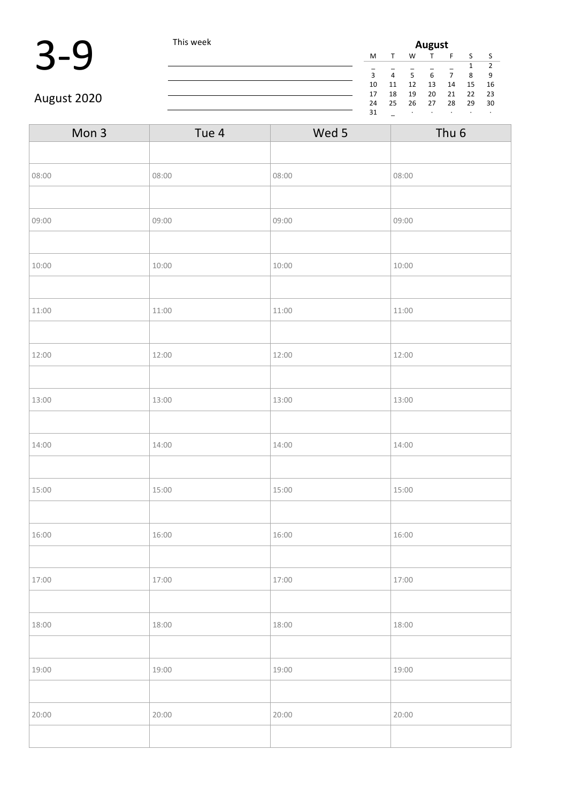

| Mon 3 | Tue 4 | Wed 5 | Thu <sub>6</sub> |
|-------|-------|-------|------------------|
|       |       |       |                  |
| 08:00 | 08:00 | 08:00 | 08:00            |
|       |       |       |                  |
| 09:00 | 09:00 | 09:00 | 09:00            |
|       |       |       |                  |
| 10:00 | 10:00 | 10:00 | 10:00            |
|       |       |       |                  |
| 11:00 | 11:00 | 11:00 | 11:00            |
|       |       |       |                  |
| 12:00 | 12:00 | 12:00 | 12:00            |
|       |       |       |                  |
| 13:00 | 13:00 | 13:00 | 13:00            |
|       |       |       |                  |
| 14:00 | 14:00 | 14:00 | 14:00            |
|       |       |       |                  |
| 15:00 | 15:00 | 15:00 | 15:00            |
|       |       |       |                  |
| 16:00 | 16:00 | 16:00 | 16:00            |
|       |       |       |                  |
| 17:00 | 17:00 | 17:00 | 17:00            |
|       |       |       |                  |
| 18:00 | 18:00 | 18:00 | 18:00            |
|       |       |       |                  |
| 19:00 | 19:00 | 19:00 | 19:00            |
|       |       |       |                  |
| 20:00 | 20:00 | 20:00 | 20:00            |
|       |       |       |                  |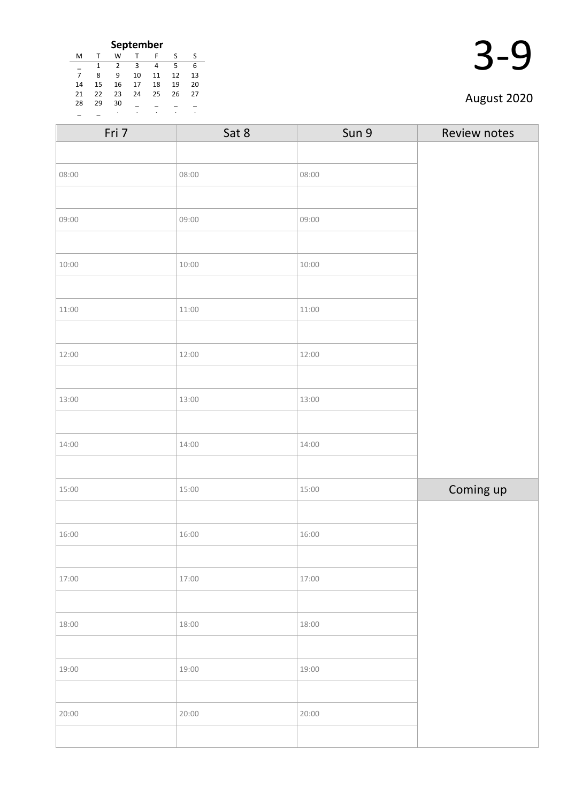|    |              |    | <b>September</b> |    |    |    |
|----|--------------|----|------------------|----|----|----|
| м  | $\mathsf{T}$ | W  |                  | F  | ς  | ς  |
|    |              | 2  | 3                | 4  | 5  | 6  |
| 7  | 8            | q  | 10               | 11 | 12 | 13 |
| 14 | 15           | 16 | 17               | 18 | 19 | 20 |
| 21 | 22           | 23 | 24               | 25 | 26 | 27 |
| 28 | 29           | 30 |                  |    |    |    |
|    |              | ٠  |                  | ٠  |    |    |

| I |
|---|
|   |

| Fri 7 | Sat 8 | Sun 9 | Review notes |
|-------|-------|-------|--------------|
|       |       |       |              |
| 08:00 | 08:00 | 08:00 |              |
|       |       |       |              |
| 09:00 | 09:00 | 09:00 |              |
|       |       |       |              |
| 10:00 | 10:00 | 10:00 |              |
|       |       |       |              |
| 11:00 | 11:00 | 11:00 |              |
|       |       |       |              |
| 12:00 | 12:00 | 12:00 |              |
|       |       |       |              |
| 13:00 | 13:00 | 13:00 |              |
|       |       |       |              |
| 14:00 | 14:00 | 14:00 |              |
|       |       |       |              |
| 15:00 | 15:00 | 15:00 | Coming up    |
|       |       |       |              |
| 16:00 | 16:00 | 16:00 |              |
|       |       |       |              |
| 17:00 | 17:00 | 17:00 |              |
|       |       |       |              |
| 18:00 | 18:00 | 18:00 |              |
|       |       |       |              |
| 19:00 | 19:00 | 19:00 |              |
|       |       |       |              |
| 20:00 | 20:00 | 20:00 |              |
|       |       |       |              |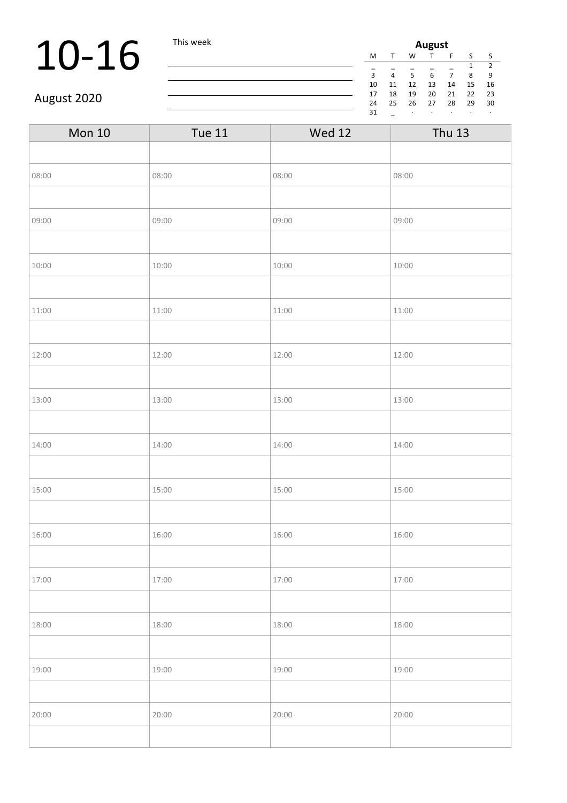# 10-16 This week

| August |    |    |    |    |    |               |  |
|--------|----|----|----|----|----|---------------|--|
| M      | т  | W  |    | F  | S  | S             |  |
|        |    |    |    |    | 1  | $\mathcal{P}$ |  |
| 3      | 4  | 5  | 6  |    | 8  | ٩             |  |
| 10     | 11 | 12 | 13 | 14 | 15 | 16            |  |
| 17     | 18 | 19 | 20 | 21 | 22 | 23            |  |
| 24     | 25 | 26 | 27 | 28 | 29 | 30            |  |
| 31     |    | ٠  | ٠  |    |    | ٠             |  |

### August 2020

| <b>Mon 10</b> | <b>Tue 11</b> | <b>Wed 12</b> | <b>Thu 13</b> |
|---------------|---------------|---------------|---------------|
|               |               |               |               |
| 08:00         | 08:00         | 08:00         | 08:00         |
|               |               |               |               |
| 09:00         | 09:00         | 09:00         | 09:00         |
|               |               |               |               |
| 10:00         | 10:00         | 10:00         | 10:00         |
|               |               |               |               |
| 11:00         | 11:00         | 11:00         | 11:00         |
|               |               |               |               |
| 12:00         | 12:00         | 12:00         | 12:00         |
|               |               |               |               |
| 13:00         | 13:00         | 13:00         | 13:00         |
|               |               |               |               |
| 14:00         | 14:00         | 14:00         | 14:00         |
|               |               |               |               |
| 15:00         | 15:00         | 15:00         | 15:00         |
|               |               |               |               |
| 16:00         | 16:00         | 16:00         | 16:00         |
|               |               |               |               |
| 17:00         | 17:00         | 17:00         | 17:00         |
|               |               |               |               |
| 18:00         | 18:00         | 18:00         | 18:00         |
|               |               |               |               |
| 19:00         | 19:00         | 19:00         | 19:00         |
|               |               |               |               |
| 20:00         | 20:00         | 20:00         | 20:00         |
|               |               |               |               |

<u> 1980 - Johann Barn, mars ann an t-Amhain Aonaich an t-Aonaich an t-Aonaich ann an t-Aonaich ann an t-Aonaich</u>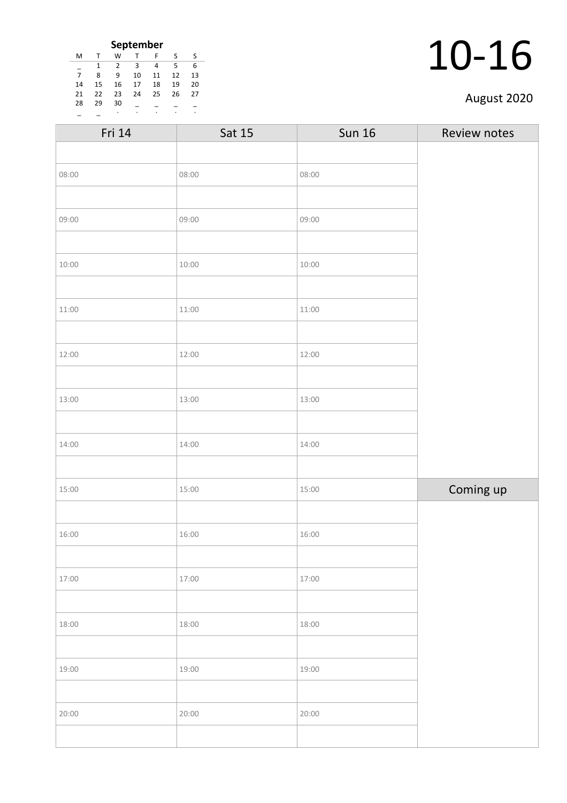| September      |    |               |    |    |    |    |  |
|----------------|----|---------------|----|----|----|----|--|
| M              |    | W             |    | F  | S  | S  |  |
|                | 1  | $\mathcal{P}$ | З  | 4  | 5  | 6  |  |
| $\overline{7}$ | 8  | q             | 10 | 11 | 12 | 13 |  |
| 14             | 15 | 16            | 17 | 18 | 19 | 20 |  |
| 21             | 22 | 23            | 24 | 25 | 26 | 27 |  |
| 28             | 29 | 30            |    |    |    |    |  |
|                |    |               |    |    |    |    |  |

| Fri 14 | Sat 15 | <b>Sun 16</b> | Review notes |
|--------|--------|---------------|--------------|
|        |        |               |              |
| 08:00  | 08:00  | 08:00         |              |
|        |        |               |              |
| 09:00  | 09:00  | 09:00         |              |
|        |        |               |              |
| 10:00  | 10:00  | 10:00         |              |
|        |        |               |              |
| 11:00  | 11:00  | 11:00         |              |
|        |        |               |              |
| 12:00  | 12:00  | 12:00         |              |
|        |        |               |              |
| 13:00  | 13:00  | 13:00         |              |
|        |        |               |              |
| 14:00  | 14:00  | 14:00         |              |
|        |        |               |              |
| 15:00  | 15:00  | 15:00         | Coming up    |
|        |        |               |              |
| 16:00  | 16:00  | 16:00         |              |
|        |        |               |              |
| 17:00  | 17:00  | 17:00         |              |
|        |        |               |              |
| 18:00  | 18:00  | 18:00         |              |
|        |        |               |              |
| 19:00  | 19:00  | 19:00         |              |
|        |        |               |              |
| 20:00  | 20:00  | 20:00         |              |
|        |        |               |              |
|        |        |               |              |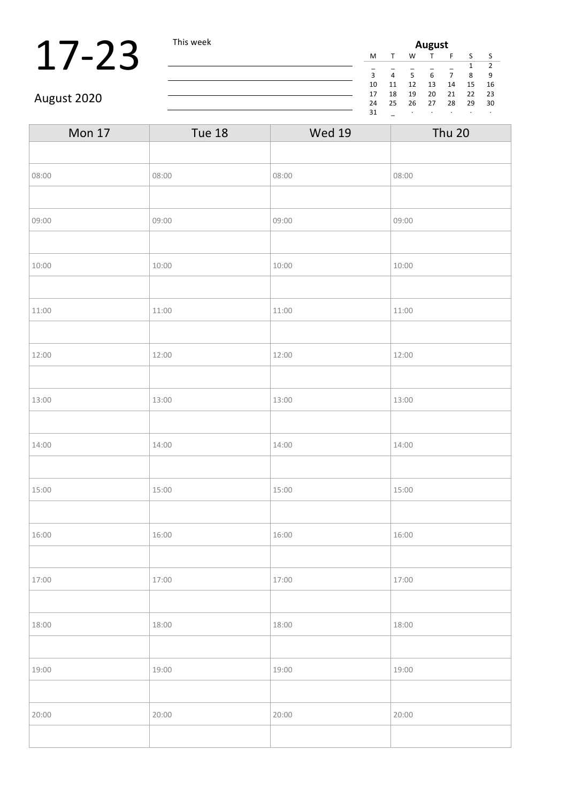# $17-23$  This week

| August |    |    |    |    |    |    |  |  |  |
|--------|----|----|----|----|----|----|--|--|--|
| M      |    | w  |    | F  | S  | ς  |  |  |  |
| 2<br>1 |    |    |    |    |    |    |  |  |  |
| 3      | 4  | 5  | 6  |    | 8  | ٩  |  |  |  |
| 10     | 11 | 12 | 13 | 14 | 15 | 16 |  |  |  |
| 17     | 18 | 19 | 20 | 21 | 22 | 23 |  |  |  |
| 24     | 25 | 26 | 27 | 28 | 29 | 30 |  |  |  |
| 31     |    | ٠  | ٠  |    |    | ٠  |  |  |  |

### August 2020

| <b>Mon 17</b> | <b>Tue 18</b> | <b>Wed 19</b> | <b>Thu 20</b> |
|---------------|---------------|---------------|---------------|
|               |               |               |               |
| 08:00         | 08:00         | 08:00         | 08:00         |
|               |               |               |               |
| 09:00         | 09:00         | 09:00         | 09:00         |
|               |               |               |               |
| 10:00         | 10:00         | 10:00         | 10:00         |
|               |               |               |               |
| 11:00         | 11:00         | 11:00         | 11:00         |
|               |               |               |               |
| 12:00         | 12:00         | 12:00         | 12:00         |
|               |               |               |               |
| 13:00         | 13:00         | 13:00         | 13:00         |
|               |               |               |               |
| 14:00         | 14:00         | 14:00         | 14:00         |
|               |               |               |               |
| 15:00         | 15:00         | 15:00         | 15:00         |
|               |               |               |               |
| 16:00         | 16:00         | 16:00         | 16:00         |
|               |               |               |               |
| 17:00         | 17:00         | 17:00         | 17:00         |
|               |               |               |               |
| 18:00         | 18:00         | 18:00         | 18:00         |
|               |               |               |               |
| 19:00         | 19:00         | 19:00         | 19:00         |
|               |               |               |               |
| 20:00         | 20:00         | 20:00         | 20:00         |
|               |               |               |               |
|               |               |               |               |

<u> 1980 - Johann Barn, mars ann an t-Amhain Aonaich an t-Aonaich an t-Aonaich an t-Aonaich an t-Aonaich an t-Aon</u>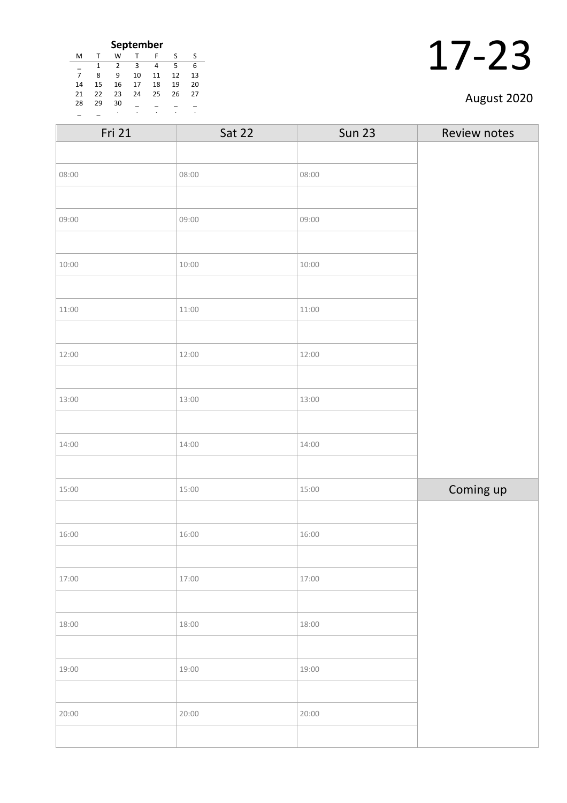| September      |    |    |    |    |    |    |
|----------------|----|----|----|----|----|----|
| M              | т  | W  | т  | F  | S  | S  |
|                |    | 2  | 3  | 4  | 5  | 6  |
| $\overline{7}$ | 8  | ٩  | 10 | 11 | 12 | 13 |
| 14             | 15 | 16 | 17 | 18 | 19 | 20 |
| 21             | 22 | 23 | 24 | 25 | 26 | 27 |
| 28             | 29 | 30 |    |    |    |    |
|                |    | ٠  |    |    |    |    |

| Fri 21 | Sat 22 | <b>Sun 23</b> | Review notes |
|--------|--------|---------------|--------------|
|        |        |               |              |
| 08:00  | 08:00  | 08:00         |              |
|        |        |               |              |
| 09:00  | 09:00  | 09:00         |              |
|        |        |               |              |
| 10:00  | 10:00  | 10:00         |              |
|        |        |               |              |
| 11:00  | 11:00  | 11:00         |              |
|        |        |               |              |
| 12:00  | 12:00  | 12:00         |              |
|        |        |               |              |
| 13:00  | 13:00  | 13:00         |              |
|        |        |               |              |
| 14:00  | 14:00  | 14:00         |              |
|        |        |               |              |
| 15:00  | 15:00  | 15:00         | Coming up    |
|        |        |               |              |
| 16:00  | 16:00  | 16:00         |              |
|        |        |               |              |
| 17:00  | 17:00  | 17:00         |              |
|        |        |               |              |
| 18:00  | 18:00  | 18:00         |              |
|        |        |               |              |
| 19:00  | 19:00  | 19:00         |              |
|        |        |               |              |
| 20:00  | 20:00  | 20:00         |              |
|        |        |               |              |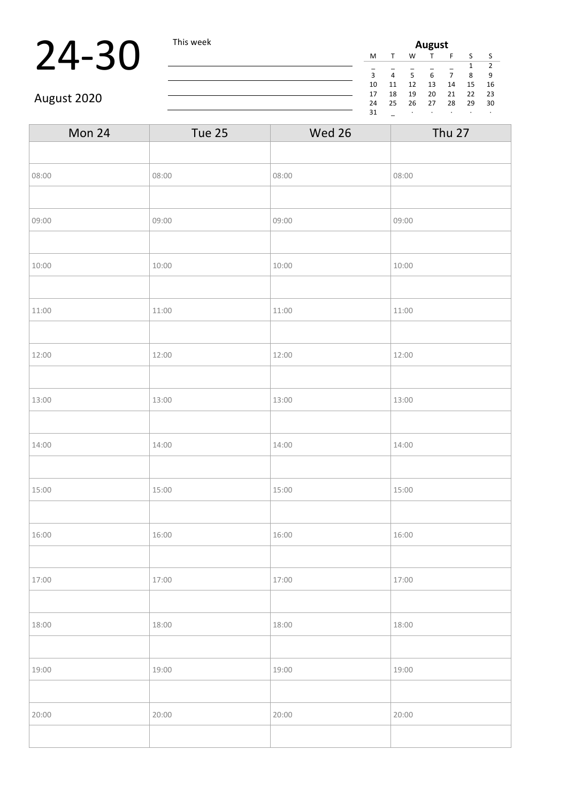## 24-30 This week

| August             |    |    |    |    |    |    |  |  |  |
|--------------------|----|----|----|----|----|----|--|--|--|
| M                  | т  | W  |    | F  | S  | S  |  |  |  |
| $\mathcal{P}$<br>1 |    |    |    |    |    |    |  |  |  |
| 3                  | 4  | 5  | 6  |    | 8  | ٩  |  |  |  |
| 10                 | 11 | 12 | 13 | 14 | 15 | 16 |  |  |  |
| 17                 | 18 | 19 | 20 | 21 | 22 | 23 |  |  |  |
| 24                 | 25 | 26 | 27 | 28 | 29 | 30 |  |  |  |
| 31                 |    | ٠  | ٠  |    |    | ٠  |  |  |  |

### August 2020

| Mon 24 | Tue 25 | Wed 26 | <b>Thu 27</b> |
|--------|--------|--------|---------------|
|        |        |        |               |
| 08:00  | 08:00  | 08:00  | 08:00         |
|        |        |        |               |
| 09:00  | 09:00  | 09:00  | 09:00         |
|        |        |        |               |
| 10:00  | 10:00  | 10:00  | 10:00         |
|        |        |        |               |
| 11:00  | 11:00  | 11:00  | 11:00         |
|        |        |        |               |
| 12:00  | 12:00  | 12:00  | 12:00         |
|        |        |        |               |
| 13:00  | 13:00  | 13:00  | 13:00         |
|        |        |        |               |
| 14:00  | 14:00  | 14:00  | 14:00         |
|        |        |        |               |
| 15:00  | 15:00  | 15:00  | 15:00         |
|        |        |        |               |
| 16:00  | 16:00  | 16:00  | 16:00         |
|        |        |        |               |
| 17:00  | 17:00  | 17:00  | 17:00         |
|        |        |        |               |
| 18:00  | 18:00  | 18:00  | 18:00         |
|        |        |        |               |
| 19:00  | 19:00  | 19:00  | 19:00         |
|        |        |        |               |
| 20:00  | 20:00  | 20:00  | 20:00         |
|        |        |        |               |
|        |        |        |               |

<u> 1980 - Johann Barbara, martxa amerikan per</u>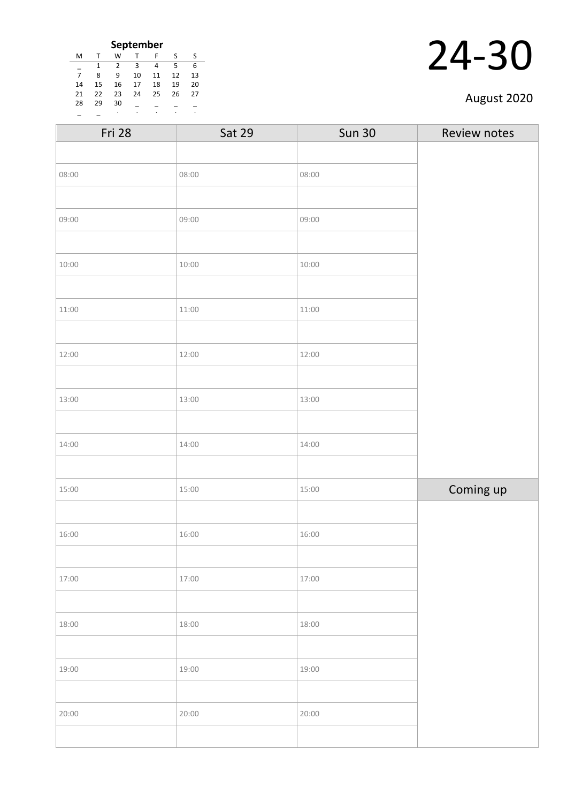| September      |    |                |    |    |    |    |  |
|----------------|----|----------------|----|----|----|----|--|
| M              |    | W              |    | F  | S  | S  |  |
|                |    | $\mathfrak{p}$ | з  | 4  | 5  | 6  |  |
| $\overline{7}$ | 8  | ٩              | 10 | 11 | 12 | 13 |  |
| 14             | 15 | 16             | 17 | 18 | 19 | 20 |  |
| 21             | 22 | 23             | 24 | 25 | 26 | 27 |  |
| 28             | 29 | 30             |    |    |    |    |  |
|                |    | ٠              |    |    |    |    |  |

| Fri 28 | <b>Sat 29</b> | <b>Sun 30</b> | Review notes |
|--------|---------------|---------------|--------------|
|        |               |               |              |
| 08:00  | 08:00         | 08:00         |              |
|        |               |               |              |
| 09:00  | 09:00         | 09:00         |              |
|        |               |               |              |
| 10:00  | 10:00         | 10:00         |              |
|        |               |               |              |
| 11:00  | 11:00         | 11:00         |              |
|        |               |               |              |
| 12:00  | 12:00         | 12:00         |              |
|        |               |               |              |
| 13:00  | 13:00         | 13:00         |              |
|        |               |               |              |
| 14:00  | 14:00         | 14:00         |              |
|        |               |               |              |
| 15:00  | 15:00         | 15:00         | Coming up    |
|        |               |               |              |
| 16:00  | 16:00         | 16:00         |              |
|        |               |               |              |
| 17:00  | 17:00         | 17:00         |              |
|        |               |               |              |
| 18:00  | 18:00         | 18:00         |              |
|        |               |               |              |
| 19:00  | 19:00         | 19:00         |              |
|        |               |               |              |
| 20:00  | 20:00         | 20:00         |              |
|        |               |               |              |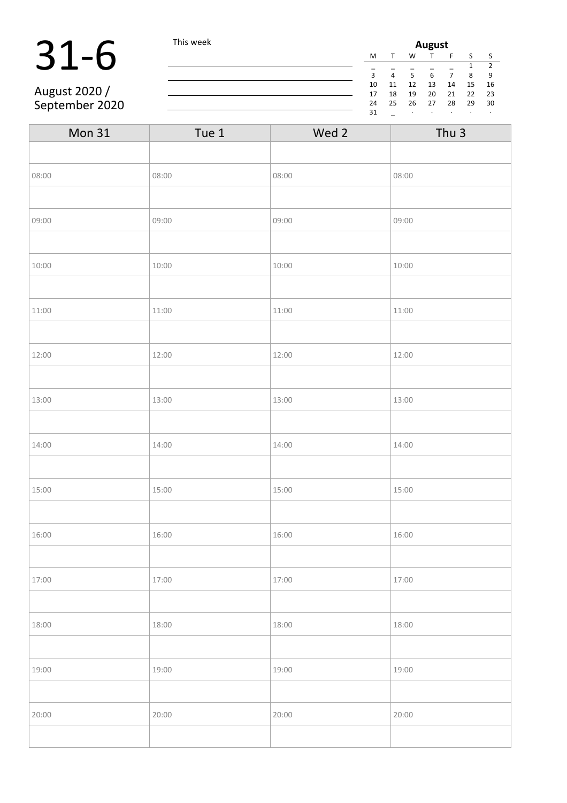# 31-6 This week

August 2020 / September 2020

| August |    |    |    |    |    |    |  |
|--------|----|----|----|----|----|----|--|
| M      |    | W  |    | F  | S  | S  |  |
|        |    |    |    |    | 1  | 2  |  |
| 3      | 4  | 5  | 6  | 7  | 8  | 9  |  |
| 10     | 11 | 12 | 13 | 14 | 15 | 16 |  |
| 17     | 18 | 19 | 20 | 21 | 22 | 23 |  |
| 24     | 25 | 26 | 27 | 28 | 29 | 30 |  |
| 31     |    | ٠  | ٠  |    | ٠  | ٠  |  |

| Mon 31 | Tue 1 | Wed 2 | Thu <sub>3</sub> |
|--------|-------|-------|------------------|
|        |       |       |                  |
| 08:00  | 08:00 | 08:00 | 08:00            |
|        |       |       |                  |
| 09:00  | 09:00 | 09:00 | 09:00            |
|        |       |       |                  |
| 10:00  | 10:00 | 10:00 | 10:00            |
|        |       |       |                  |
| 11:00  | 11:00 | 11:00 | 11:00            |
|        |       |       |                  |
| 12:00  | 12:00 | 12:00 | 12:00            |
|        |       |       |                  |
| 13:00  | 13:00 | 13:00 | 13:00            |
|        |       |       |                  |
| 14:00  | 14:00 | 14:00 | 14:00            |
|        |       |       |                  |
| 15:00  | 15:00 | 15:00 | 15:00            |
|        |       |       |                  |
| 16:00  | 16:00 | 16:00 | 16:00            |
|        |       |       |                  |
| 17:00  | 17:00 | 17:00 | 17:00            |
|        |       |       |                  |
| 18:00  | 18:00 | 18:00 | 18:00            |
|        |       |       |                  |
| 19:00  | 19:00 | 19:00 | 19:00            |
|        |       |       |                  |
| 20:00  | 20:00 | 20:00 | 20:00            |
|        |       |       |                  |

<u> 1980 - Johann Barbara, martxa amerikan per</u>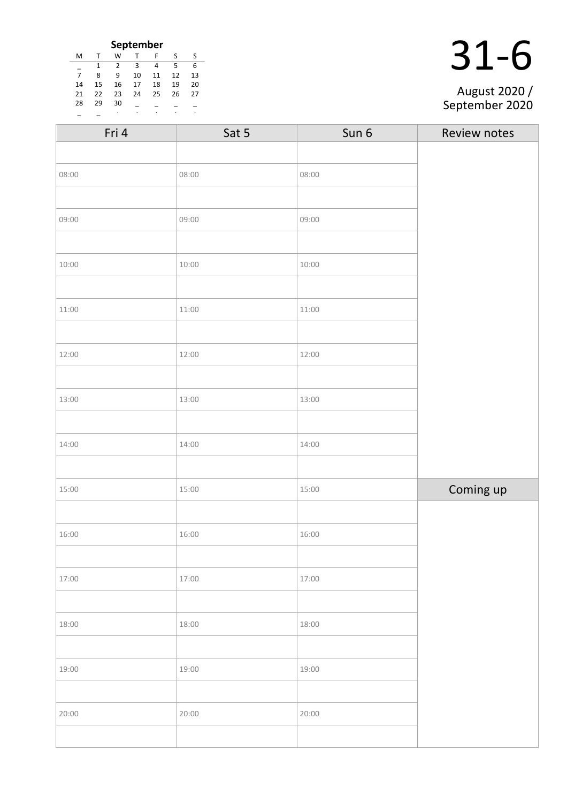|    | September |    |              |    |    |    |  |  |
|----|-----------|----|--------------|----|----|----|--|--|
| м  | T         | W  | $\mathsf{T}$ | F  | S  |    |  |  |
|    |           | 2  | -3           | 4  | .5 | 6  |  |  |
| 7  | 8         | 9  | 10           | 11 | 12 | 13 |  |  |
| 14 | 15        | 16 | 17           | 18 | 19 | 20 |  |  |
| 21 | 22        | 23 | 24           | 25 | 26 | 27 |  |  |
| 28 | 29        | 30 |              |    |    |    |  |  |
|    |           | ٠  | ٠            | ٠  | ٠  | ٠  |  |  |

|  | 31-6 |
|--|------|
|  |      |

#### August 2020 / September 2020

| Fri 4 | Sat 5 | Sun 6 | Review notes |
|-------|-------|-------|--------------|
|       |       |       |              |
| 08:00 | 08:00 | 08:00 |              |
|       |       |       |              |
| 09:00 | 09:00 | 09:00 |              |
|       |       |       |              |
| 10:00 | 10:00 | 10:00 |              |
|       |       |       |              |
| 11:00 | 11:00 | 11:00 |              |
|       |       |       |              |
| 12:00 | 12:00 | 12:00 |              |
|       |       |       |              |
| 13:00 | 13:00 | 13:00 |              |
|       |       |       |              |
| 14:00 | 14:00 | 14:00 |              |
|       |       |       |              |
| 15:00 | 15:00 | 15:00 | Coming up    |
|       |       |       |              |
| 16:00 | 16:00 | 16:00 |              |
|       |       |       |              |
| 17:00 | 17:00 | 17:00 |              |
|       |       |       |              |
| 18:00 | 18:00 | 18:00 |              |
|       |       |       |              |
| 19:00 | 19:00 | 19:00 |              |
|       |       |       |              |
| 20:00 | 20:00 | 20:00 |              |
|       |       |       |              |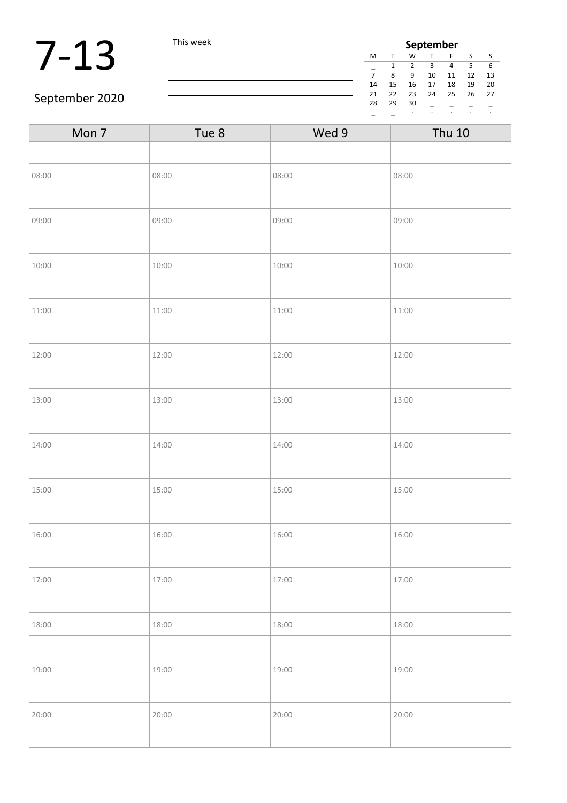|                | This week |    | September |    |    |    |    |      |  |
|----------------|-----------|----|-----------|----|----|----|----|------|--|
|                |           | M  |           | W  |    |    |    |      |  |
|                |           |    |           |    |    |    |    |      |  |
|                |           |    | 8         | q  | 10 | 11 | 12 | - 13 |  |
|                |           | 14 | 15        | 16 | 17 | 18 | 19 | - 20 |  |
| September 2020 |           | 21 | 22        | 23 | 24 | 25 | 26 | 27   |  |
|                |           | 28 | 29        | 30 |    |    |    |      |  |
|                |           |    |           |    |    |    |    |      |  |

#### September 2020

| Tue 8 | Wed 9 | <b>Thu 10</b> |
|-------|-------|---------------|
|       |       |               |
| 08:00 | 08:00 | 08:00         |
|       |       |               |
| 09:00 | 09:00 | 09:00         |
|       |       |               |
| 10:00 | 10:00 | 10:00         |
|       |       |               |
| 11:00 | 11:00 | 11:00         |
|       |       |               |
| 12:00 | 12:00 | 12:00         |
|       |       |               |
| 13:00 | 13:00 | 13:00         |
|       |       |               |
| 14:00 | 14:00 | 14:00         |
|       |       |               |
| 15:00 | 15:00 | 15:00         |
|       |       |               |
| 16:00 | 16:00 | 16:00         |
|       |       |               |
| 17:00 | 17:00 | 17:00         |
|       |       |               |
| 18:00 | 18:00 | 18:00         |
|       |       |               |
| 19:00 | 19:00 | 19:00         |
|       |       |               |
| 20:00 | 20:00 | 20:00         |
|       |       |               |
|       |       |               |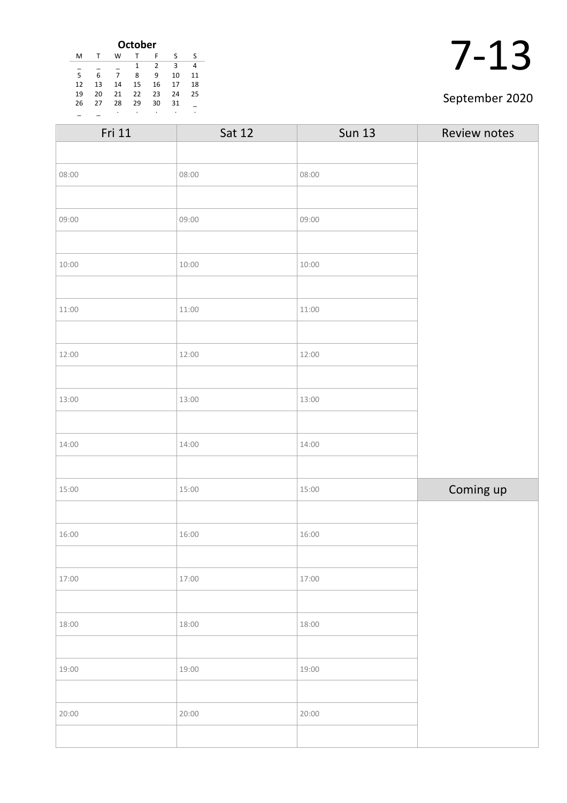| <b>October</b> |    |    |    |                |    |    |  |  |  |
|----------------|----|----|----|----------------|----|----|--|--|--|
| м              |    | w  |    | F              | S  | S  |  |  |  |
|                |    |    | 1  | $\overline{2}$ | ς  |    |  |  |  |
| 5              | 6  |    | 8  | 9              | 10 | 11 |  |  |  |
| 12             | 13 | 14 | 15 | 16             | 17 | 18 |  |  |  |
| 19             | 20 | 21 | 22 | 23             | 24 | 25 |  |  |  |
| 26             | 27 | 28 | 29 | 30             | 31 |    |  |  |  |
|                |    | ٠  |    | ٠              | ٠  | ٠  |  |  |  |

#### September 2020

| Fri 11 | <b>Sat 12</b> | <b>Sun 13</b> | Review notes |
|--------|---------------|---------------|--------------|
|        |               |               |              |
| 08:00  | 08:00         | 08:00         |              |
|        |               |               |              |
| 09:00  | 09:00         | 09:00         |              |
|        |               |               |              |
| 10:00  | 10:00         | 10:00         |              |
|        |               |               |              |
| 11:00  | 11:00         | 11:00         |              |
|        |               |               |              |
| 12:00  | 12:00         | 12:00         |              |
|        |               |               |              |
| 13:00  | 13:00         | 13:00         |              |
|        |               |               |              |
| 14:00  | 14:00         | 14:00         |              |
|        |               |               |              |
| 15:00  | 15:00         | 15:00         | Coming up    |
|        |               |               |              |
| 16:00  | 16:00         | 16:00         |              |
|        |               |               |              |
| 17:00  | 17:00         | 17:00         |              |
|        |               |               |              |
| 18:00  | 18:00         | 18:00         |              |
|        |               |               |              |
| 19:00  | 19:00         | 19:00         |              |
|        |               |               |              |
| 20:00  | 20:00         | 20:00         |              |
|        |               |               |              |
|        |               |               |              |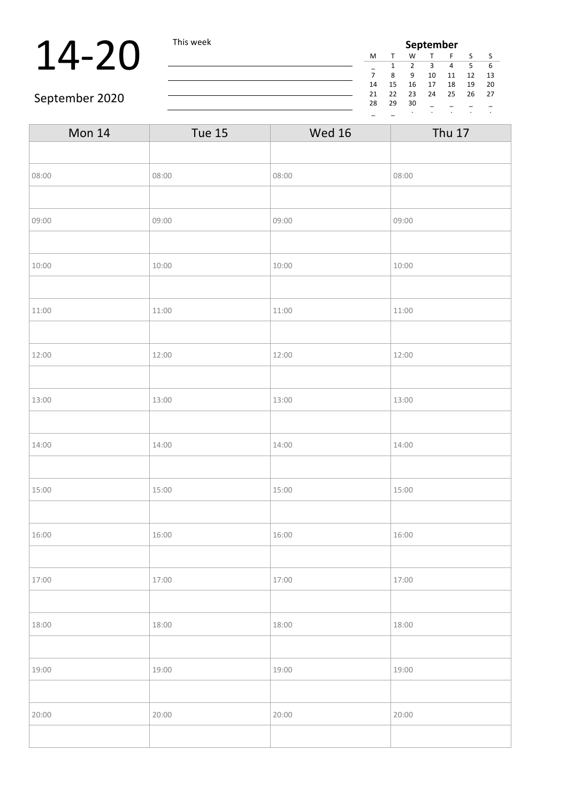### **14-20** This week **September September September September September September September September September September September September September September September September September**

| September |              |    |    |    |    |    |  |  |  |
|-----------|--------------|----|----|----|----|----|--|--|--|
| M         | $\mathbf{T}$ | w  |    | F  | S  | S  |  |  |  |
|           | 1            | 2  | З  | 4  | 5  | 6  |  |  |  |
| 7         | ጸ            | 9  | 10 | 11 | 12 | 13 |  |  |  |
| 14        | 15           | 16 | 17 | 18 | 19 | 20 |  |  |  |
| 21        | 22           | 23 | 24 | 25 | 26 | 27 |  |  |  |
| 28        | 29           | 30 |    |    |    |    |  |  |  |
|           |              |    |    |    |    |    |  |  |  |

#### September 2020

| Mon 14 | <b>Tue 15</b> | <b>Wed 16</b> | <b>Thu 17</b> |
|--------|---------------|---------------|---------------|
|        |               |               |               |
| 08:00  | 08:00         | 08:00         | 08:00         |
|        |               |               |               |
| 09:00  | 09:00         | 09:00         | 09:00         |
|        |               |               |               |
| 10:00  | 10:00         | 10:00         | 10:00         |
|        |               |               |               |
| 11:00  | 11:00         | 11:00         | 11:00         |
|        |               |               |               |
| 12:00  | 12:00         | 12:00         | 12:00         |
|        |               |               |               |
| 13:00  | 13:00         | 13:00         | 13:00         |
|        |               |               |               |
| 14:00  | 14:00         | 14:00         | 14:00         |
|        |               |               |               |
| 15:00  | 15:00         | 15:00         | 15:00         |
|        |               |               |               |
| 16:00  | 16:00         | 16:00         | 16:00         |
|        |               |               |               |
| 17:00  | 17:00         | 17:00         | 17:00         |
|        |               |               |               |
| 18:00  | 18:00         | 18:00         | 18:00         |
|        |               |               |               |
| 19:00  | 19:00         | 19:00         | 19:00         |
|        |               |               |               |
| 20:00  | 20:00         | 20:00         | 20:00         |
|        |               |               |               |
|        |               |               |               |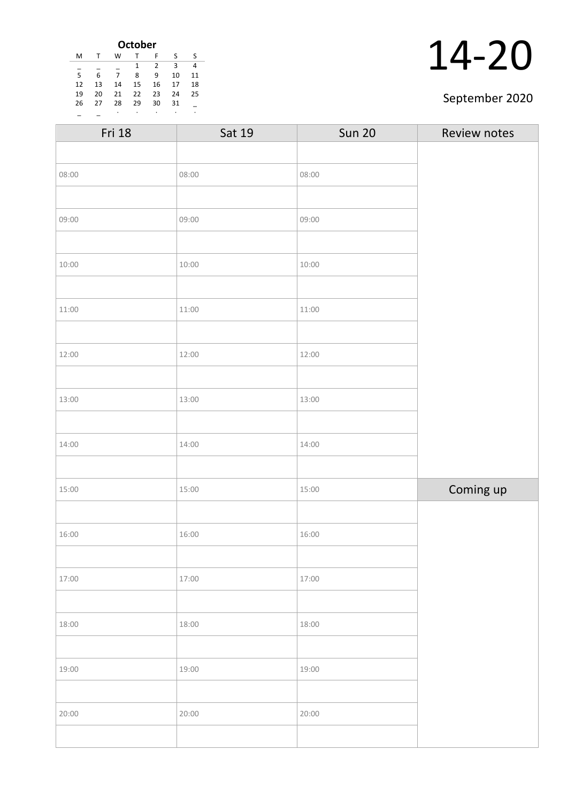| <b>October</b> |    |    |    |    |    |    |  |  |
|----------------|----|----|----|----|----|----|--|--|
| M              | т  | W  |    | F  | S  | ς  |  |  |
|                |    |    | 1  | 2  | 3  | 4  |  |  |
| 5              | 6  | 7  | 8  | 9  | 10 | 11 |  |  |
| 12             | 13 | 14 | 15 | 16 | 17 | 18 |  |  |
| 19             | 20 | 21 | 22 | 23 | 24 | 25 |  |  |
| 26             | 27 | 28 | 29 | 30 | 31 |    |  |  |
|                |    | ٠  | ٠  | ٠  | ٠  | ٠  |  |  |

#### September 2020

| Fri 18 | Sat 19 | <b>Sun 20</b> | Review notes |
|--------|--------|---------------|--------------|
|        |        |               |              |
| 08:00  | 08:00  | 08:00         |              |
|        |        |               |              |
| 09:00  | 09:00  | 09:00         |              |
|        |        |               |              |
| 10:00  | 10:00  | 10:00         |              |
|        |        |               |              |
| 11:00  | 11:00  | 11:00         |              |
|        |        |               |              |
| 12:00  | 12:00  | 12:00         |              |
|        |        |               |              |
| 13:00  | 13:00  | 13:00         |              |
|        |        |               |              |
| 14:00  | 14:00  | 14:00         |              |
|        |        |               |              |
| 15:00  | 15:00  | 15:00         | Coming up    |
|        |        |               |              |
| 16:00  | 16:00  | 16:00         |              |
|        |        |               |              |
| 17:00  | 17:00  | 17:00         |              |
|        |        |               |              |
| 18:00  | 18:00  | 18:00         |              |
|        |        |               |              |
| 19:00  | 19:00  | 19:00         |              |
|        |        |               |              |
| 20:00  | 20:00  | 20:00         |              |
|        |        |               |              |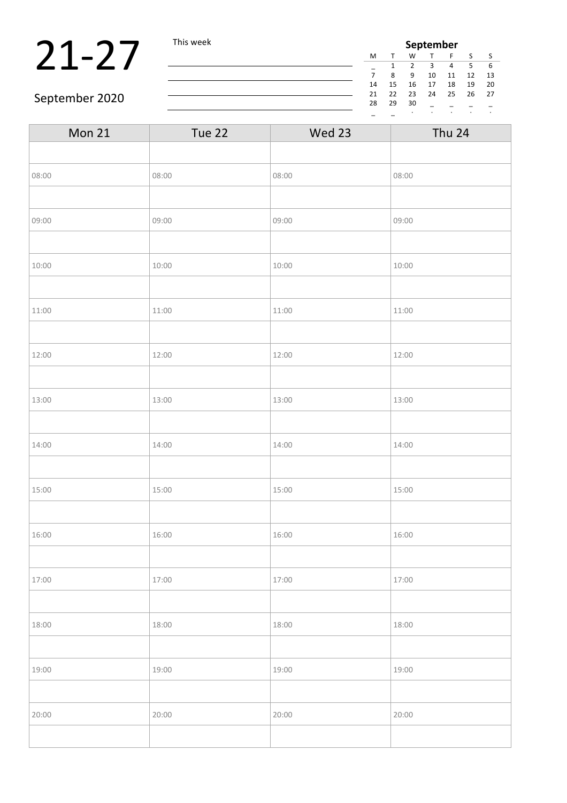### 21-27 This week

| September      |              |    |    |    |    |    |  |  |  |
|----------------|--------------|----|----|----|----|----|--|--|--|
| M              | $\mathbf{T}$ | w  |    | F  | S  | S  |  |  |  |
|                | 1            | 2  | З  | 4  | 5  | 6  |  |  |  |
| $\overline{7}$ | ጸ            | ٩  | 10 | 11 | 12 | 13 |  |  |  |
| 14             | 15           | 16 | 17 | 18 | 19 | 20 |  |  |  |
| 21             | 22           | 23 | 24 | 25 | 26 | 27 |  |  |  |
| 28             | 29           | 30 |    |    |    |    |  |  |  |
|                |              |    |    |    |    |    |  |  |  |

#### September 2020

| Tue 22 | Wed 23 | Thu 24 |
|--------|--------|--------|
|        |        |        |
| 08:00  | 08:00  | 08:00  |
|        |        |        |
| 09:00  | 09:00  | 09:00  |
|        |        |        |
| 10:00  | 10:00  | 10:00  |
|        |        |        |
| 11:00  | 11:00  | 11:00  |
|        |        |        |
| 12:00  | 12:00  | 12:00  |
|        |        |        |
| 13:00  | 13:00  | 13:00  |
|        |        |        |
| 14:00  | 14:00  | 14:00  |
|        |        |        |
| 15:00  | 15:00  | 15:00  |
|        |        |        |
| 16:00  | 16:00  | 16:00  |
|        |        |        |
| 17:00  | 17:00  | 17:00  |
|        |        |        |
| 18:00  | 18:00  | 18:00  |
|        |        |        |
| 19:00  | 19:00  | 19:00  |
|        |        |        |
| 20:00  | 20:00  | 20:00  |
|        |        |        |
|        |        |        |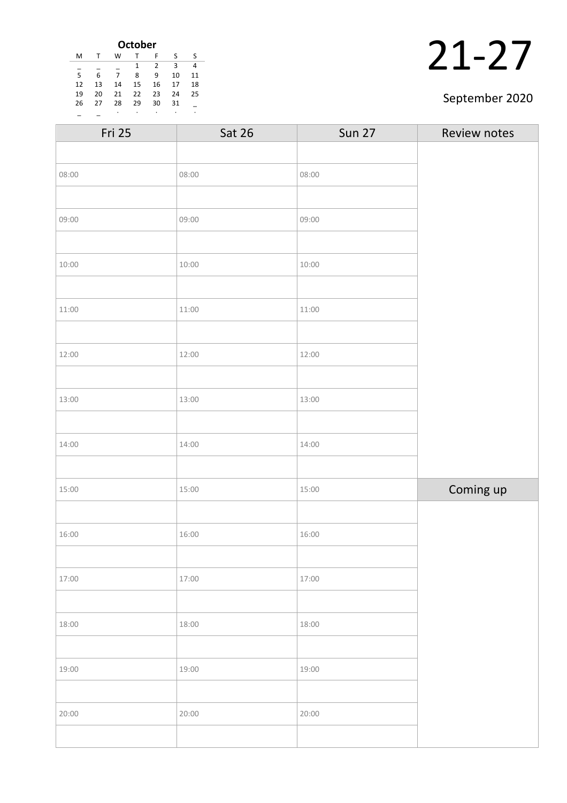| <b>October</b> |    |    |    |    |    |    |
|----------------|----|----|----|----|----|----|
| M              | т  | W  |    | F  | S  | ς  |
|                |    |    | 1  | 2  | 3  | 4  |
| 5              | 6  | 7  | 8  | 9  | 10 | 11 |
| 12             | 13 | 14 | 15 | 16 | 17 | 18 |
| 19             | 20 | 21 | 22 | 23 | 24 | 25 |
| 26             | 27 | 28 | 29 | 30 | 31 |    |
|                |    | ٠  | ٠  | ٠  | ٠  | ٠  |

#### September 2020

| <b>Sat 26</b> | <b>Sun 27</b> | Review notes |
|---------------|---------------|--------------|
|               |               |              |
| 08:00         | 08:00         |              |
|               |               |              |
| 09:00         | 09:00         |              |
|               |               |              |
| 10:00         | 10:00         |              |
|               |               |              |
| 11:00         | 11:00         |              |
|               |               |              |
| 12:00         | 12:00         |              |
|               |               |              |
| 13:00         | 13:00         |              |
|               |               |              |
| 14:00         | 14:00         |              |
|               |               |              |
| 15:00         | 15:00         | Coming up    |
|               |               |              |
| 16:00         | 16:00         |              |
|               |               |              |
| 17:00         | 17:00         |              |
|               |               |              |
| 18:00         | 18:00         |              |
|               |               |              |
| 19:00         | 19:00         |              |
|               |               |              |
| 20:00         | 20:00         |              |
|               |               |              |
|               |               |              |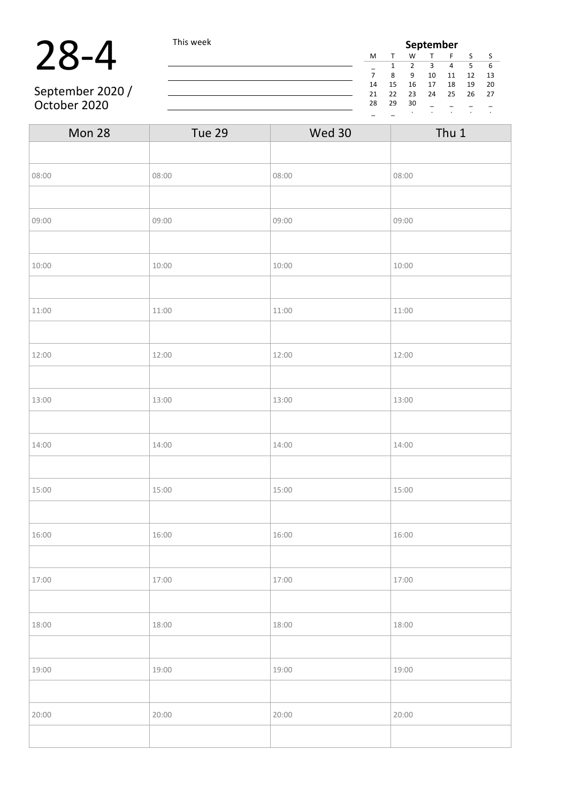### 28-4 This week

September 2020/ October 2020

| September |    |    |    |    |    |    |
|-----------|----|----|----|----|----|----|
| M         |    | W  |    | F  | S  | S  |
|           | 1  | 2  | З  | 4  | 5  | 6  |
| 7         | 8  | 9  | 10 | 11 | 12 | 13 |
| 14        | 15 | 16 | 17 | 18 | 19 | 20 |
| 21        | 22 | 23 | 24 | 25 | 26 | 27 |
| 28        | 29 | 30 |    |    |    |    |
|           |    |    |    |    |    |    |

| Mon 28 | Tue 29 | Wed 30 | Thu 1 |
|--------|--------|--------|-------|
|        |        |        |       |
| 08:00  | 08:00  | 08:00  | 08:00 |
|        |        |        |       |
| 09:00  | 09:00  | 09:00  | 09:00 |
|        |        |        |       |
| 10:00  | 10:00  | 10:00  | 10:00 |
|        |        |        |       |
| 11:00  | 11:00  | 11:00  | 11:00 |
|        |        |        |       |
| 12:00  | 12:00  | 12:00  | 12:00 |
|        |        |        |       |
| 13:00  | 13:00  | 13:00  | 13:00 |
|        |        |        |       |
| 14:00  | 14:00  | 14:00  | 14:00 |
|        |        |        |       |
| 15:00  | 15:00  | 15:00  | 15:00 |
|        |        |        |       |
| 16:00  | 16:00  | 16:00  | 16:00 |
|        |        |        |       |
| 17:00  | 17:00  | 17:00  | 17:00 |
|        |        |        |       |
| 18:00  | 18:00  | 18:00  | 18:00 |
|        |        |        |       |
| 19:00  | 19:00  | 19:00  | 19:00 |
|        |        |        |       |
| 20:00  | 20:00  | 20:00  | 20:00 |
|        |        |        |       |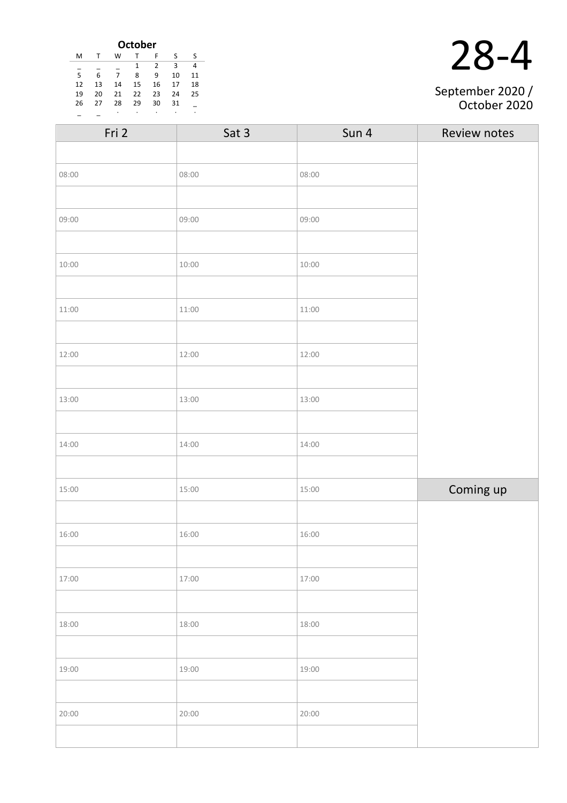| <b>October</b> |    |    |    |                |    |    |
|----------------|----|----|----|----------------|----|----|
| M              |    | w  |    | F              | S  | ς  |
|                |    |    | 1  | $\mathfrak{p}$ | 3  |    |
| 5              | 6  | 7  | 8  | 9              | 10 | 11 |
| 12             | 13 | 14 | 15 | 16             | 17 | 18 |
| 19             | 20 | 21 | 22 | 23             | 24 | 25 |
| 26             | 27 | 28 | 29 | 30             | 31 |    |
|                |    | ٠  | ٠  | ٠              |    | ٠  |

| September 2020 / |
|------------------|

October 2020

| Fri 2 | Sat 3 | Sun 4 | Review notes |
|-------|-------|-------|--------------|
|       |       |       |              |
| 08:00 | 08:00 | 08:00 |              |
|       |       |       |              |
| 09:00 | 09:00 | 09:00 |              |
|       |       |       |              |
| 10:00 | 10:00 | 10:00 |              |
|       |       |       |              |
| 11:00 | 11:00 | 11:00 |              |
|       |       |       |              |
| 12:00 | 12:00 | 12:00 |              |
|       |       |       |              |
| 13:00 | 13:00 | 13:00 |              |
|       |       |       |              |
| 14:00 | 14:00 | 14:00 |              |
|       |       |       |              |
| 15:00 | 15:00 | 15:00 | Coming up    |
|       |       |       |              |
| 16:00 | 16:00 | 16:00 |              |
|       |       |       |              |
| 17:00 | 17:00 | 17:00 |              |
|       |       |       |              |
| 18:00 | 18:00 | 18:00 |              |
|       |       |       |              |
| 19:00 | 19:00 | 19:00 |              |
|       |       |       |              |
| 20:00 | 20:00 | 20:00 |              |
|       |       |       |              |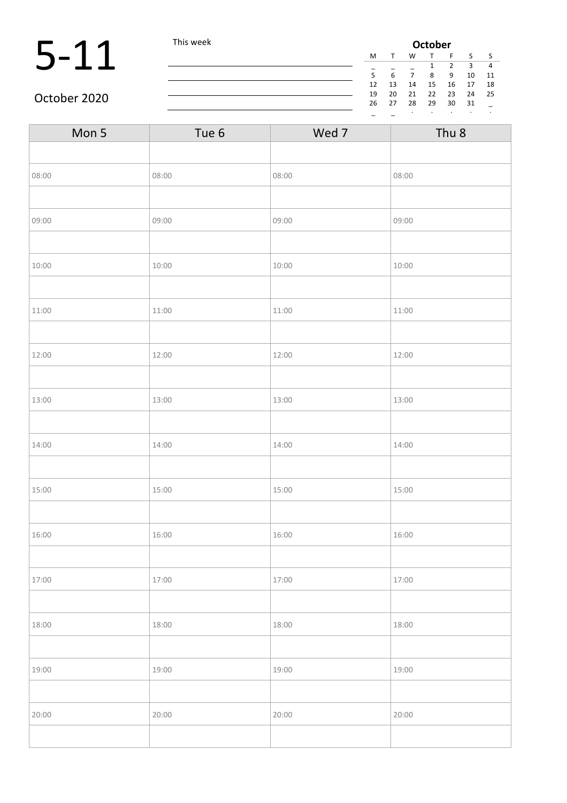### 5-11 This week **October**<br>  $\frac{M T W T}{5 6 7 8}$

| October |    |    |    |                |    |    |
|---------|----|----|----|----------------|----|----|
| м       |    | w  |    | F              | S  | S  |
|         |    |    | 1  | $\overline{2}$ | ξ  |    |
| 5       | 6  |    | 8  | 9              | 10 | 11 |
| 12      | 13 | 14 | 15 | 16             | 17 | 18 |
| 19      | 20 | 21 | 22 | 23             | 24 | 25 |
| 26      | 27 | 28 | 29 | 30             | 31 |    |
|         |    | ٠  | ٠  |                | ٠  | ٠  |

#### October 2020

| Mon 5 | Tue 6 | Wed 7 | Thu <sub>8</sub> |
|-------|-------|-------|------------------|
|       |       |       |                  |
| 08:00 | 08:00 | 08:00 | 08:00            |
|       |       |       |                  |
| 09:00 | 09:00 | 09:00 | 09:00            |
|       |       |       |                  |
| 10:00 | 10:00 | 10:00 | 10:00            |
|       |       |       |                  |
| 11:00 | 11:00 | 11:00 | 11:00            |
|       |       |       |                  |
| 12:00 | 12:00 | 12:00 | 12:00            |
|       |       |       |                  |
| 13:00 | 13:00 | 13:00 | 13:00            |
|       |       |       |                  |
| 14:00 | 14:00 | 14:00 | 14:00            |
|       |       |       |                  |
| 15:00 | 15:00 | 15:00 | 15:00            |
|       |       |       |                  |
| 16:00 | 16:00 | 16:00 | 16:00            |
|       |       |       |                  |
| 17:00 | 17:00 | 17:00 | 17:00            |
|       |       |       |                  |
| 18:00 | 18:00 | 18:00 | 18:00            |
|       |       |       |                  |
| 19:00 | 19:00 | 19:00 | 19:00            |
|       |       |       |                  |
| 20:00 | 20:00 | 20:00 | 20:00            |
|       |       |       |                  |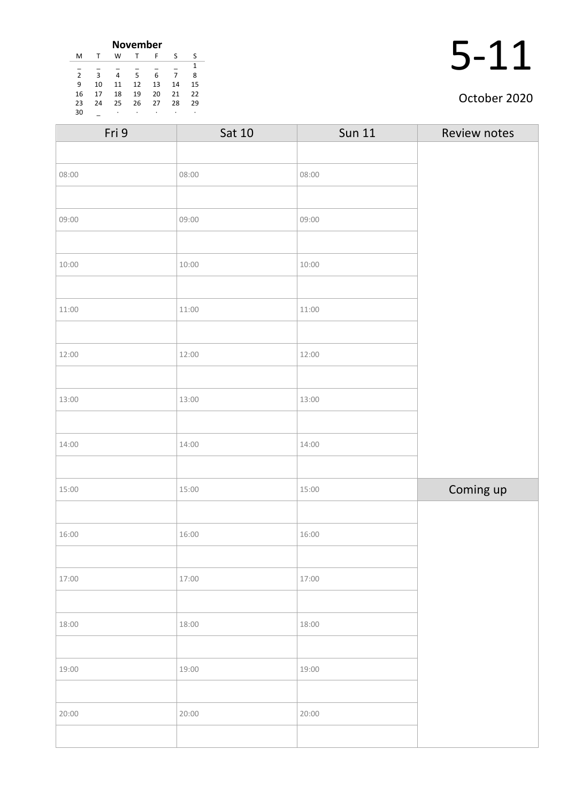| <b>November</b> |    |    |    |    |    |    |
|-----------------|----|----|----|----|----|----|
| м               |    | w  | т  | F  | S  | S  |
|                 |    |    |    |    |    | 1  |
| $\overline{2}$  | 3  | 4  | 5  | 6  |    | 8  |
| 9               | 10 | 11 | 12 | 13 | 14 | 15 |
| 16              | 17 | 18 | 19 | 20 | 21 | 22 |
| 23              | 24 | 25 | 26 | 27 | 28 | 29 |
| 30              |    | ٠  |    | ٠  | ٠  |    |

#### October 2020

| Fri 9 | Sat 10 | <b>Sun 11</b> | Review notes |
|-------|--------|---------------|--------------|
|       |        |               |              |
| 08:00 | 08:00  | 08:00         |              |
|       |        |               |              |
| 09:00 | 09:00  | 09:00         |              |
|       |        |               |              |
| 10:00 | 10:00  | 10:00         |              |
|       |        |               |              |
| 11:00 | 11:00  | 11:00         |              |
|       |        |               |              |
| 12:00 | 12:00  | 12:00         |              |
|       |        |               |              |
| 13:00 | 13:00  | 13:00         |              |
|       |        |               |              |
| 14:00 | 14:00  | 14:00         |              |
|       |        |               |              |
| 15:00 | 15:00  | 15:00         | Coming up    |
|       |        |               |              |
| 16:00 | 16:00  | 16:00         |              |
|       |        |               |              |
| 17:00 | 17:00  | 17:00         |              |
|       |        |               |              |
| 18:00 | 18:00  | 18:00         |              |
|       |        |               |              |
| 19:00 | 19:00  | 19:00         |              |
|       |        |               |              |
| 20:00 | 20:00  | 20:00         |              |
|       |        |               |              |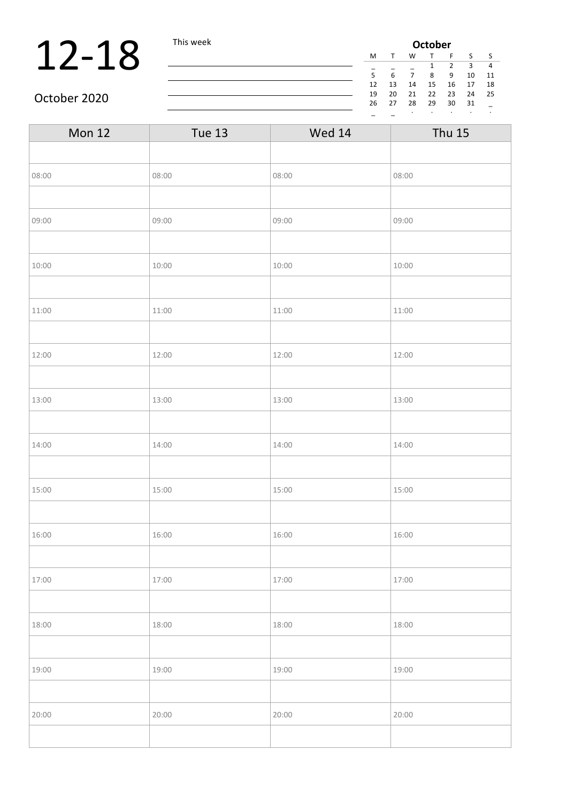### **12-18** This week **Octob**<br> **12-18**  $\frac{1}{5}$

| October |    |    |              |    |    |    |  |
|---------|----|----|--------------|----|----|----|--|
| м       |    | w  | $\mathbf{T}$ | F  | S  | S  |  |
|         |    |    | 1            | 2  | ξ  | 4  |  |
| 5       | 6  | 7  | 8            | 9  | 10 | 11 |  |
| 12      | 13 | 14 | 15           | 16 | 17 | 18 |  |
| 19      | 20 | 21 | 22           | 23 | 24 | 25 |  |
| 26      | 27 | 28 | 29           | 30 | 31 |    |  |
|         |    | ٠  |              |    |    | ٠  |  |

October 2020

| <b>Mon 12</b> | Tue 13 | Wed 14 | <b>Thu 15</b> |
|---------------|--------|--------|---------------|
|               |        |        |               |
| 08:00         | 08:00  | 08:00  | 08:00         |
|               |        |        |               |
| 09:00         | 09:00  | 09:00  | 09:00         |
|               |        |        |               |
| 10:00         | 10:00  | 10:00  | 10:00         |
|               |        |        |               |
| 11:00         | 11:00  | 11:00  | 11:00         |
|               |        |        |               |
| 12:00         | 12:00  | 12:00  | 12:00         |
|               |        |        |               |
| 13:00         | 13:00  | 13:00  | 13:00         |
|               |        |        |               |
| 14:00         | 14:00  | 14:00  | 14:00         |
|               |        |        |               |
| 15:00         | 15:00  | 15:00  | 15:00         |
|               |        |        |               |
| 16:00         | 16:00  | 16:00  | 16:00         |
|               |        |        |               |
| 17:00         | 17:00  | 17:00  | 17:00         |
|               |        |        |               |
| 18:00         | 18:00  | 18:00  | 18:00         |
|               |        |        |               |
| 19:00         | 19:00  | 19:00  | 19:00         |
|               |        |        |               |
| 20:00         | 20:00  | 20:00  | 20:00         |
|               |        |        |               |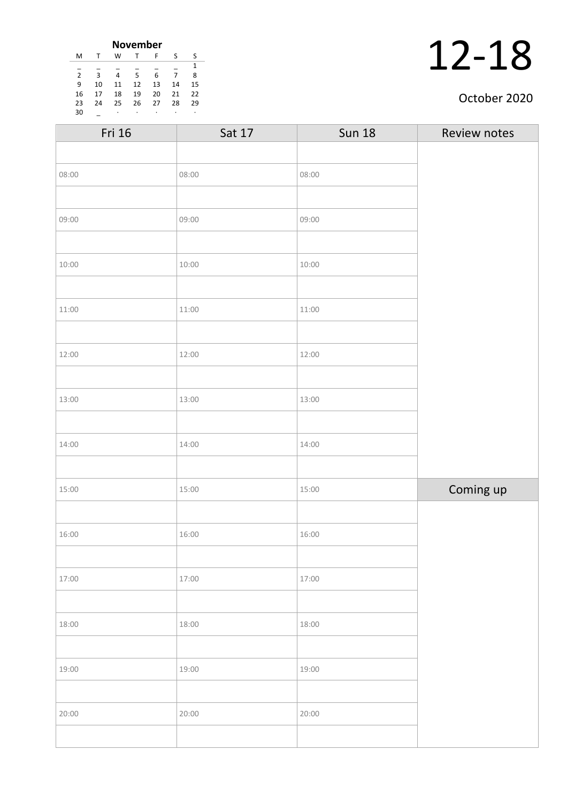| <b>November</b> |    |    |    |    |    |    |  |
|-----------------|----|----|----|----|----|----|--|
| м               | т  | W  | т  | F  | S  | ς  |  |
| 1               |    |    |    |    |    |    |  |
| $\overline{2}$  | 3  | 4  | 5  | 6  |    | 8  |  |
| 9               | 10 | 11 | 12 | 13 | 14 | 15 |  |
| 16              | 17 | 18 | 19 | 20 | 21 | 22 |  |
| 23              | 74 | 25 | 26 | 27 | 28 | 29 |  |
| 30              |    | ٠  |    | ٠  |    |    |  |

#### October 2020

| Fri 16 | Sat 17 | <b>Sun 18</b> | Review notes |
|--------|--------|---------------|--------------|
|        |        |               |              |
| 08:00  | 08:00  | 08:00         |              |
|        |        |               |              |
| 09:00  | 09:00  | 09:00         |              |
|        |        |               |              |
| 10:00  | 10:00  | 10:00         |              |
|        |        |               |              |
| 11:00  | 11:00  | 11:00         |              |
|        |        |               |              |
| 12:00  | 12:00  | 12:00         |              |
|        |        |               |              |
| 13:00  | 13:00  | 13:00         |              |
|        |        |               |              |
| 14:00  | 14:00  | 14:00         |              |
|        |        |               |              |
| 15:00  | 15:00  | 15:00         | Coming up    |
|        |        |               |              |
| 16:00  | 16:00  | 16:00         |              |
|        |        |               |              |
| 17:00  | 17:00  | 17:00         |              |
|        |        |               |              |
| 18:00  | 18:00  | 18:00         |              |
|        |        |               |              |
| 19:00  | 19:00  | 19:00         |              |
|        |        |               |              |
| 20:00  | 20:00  | 20:00         |              |
|        |        |               |              |
|        |        |               |              |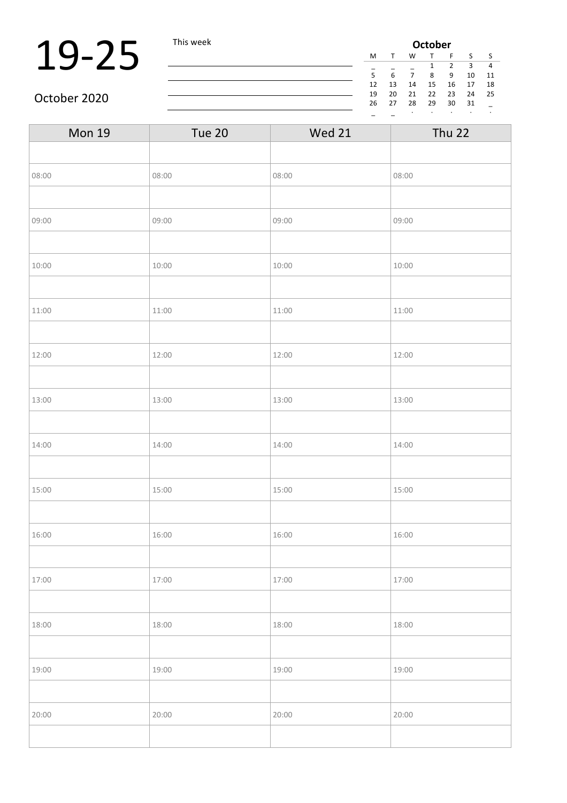### 19-25 This week

| <b>October</b> |              |    |        |    |    |    |  |
|----------------|--------------|----|--------|----|----|----|--|
| M              | $\mathsf{T}$ | W  | $\tau$ | F  | S  | S  |  |
|                |              |    | 1      | 2  | 3  | 4  |  |
| 5              | 6            |    | 8      | ٩  | 10 | 11 |  |
| 12             | 13           | 14 | 15     | 16 | 17 | 18 |  |
| 19             | 20           | 21 | 22     | 23 | 24 | 25 |  |
| 26             | 27           | 28 | 29     | 30 | 31 |    |  |
|                |              | ٠  |        |    |    | ٠  |  |

October 2020

| <b>Mon 19</b> | Tue 20 | <b>Wed 21</b> | <b>Thu 22</b> |
|---------------|--------|---------------|---------------|
|               |        |               |               |
| 08:00         | 08:00  | 08:00         | 08:00         |
|               |        |               |               |
| 09:00         | 09:00  | 09:00         | 09:00         |
|               |        |               |               |
| 10:00         | 10:00  | 10:00         | 10:00         |
|               |        |               |               |
| 11:00         | 11:00  | 11:00         | 11:00         |
|               |        |               |               |
| 12:00         | 12:00  | 12:00         | 12:00         |
|               |        |               |               |
| 13:00         | 13:00  | 13:00         | 13:00         |
|               |        |               |               |
| 14:00         | 14:00  | 14:00         | 14:00         |
|               |        |               |               |
| 15:00         | 15:00  | 15:00         | 15:00         |
|               |        |               |               |
| 16:00         | 16:00  | 16:00         | 16:00         |
|               |        |               |               |
| 17:00         | 17:00  | 17:00         | 17:00         |
|               |        |               |               |
| 18:00         | 18:00  | 18:00         | 18:00         |
|               |        |               |               |
| 19:00         | 19:00  | 19:00         | 19:00         |
|               |        |               |               |
| 20:00         | 20:00  | 20:00         | 20:00         |
|               |        |               |               |

<u> 1980 - Johann Barbara, martin d</u>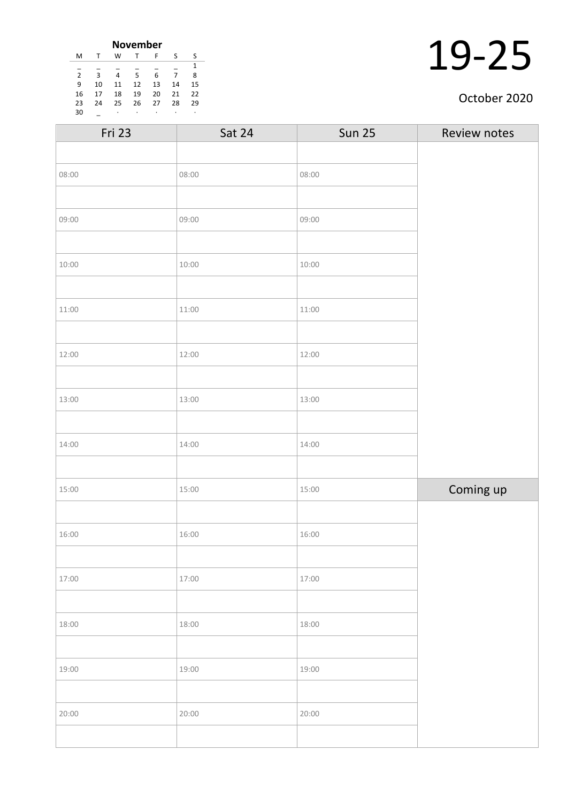| <b>November</b> |    |    |    |    |    |    |  |
|-----------------|----|----|----|----|----|----|--|
| M               | т  | W  | т  | F  | S  | S  |  |
|                 |    |    |    |    |    | 1  |  |
| $\overline{2}$  | 3  | 4  | 5  | 6  |    | 8  |  |
| 9               | 10 | 11 | 12 | 13 | 14 | 15 |  |
| 16              | 17 | 18 | 19 | 20 | 21 | 22 |  |
| 23              | 24 | 25 | 26 | 27 | 28 | 29 |  |
| 30              |    | ٠  | ٠  | ٠  | ٠  | ٠  |  |

#### October 2020

| Sat 24 | <b>Sun 25</b> | Review notes |
|--------|---------------|--------------|
|        |               |              |
| 08:00  | 08:00         |              |
|        |               |              |
| 09:00  | 09:00         |              |
|        |               |              |
| 10:00  | 10:00         |              |
|        |               |              |
| 11:00  | 11:00         |              |
|        |               |              |
| 12:00  | 12:00         |              |
|        |               |              |
| 13:00  | 13:00         |              |
|        |               |              |
| 14:00  | 14:00         |              |
|        |               |              |
| 15:00  | 15:00         | Coming up    |
|        |               |              |
| 16:00  | 16:00         |              |
|        |               |              |
| 17:00  | 17:00         |              |
|        |               |              |
| 18:00  | 18:00         |              |
|        |               |              |
| 19:00  | 19:00         |              |
|        |               |              |
| 20:00  | 20:00         |              |
|        |               |              |
|        |               |              |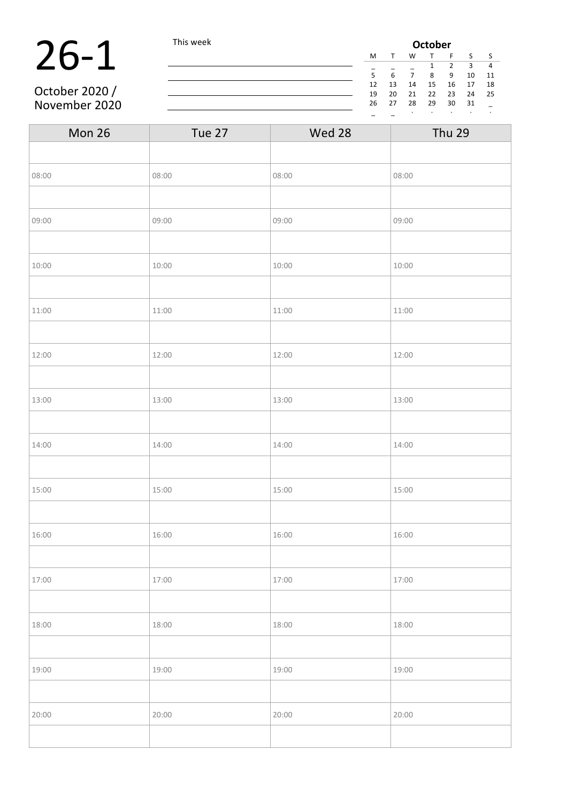### **26-1** This week **October October October October This week October The COLOREY COLOREY The COLOREY**   $\frac{M}{5}$   $\frac{7}{6}$   $\frac{M}{7}$   $\frac{1}{8}$   $\frac{2}{9}$ October 2020 /

November 2020

M T W T F S S \_ \_ \_ 1 2 3 4 6 7 8 9 10 11 13 14 15 16 17 18 20 21 22 23 24 25 27 28 29 30 31 \_

\_ \_ · · · · · Mon 26 Tue 27 Wed 28 Thu 29 08:00 08:00 08:00 08:00 08:00 08:00 08:00 08:00 08:00 08:00 08:00 08:00 08:00 08:00 08:00 08:00 08:00 08:00 08:00 08:00 08:00 08:00 08:00 08:00 08:00 08:00 08:00 08:00 08:00 08:00 08:00 08:00 08:00 08:00 08:00 08:00 08:00 09:00 09:00 09:00 09:00 09:00 09:00 09:00 09:00 09:00 09:00  $10:00$  10:00 10:00 10:00 10:00 10:00 10:00 10:00 10:00 10:00 10:00 10:00 10:00 10:00 10:00 10:00 10:00 10:00 10:00 10:00 10:00 10:00 10:00 10:00 10:00 10:00 10:00 10:00 10:00 10:00 10:00 10:00 10:00 10:00 10:00 10:00 10: 11:00 11:00 11:00 11:00 11:00 11:00 12:00 12:00 12:00 12:00 12:00 12:00 12:00 13:00 13:00 13:00 13:00 13:00 13:00 13:00 13:00 14:00 14:00 14:00 14:00 14:00 14:00 14:00 14:00 15:00 15:00 15:00 15:00 15:00 15:00 16:00 16:00 16:00 16:00 16:00 16:00 16:00 16:00 16:00 16:00 16:00 16:00 16:00 16:00 16:00 16:00 16:00 16:00 16:00 16:00 16:00 16:00 16:00 16:00 16:00 16:00 16:00 16:00 16:00 16:00 16:00 16:00 16:00 16:00 16:00 16:00 16:00 17:00 17:00 17:00 17:00 17:00 18:00 18:00 18:00 18:00 18:00 18:00 18:00 18:00 18:00 18:00 19:00 19:00 19:00 19:00 19:00 19:00 19:00 19:00 19:00 19:00 19:00 19:00 19:00 19:00 19:00 19:00 19:00 19:00 19 20:00 20:00 20:00 20:00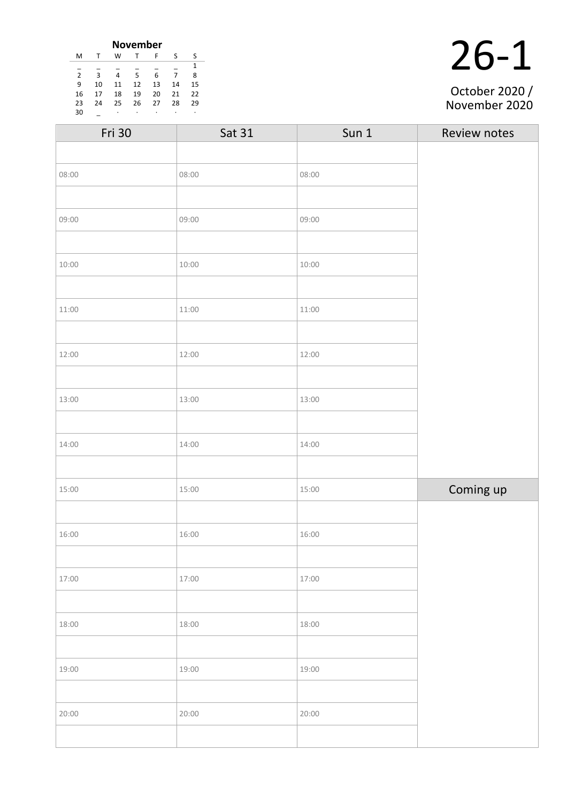|    | <b>November</b> |    |    |    |    |    |
|----|-----------------|----|----|----|----|----|
| M  | J.              | W  | т  | F  | S  | -S |
|    |                 |    |    |    |    |    |
| 2  | 3               | 4  | 5  | 6  | 7  | 8  |
| 9  | 10              | 11 | 12 | 13 | 14 | 15 |
| 16 | 17              | 18 | 19 | 20 | 21 | 22 |
| 23 | 24              | 25 | 26 | 27 | 28 | 29 |
| 30 |                 | ٠  |    |    | ٠  |    |

| October 2020 / |  |
|----------------|--|

| Fri 30 | Sat 31 | Sun 1 | Review notes |
|--------|--------|-------|--------------|
|        |        |       |              |
| 08:00  | 08:00  | 08:00 |              |
|        |        |       |              |
| 09:00  | 09:00  | 09:00 |              |
|        |        |       |              |
| 10:00  | 10:00  | 10:00 |              |
|        |        |       |              |
| 11:00  | 11:00  | 11:00 |              |
|        |        |       |              |
| 12:00  | 12:00  | 12:00 |              |
|        |        |       |              |
| 13:00  | 13:00  | 13:00 |              |
|        |        |       |              |
| 14:00  | 14:00  | 14:00 |              |
|        |        |       |              |
| 15:00  | 15:00  | 15:00 | Coming up    |
|        |        |       |              |
| 16:00  | 16:00  | 16:00 |              |
|        |        |       |              |
| 17:00  | 17:00  | 17:00 |              |
|        |        |       |              |
| 18:00  | 18:00  | 18:00 |              |
|        |        |       |              |
| 19:00  | 19:00  | 19:00 |              |
|        |        |       |              |
| 20:00  | 20:00  | 20:00 |              |
|        |        |       |              |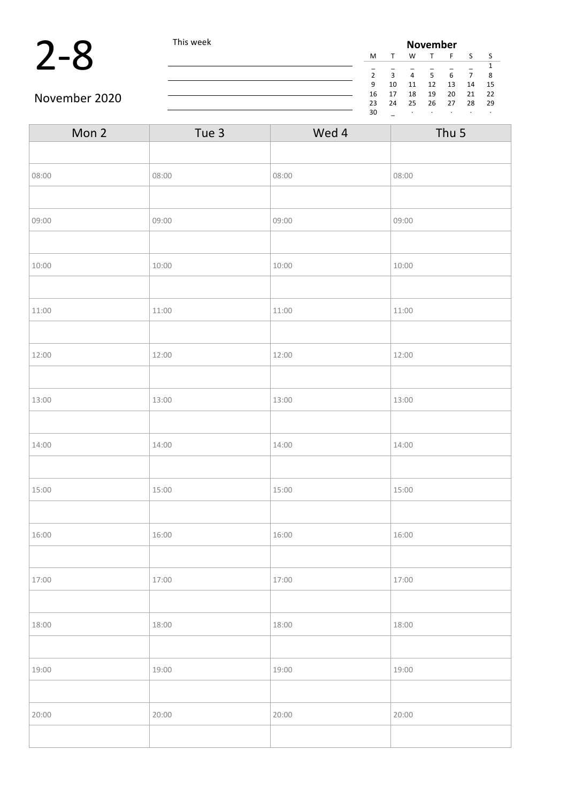



 $\overline{\phantom{a}}$ 

| Mon 2 | Tue 3 | Wed 4 | Thu <sub>5</sub> |
|-------|-------|-------|------------------|
|       |       |       |                  |
| 08:00 | 08:00 | 08:00 | 08:00            |
|       |       |       |                  |
| 09:00 | 09:00 | 09:00 | 09:00            |
|       |       |       |                  |
| 10:00 | 10:00 | 10:00 | 10:00            |
|       |       |       |                  |
| 11:00 | 11:00 | 11:00 | 11:00            |
|       |       |       |                  |
| 12:00 | 12:00 | 12:00 | 12:00            |
|       |       |       |                  |
| 13:00 | 13:00 | 13:00 | 13:00            |
|       |       |       |                  |
| 14:00 | 14:00 | 14:00 | 14:00            |
|       |       |       |                  |
| 15:00 | 15:00 | 15:00 | 15:00            |
|       |       |       |                  |
| 16:00 | 16:00 | 16:00 | 16:00            |
|       |       |       |                  |
| 17:00 | 17:00 | 17:00 | 17:00            |
|       |       |       |                  |
| 18:00 | 18:00 | 18:00 | 18:00            |
|       |       |       |                  |
| 19:00 | 19:00 | 19:00 | 19:00            |
|       |       |       |                  |
| 20:00 | 20:00 | 20:00 | 20:00            |
|       |       |       |                  |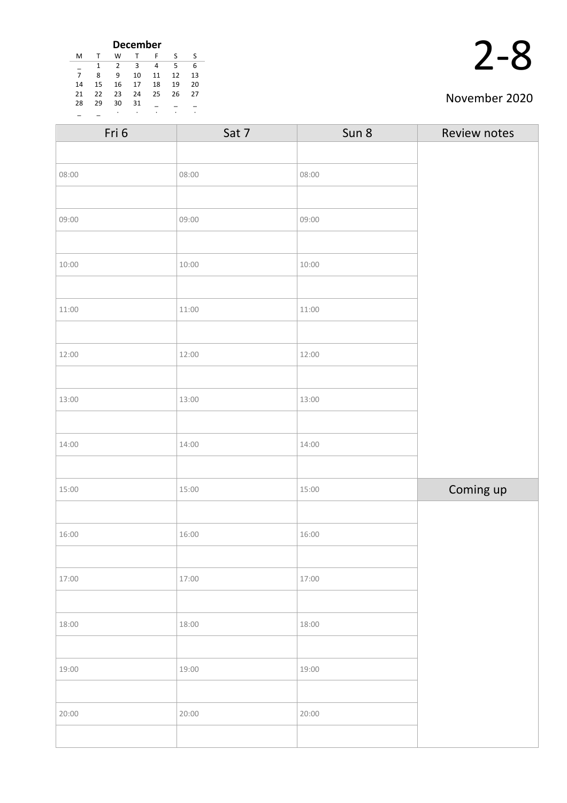| <b>December</b> |    |    |    |    |    |    |
|-----------------|----|----|----|----|----|----|
| м               |    | w  |    | F  | ς  | ς  |
|                 | 1  | 2  | 3  | 4  | 5  | 6  |
| 7               | 8  | 9  | 10 | 11 | 12 | 13 |
| 14              | 15 | 16 | 17 | 18 | 19 | 20 |
| 21              | 22 | 23 | 24 | 25 | 26 | 27 |
| 28              | 29 | 30 | 31 |    |    |    |
|                 |    | ٠  | ٠  | ٠  | ٠  | ٠  |

| Fri 6 | Sat 7 | Sun 8 | Review notes |
|-------|-------|-------|--------------|
|       |       |       |              |
| 08:00 | 08:00 | 08:00 |              |
|       |       |       |              |
| 09:00 | 09:00 | 09:00 |              |
|       |       |       |              |
| 10:00 | 10:00 | 10:00 |              |
|       |       |       |              |
| 11:00 | 11:00 | 11:00 |              |
|       |       |       |              |
| 12:00 | 12:00 | 12:00 |              |
|       |       |       |              |
| 13:00 | 13:00 | 13:00 |              |
|       |       |       |              |
| 14:00 | 14:00 | 14:00 |              |
|       |       |       |              |
| 15:00 | 15:00 | 15:00 | Coming up    |
|       |       |       |              |
| 16:00 | 16:00 | 16:00 |              |
|       |       |       |              |
| 17:00 | 17:00 | 17:00 |              |
|       |       |       |              |
| 18:00 | 18:00 | 18:00 |              |
|       |       |       |              |
| 19:00 | 19:00 | 19:00 |              |
|       |       |       |              |
| 20:00 | 20:00 | 20:00 |              |
|       |       |       |              |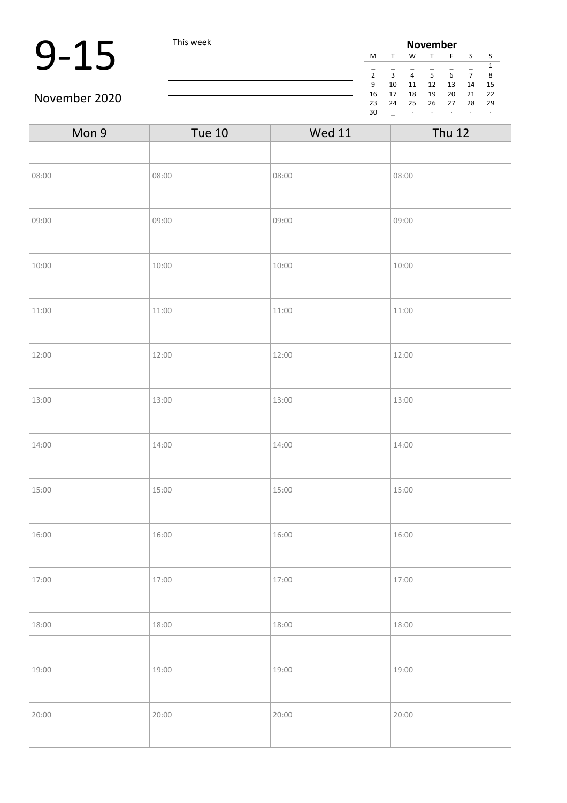### $9-15$  This week **November November**

W T F S S \_ \_ \_ \_ \_ \_ 1 2 3 4 5 6 7 8 9 10 11 12 13 14 15 16 17 18 19 20 21 22 23 24 25 26 27 28 29  $\mathbb{Z}^n$  . As we can be

 $\overline{\phantom{a}}$ 

| Mon 9 | <b>Tue 10</b> | <b>Wed 11</b> | <b>Thu 12</b> |
|-------|---------------|---------------|---------------|
|       |               |               |               |
| 08:00 | 08:00         | 08:00         | 08:00         |
|       |               |               |               |
| 09:00 | 09:00         | 09:00         | 09:00         |
|       |               |               |               |
| 10:00 | 10:00         | 10:00         | 10:00         |
|       |               |               |               |
| 11:00 | 11:00         | 11:00         | 11:00         |
|       |               |               |               |
| 12:00 | 12:00         | 12:00         | 12:00         |
|       |               |               |               |
| 13:00 | 13:00         | 13:00         | 13:00         |
|       |               |               |               |
| 14:00 | 14:00         | 14:00         | 14:00         |
|       |               |               |               |
| 15:00 | 15:00         | 15:00         | 15:00         |
|       |               |               |               |
| 16:00 | 16:00         | 16:00         | 16:00         |
|       |               |               |               |
| 17:00 | 17:00         | 17:00         | 17:00         |
|       |               |               |               |
| 18:00 | 18:00         | 18:00         | 18:00         |
|       |               |               |               |
| 19:00 | 19:00         | 19:00         | 19:00         |
|       |               |               |               |
| 20:00 | 20:00         | 20:00         | 20:00         |
|       |               |               |               |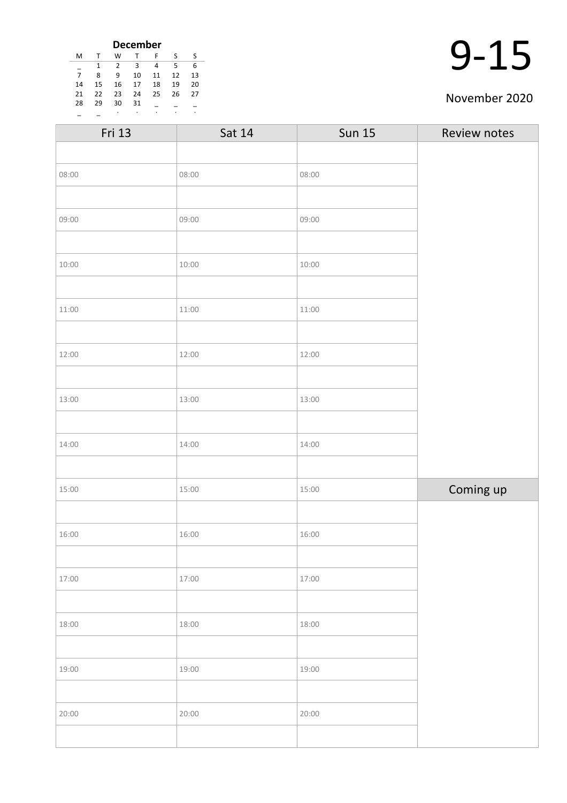| <b>December</b> |    |    |    |    |    |    |
|-----------------|----|----|----|----|----|----|
| M               |    | W  |    | F  | S  | S  |
|                 | 1  | 2  | 3  | 4  | 5  | 6  |
| 7               | 8  | ٩  | 10 | 11 | 12 | 13 |
| 14              | 15 | 16 | 17 | 18 | 19 | 20 |
| 21              | 22 | 23 | 24 | 25 | 26 | 27 |
| 28              | 29 | 30 | 31 |    |    |    |
|                 |    | ٠  |    |    |    |    |

| 1! |
|----|
|    |

| Fri 13 | Sat 14 | <b>Sun 15</b> | Review notes |
|--------|--------|---------------|--------------|
|        |        |               |              |
| 08:00  | 08:00  | 08:00         |              |
|        |        |               |              |
| 09:00  | 09:00  | 09:00         |              |
|        |        |               |              |
| 10:00  | 10:00  | 10:00         |              |
|        |        |               |              |
| 11:00  | 11:00  | 11:00         |              |
|        |        |               |              |
| 12:00  | 12:00  | 12:00         |              |
|        |        |               |              |
| 13:00  | 13:00  | 13:00         |              |
|        |        |               |              |
| 14:00  | 14:00  | 14:00         |              |
|        |        |               |              |
| 15:00  | 15:00  | 15:00         | Coming up    |
|        |        |               |              |
| 16:00  | 16:00  | 16:00         |              |
|        |        |               |              |
| 17:00  | 17:00  | 17:00         |              |
|        |        |               |              |
| 18:00  | 18:00  | 18:00         |              |
|        |        |               |              |
| 19:00  | 19:00  | 19:00         |              |
|        |        |               |              |
| 20:00  | 20:00  | 20:00         |              |
|        |        |               |              |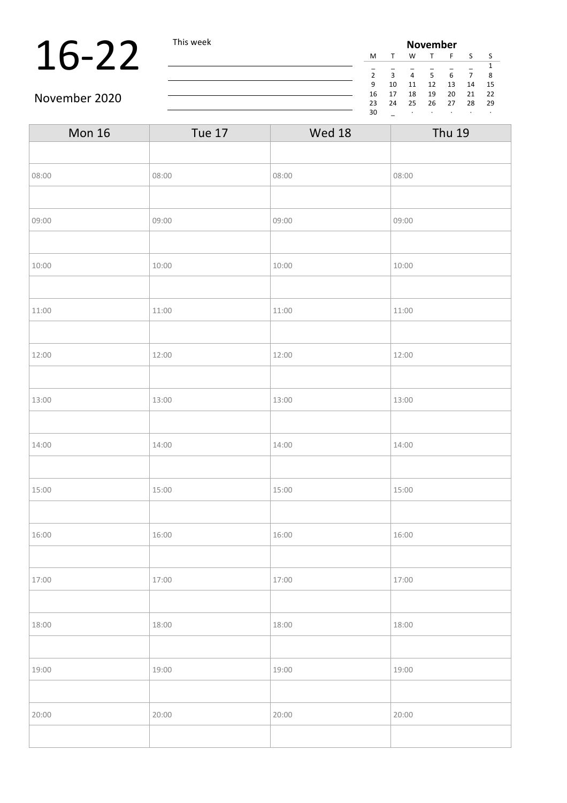### 16-22 This week

| <b>November</b> |              |    |    |    |    |    |  |
|-----------------|--------------|----|----|----|----|----|--|
| M               | $\mathsf{T}$ | W  | т  | F  | S  | S  |  |
|                 |              |    |    |    |    | 1  |  |
| $\overline{2}$  | 3            | 4  | 5  | 6  |    | 8  |  |
| 9               | 10           | 11 | 12 | 13 | 14 | 15 |  |
| 16              | 17           | 18 | 19 | 20 | 21 | 22 |  |
| 23              | 24           | 25 | 26 | 27 | 28 | 29 |  |
| 30              |              | ٠  |    |    |    | ٠  |  |

#### November 2020

| <b>Mon 16</b> | <b>Tue 17</b> | Wed 18 | <b>Thu 19</b> |
|---------------|---------------|--------|---------------|
|               |               |        |               |
| 08:00         | 08:00         | 08:00  | 08:00         |
|               |               |        |               |
| 09:00         | 09:00         | 09:00  | 09:00         |
|               |               |        |               |
| 10:00         | 10:00         | 10:00  | 10:00         |
|               |               |        |               |
| 11:00         | 11:00         | 11:00  | 11:00         |
|               |               |        |               |
| 12:00         | 12:00         | 12:00  | 12:00         |
|               |               |        |               |
| 13:00         | 13:00         | 13:00  | 13:00         |
|               |               |        |               |
| 14:00         | 14:00         | 14:00  | 14:00         |
|               |               |        |               |
| 15:00         | 15:00         | 15:00  | 15:00         |
|               |               |        |               |
| 16:00         | 16:00         | 16:00  | 16:00         |
|               |               |        |               |
| 17:00         | 17:00         | 17:00  | 17:00         |
|               |               |        |               |
| 18:00         | 18:00         | 18:00  | 18:00         |
|               |               |        |               |
| 19:00         | 19:00         | 19:00  | 19:00         |
|               |               |        |               |
| 20:00         | 20:00         | 20:00  | 20:00         |
|               |               |        |               |

<u> 1980 - Johann Barbara, martxa amerikan per</u>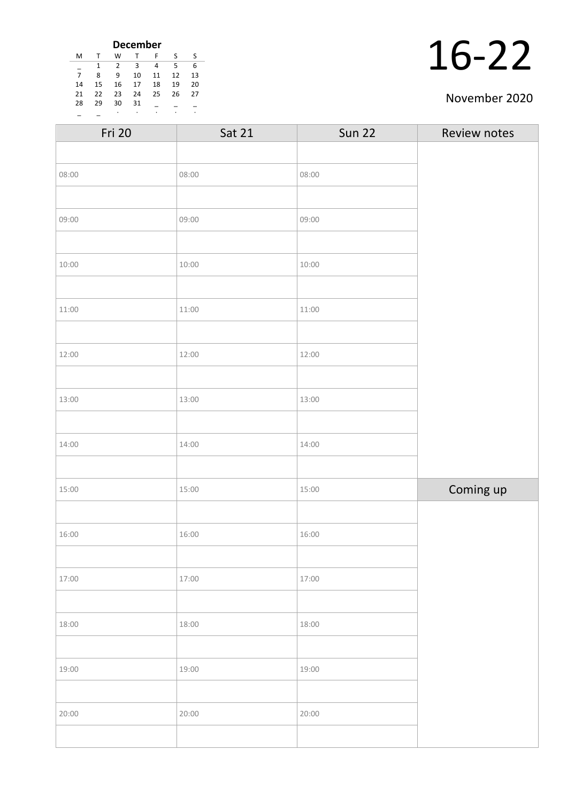| <b>December</b> |    |    |    |    |    |    |
|-----------------|----|----|----|----|----|----|
| м               | т  | W  |    | F  | S  | S  |
|                 | 1  | 2  | 3  | 4  | 5  | 6  |
| 7               | 8  | ٩  | 10 | 11 | 12 | 13 |
| 14              | 15 | 16 | 17 | 18 | 19 | 20 |
| 21              | 22 | 23 | 24 | 25 | 26 | 27 |
| 28              | 29 | 30 | 31 |    |    |    |
|                 |    | ٠  |    | ٠  |    |    |

| <b>Fri 20</b> | Sat 21 | <b>Sun 22</b> | Review notes |
|---------------|--------|---------------|--------------|
|               |        |               |              |
| 08:00         | 08:00  | 08:00         |              |
|               |        |               |              |
| 09:00         | 09:00  | 09:00         |              |
|               |        |               |              |
| 10:00         | 10:00  | 10:00         |              |
|               |        |               |              |
| 11:00         | 11:00  | 11:00         |              |
|               |        |               |              |
| 12:00         | 12:00  | 12:00         |              |
|               |        |               |              |
| 13:00         | 13:00  | 13:00         |              |
|               |        |               |              |
| 14:00         | 14:00  | 14:00         |              |
|               |        |               |              |
| 15:00         | 15:00  | 15:00         | Coming up    |
|               |        |               |              |
| 16:00         | 16:00  | 16:00         |              |
|               |        |               |              |
| 17:00         | 17:00  | 17:00         |              |
|               |        |               |              |
| 18:00         | 18:00  | 18:00         |              |
|               |        |               |              |
| 19:00         | 19:00  | 19:00         |              |
|               |        |               |              |
| 20:00         | 20:00  | 20:00         |              |
|               |        |               |              |
|               |        |               |              |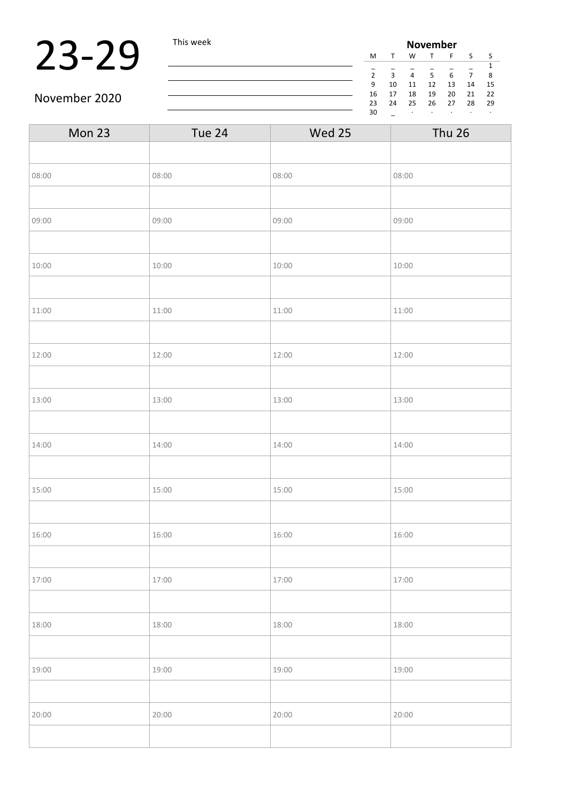### 23-29 This week

| <b>November</b> |    |    |    |    |    |    |  |
|-----------------|----|----|----|----|----|----|--|
| M               |    | W  |    | F  | S  | S  |  |
|                 |    |    |    |    |    | 1  |  |
| $\mathfrak{p}$  | ς  | 4  | 5  | 6  |    | 8  |  |
| 9               | 10 | 11 | 12 | 13 | 14 | 15 |  |
| 16              | 17 | 18 | 19 | 20 | 21 | 22 |  |
| 23              | 24 | 25 | 26 | 27 | 28 | 29 |  |
| 30              |    | ٠  |    |    |    | ٠  |  |

November 2020

| Mon 23 | Tue 24 | Wed 25 | <b>Thu 26</b> |  |
|--------|--------|--------|---------------|--|
|        |        |        |               |  |
| 08:00  | 08:00  | 08:00  | 08:00         |  |
|        |        |        |               |  |
| 09:00  | 09:00  | 09:00  | 09:00         |  |
|        |        |        |               |  |
| 10:00  | 10:00  | 10:00  | 10:00         |  |
|        |        |        |               |  |
| 11:00  | 11:00  | 11:00  | 11:00         |  |
|        |        |        |               |  |
| 12:00  | 12:00  | 12:00  | 12:00         |  |
|        |        |        |               |  |
| 13:00  | 13:00  | 13:00  | 13:00         |  |
|        |        |        |               |  |
| 14:00  | 14:00  | 14:00  | 14:00         |  |
|        |        |        |               |  |
| 15:00  | 15:00  | 15:00  | 15:00         |  |
|        |        |        |               |  |
| 16:00  | 16:00  | 16:00  | 16:00         |  |
|        |        |        |               |  |
| 17:00  | 17:00  | 17:00  | 17:00         |  |
|        |        |        |               |  |
| 18:00  | 18:00  | 18:00  | 18:00         |  |
|        |        |        |               |  |
| 19:00  | 19:00  | 19:00  | 19:00         |  |
|        |        |        |               |  |
| 20:00  | 20:00  | 20:00  | 20:00         |  |
|        |        |        |               |  |

<u> 1980 - Johann Barn, mars eta bainar eta bainar eta baina eta baina eta baina eta baina eta baina eta baina e</u>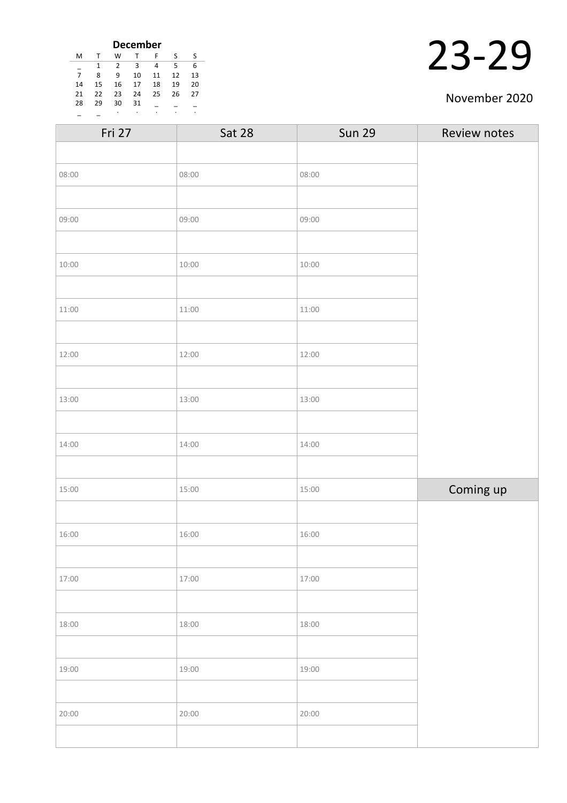| <b>December</b> |    |    |    |    |    |    |
|-----------------|----|----|----|----|----|----|
| м               |    | W  |    | F  | S  | S  |
|                 | 1  | 2  | 3  | 4  | 5  | 6  |
| $\overline{7}$  | 8  | ٩  | 10 | 11 | 12 | 13 |
| 14              | 15 | 16 | 17 | 18 | 19 | 20 |
| 21              | 22 | 23 | 24 | 25 | 26 | 27 |
| 28              | 29 | 30 | 31 |    |    |    |
|                 |    | ٠  | ٠  | ٠  |    | ٠  |

| Fri 27 | Sat 28 | <b>Sun 29</b> | Review notes |
|--------|--------|---------------|--------------|
|        |        |               |              |
| 08:00  | 08:00  | 08:00         |              |
|        |        |               |              |
| 09:00  | 09:00  | 09:00         |              |
|        |        |               |              |
| 10:00  | 10:00  | 10:00         |              |
|        |        |               |              |
| 11:00  | 11:00  | 11:00         |              |
|        |        |               |              |
| 12:00  | 12:00  | 12:00         |              |
|        |        |               |              |
| 13:00  | 13:00  | 13:00         |              |
|        |        |               |              |
| 14:00  | 14:00  | 14:00         |              |
|        |        |               |              |
| 15:00  | 15:00  | 15:00         | Coming up    |
|        |        |               |              |
| 16:00  | 16:00  | 16:00         |              |
|        |        |               |              |
| 17:00  | 17:00  | 17:00         |              |
|        |        |               |              |
| 18:00  | 18:00  | 18:00         |              |
|        |        |               |              |
| 19:00  | 19:00  | 19:00         |              |
|        |        |               |              |
| 20:00  | 20:00  | 20:00         |              |
|        |        |               |              |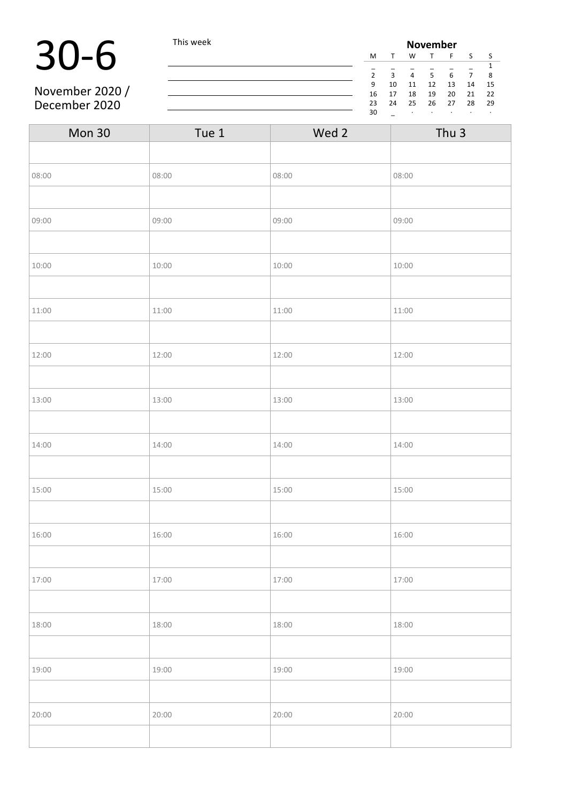### 30-6 This week

November 2020 / December 2020

| <b>November</b> |    |    |    |    |    |    |
|-----------------|----|----|----|----|----|----|
| M               |    | W  | T  | F  | S  | S  |
| 1               |    |    |    |    |    |    |
| $\overline{2}$  | 3  | 4  | 5  | 6  |    | 8  |
| 9               | 10 | 11 | 12 | 13 | 14 | 15 |
| 16              | 17 | 18 | 19 | 20 | 21 | 22 |
| 23              | 24 | 25 | 26 | 27 | 28 | 29 |
| 30              |    | ٠  | ٠  | ٠  | ٠  | ٠  |

| <b>Mon 30</b> | Tue 1 | Wed 2 | Thu <sub>3</sub> |
|---------------|-------|-------|------------------|
|               |       |       |                  |
| 08:00         | 08:00 | 08:00 | 08:00            |
|               |       |       |                  |
| 09:00         | 09:00 | 09:00 | 09:00            |
|               |       |       |                  |
| 10:00         | 10:00 | 10:00 | 10:00            |
|               |       |       |                  |
| 11:00         | 11:00 | 11:00 | 11:00            |
|               |       |       |                  |
| 12:00         | 12:00 | 12:00 | 12:00            |
|               |       |       |                  |
| 13:00         | 13:00 | 13:00 | 13:00            |
|               |       |       |                  |
| 14:00         | 14:00 | 14:00 | 14:00            |
|               |       |       |                  |
| 15:00         | 15:00 | 15:00 | 15:00            |
|               |       |       |                  |
| 16:00         | 16:00 | 16:00 | 16:00            |
|               |       |       |                  |
| 17:00         | 17:00 | 17:00 | 17:00            |
|               |       |       |                  |
| 18:00         | 18:00 | 18:00 | 18:00            |
|               |       |       |                  |
| 19:00         | 19:00 | 19:00 | 19:00            |
|               |       |       |                  |
| 20:00         | 20:00 | 20:00 | 20:00            |
|               |       |       |                  |

<u> 1980 - Johann Barn, mars ann an t-Amhain Aonaich an t-Aonaich an t-Aonaich an t-Aonaich an t-Aonaich an t-Aon</u>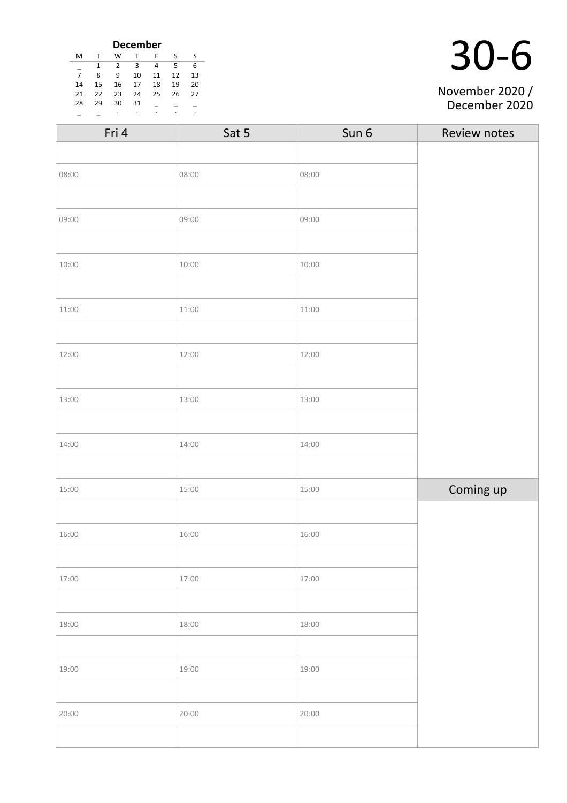| <b>December</b> |    |    |    |    |    |    |
|-----------------|----|----|----|----|----|----|
| M               | т  | W  | T  | F  | ς  | S  |
|                 | 1  | 2  | з  | 4  | 5  | 6  |
| $\overline{7}$  | 8  | 9  | 10 | 11 | 12 | 13 |
| 14              | 15 | 16 | 17 | 18 | 19 | 20 |
| 21              | 22 | 23 | 24 | 25 | 26 | 27 |
| 28              | 29 | 30 | 31 |    |    |    |
|                 |    | ٠  |    |    |    |    |

|  | $30 - 6$ |
|--|----------|
|  |          |

#### November 2020 / December 2020

| Fri 4 | Sat 5 | Sun 6 | Review notes |
|-------|-------|-------|--------------|
|       |       |       |              |
| 08:00 | 08:00 | 08:00 |              |
|       |       |       |              |
| 09:00 | 09:00 | 09:00 |              |
|       |       |       |              |
| 10:00 | 10:00 | 10:00 |              |
|       |       |       |              |
| 11:00 | 11:00 | 11:00 |              |
|       |       |       |              |
| 12:00 | 12:00 | 12:00 |              |
|       |       |       |              |
| 13:00 | 13:00 | 13:00 |              |
|       |       |       |              |
| 14:00 | 14:00 | 14:00 |              |
|       |       |       |              |
| 15:00 | 15:00 | 15:00 | Coming up    |
|       |       |       |              |
| 16:00 | 16:00 | 16:00 |              |
|       |       |       |              |
| 17:00 | 17:00 | 17:00 |              |
|       |       |       |              |
| 18:00 | 18:00 | 18:00 |              |
|       |       |       |              |
| 19:00 | 19:00 | 19:00 |              |
|       |       |       |              |
| 20:00 | 20:00 | 20:00 |              |
|       |       |       |              |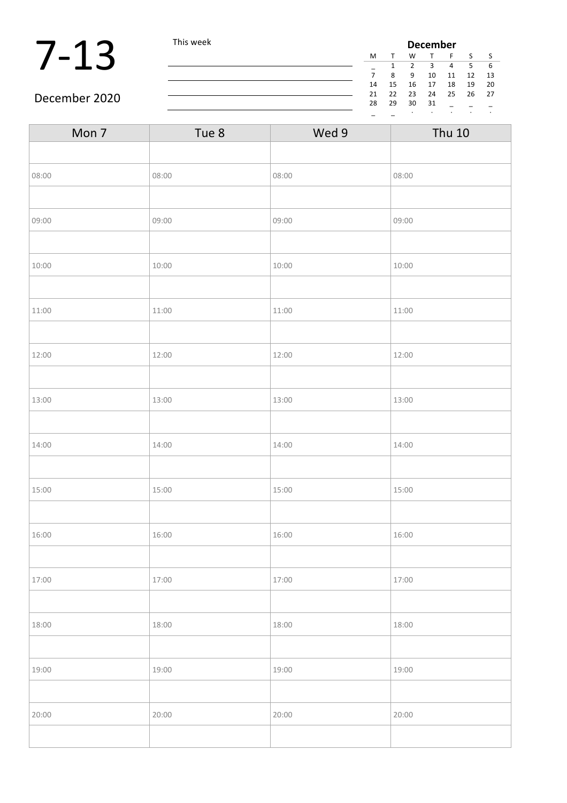### **7-13** This week **December December December December December Property December Property December Property December Property Property Property Property Property Property Property Prope**

| December |    |    |    |    |    |  |
|----------|----|----|----|----|----|--|
|          | W  | T  | F  | S  | ς  |  |
| 1        | 2  | 3  | 4  | 5  | 6  |  |
| 8        | q  | 10 | 11 | 12 | 13 |  |
| 15       | 16 | 17 | 18 | 19 | 20 |  |
| 22       | 23 | 24 | 25 | 26 | 27 |  |
| 29       | 30 | 31 |    |    |    |  |
|          | ٠  | ٠  | ٠  | ٠  | ٠  |  |
|          |    |    |    |    |    |  |

#### December 2020

| Mon 7 | Tue 8 | Wed 9 | <b>Thu 10</b> |
|-------|-------|-------|---------------|
|       |       |       |               |
| 08:00 | 08:00 | 08:00 | 08:00         |
|       |       |       |               |
| 09:00 | 09:00 | 09:00 | 09:00         |
|       |       |       |               |
| 10:00 | 10:00 | 10:00 | 10:00         |
|       |       |       |               |
| 11:00 | 11:00 | 11:00 | 11:00         |
|       |       |       |               |
| 12:00 | 12:00 | 12:00 | 12:00         |
|       |       |       |               |
| 13:00 | 13:00 | 13:00 | 13:00         |
|       |       |       |               |
| 14:00 | 14:00 | 14:00 | 14:00         |
|       |       |       |               |
| 15:00 | 15:00 | 15:00 | 15:00         |
|       |       |       |               |
| 16:00 | 16:00 | 16:00 | 16:00         |
|       |       |       |               |
| 17:00 | 17:00 | 17:00 | 17:00         |
|       |       |       |               |
| 18:00 | 18:00 | 18:00 | 18:00         |
|       |       |       |               |
| 19:00 | 19:00 | 19:00 | 19:00         |
|       |       |       |               |
| 20:00 | 20:00 | 20:00 | 20:00         |
|       |       |       |               |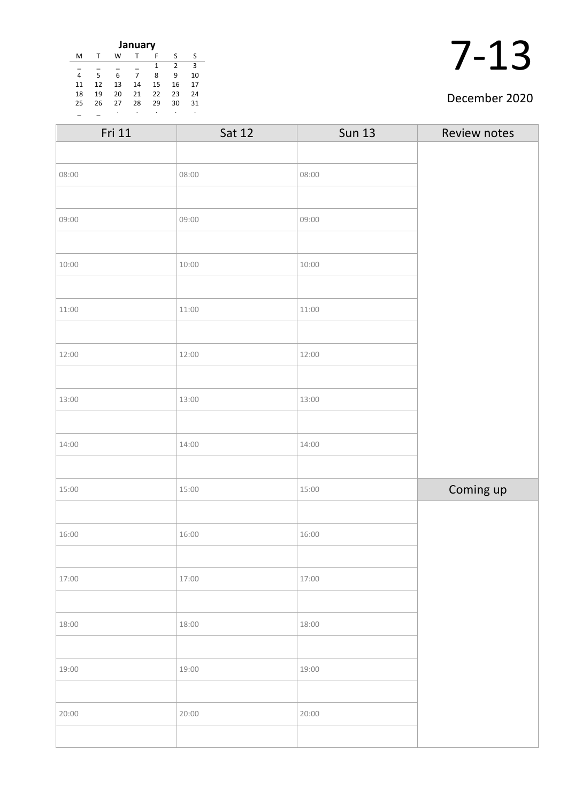| January                 |    |    |    |    |    |    |
|-------------------------|----|----|----|----|----|----|
| M                       |    | w  |    | F  | S  | S  |
| $\mathcal{P}$<br>3<br>1 |    |    |    |    |    |    |
| 4                       | 5  | 6  |    | 8  | ٩  | 10 |
| 11                      | 12 | 13 | 14 | 15 | 16 | 17 |
| 18                      | 19 | 20 | 21 | 22 | 23 | 24 |
| 25                      | 26 | 27 | 28 | 29 | 30 | 31 |
|                         |    | ٠  |    | ٠  |    |    |

#### December 2020

| Fri 11 | <b>Sat 12</b> | <b>Sun 13</b> | Review notes |
|--------|---------------|---------------|--------------|
|        |               |               |              |
| 08:00  | 08:00         | 08:00         |              |
|        |               |               |              |
| 09:00  | 09:00         | 09:00         |              |
|        |               |               |              |
| 10:00  | 10:00         | 10:00         |              |
|        |               |               |              |
| 11:00  | 11:00         | 11:00         |              |
|        |               |               |              |
| 12:00  | 12:00         | 12:00         |              |
|        |               |               |              |
| 13:00  | 13:00         | 13:00         |              |
|        |               |               |              |
| 14:00  | 14:00         | 14:00         |              |
|        |               |               |              |
| 15:00  | 15:00         | 15:00         | Coming up    |
|        |               |               |              |
| 16:00  | 16:00         | 16:00         |              |
|        |               |               |              |
| 17:00  | 17:00         | 17:00         |              |
|        |               |               |              |
| 18:00  | 18:00         | 18:00         |              |
|        |               |               |              |
| 19:00  | 19:00         | 19:00         |              |
|        |               |               |              |
| 20:00  | 20:00         | 20:00         |              |
|        |               |               |              |
|        |               |               |              |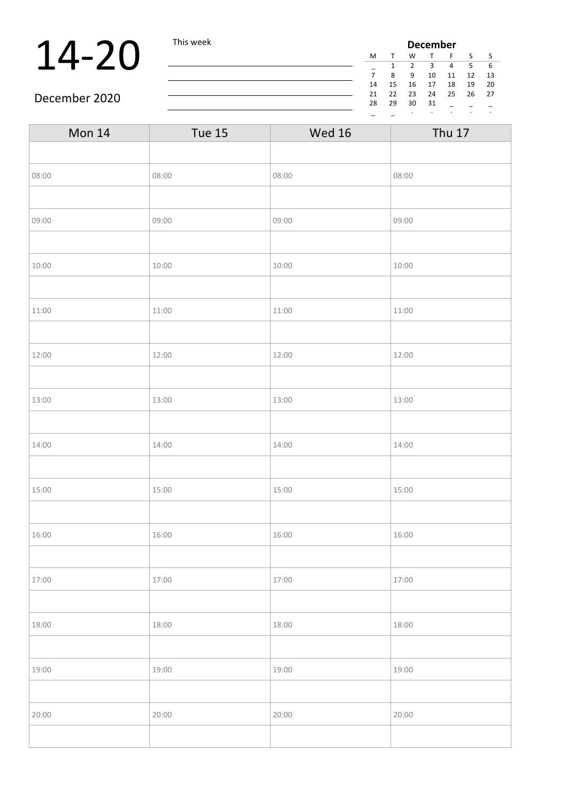### **14-20** This week **December 14-20** December **December December 14-12**  $\frac{M}{7}$   $\frac{T}{8}$   $\frac{W}{9}$   $\frac{T}{10}$

| December |    |                |    |    |    |    |
|----------|----|----------------|----|----|----|----|
| м        |    | W              |    | F  | S  | S  |
|          | 1  | $\mathfrak{p}$ | З  | 4  | 5  | 6  |
| 7        | 8  | ٩              | 10 | 11 | 12 | 13 |
| 14       | 15 | 16             | 17 | 18 | 19 | 20 |
| 21       | 22 | 23             | 24 | 25 | 26 | 27 |
| 28       | 29 | 30             | 31 |    |    |    |
|          |    | ٠              |    |    |    | ٠  |

#### December 2020

| <b>Mon 14</b> | Tue 15 | <b>Wed 16</b> | <b>Thu 17</b> |
|---------------|--------|---------------|---------------|
|               |        |               |               |
| 08:00         | 08:00  | 08:00         | 08:00         |
|               |        |               |               |
| 09:00         | 09:00  | 09:00         | 09:00         |
|               |        |               |               |
| 10:00         | 10:00  | 10:00         | 10:00         |
|               |        |               |               |
| 11:00         | 11:00  | 11:00         | 11:00         |
|               |        |               |               |
| 12:00         | 12:00  | 12:00         | 12:00         |
|               |        |               |               |
| 13:00         | 13:00  | 13:00         | 13:00         |
|               |        |               |               |
| 14:00         | 14:00  | 14:00         | 14:00         |
|               |        |               |               |
| 15:00         | 15:00  | 15:00         | 15:00         |
|               |        |               |               |
| 16:00         | 16:00  | 16:00         | 16:00         |
|               |        |               |               |
| 17:00         | 17:00  | 17:00         | 17:00         |
|               |        |               |               |
| 18:00         | 18:00  | 18:00         | 18:00         |
|               |        |               |               |
| 19:00         | 19:00  | 19:00         | 19:00         |
|               |        |               |               |
| 20:00         | 20:00  | 20:00         | 20:00         |
|               |        |               |               |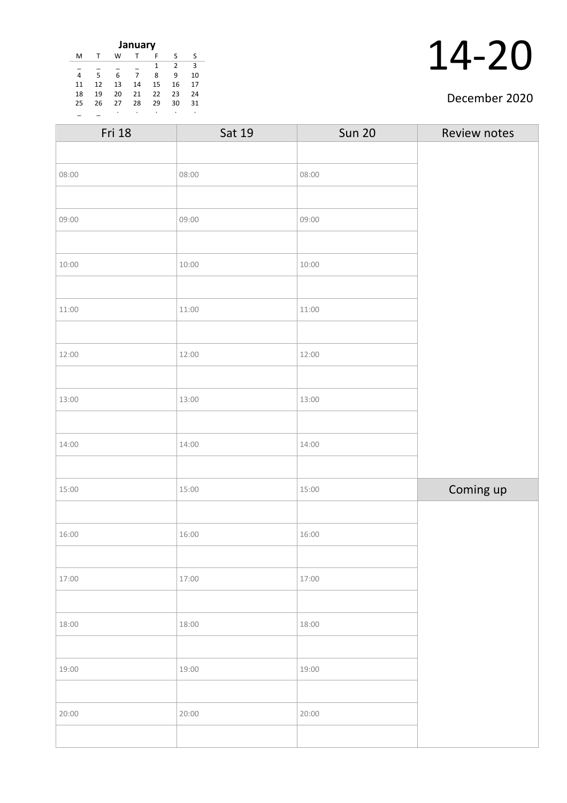| January |    |    |    |    |    |    |
|---------|----|----|----|----|----|----|
| M       | т  | w  |    | F  | S  | S  |
|         |    |    |    | 1  | 2  | З  |
| 4       | 5  | 6  | 7  | 8  | 9  | 10 |
| 11      | 12 | 13 | 14 | 15 | 16 | 17 |
| 18      | 19 | 20 | 21 | 22 | 23 | 24 |
| 25      | 26 | 27 | 28 | 29 | 30 | 31 |
|         |    | ٠  |    |    |    | ٠  |

#### December 2020

| Fri 18 | Sat 19 | <b>Sun 20</b> | Review notes |
|--------|--------|---------------|--------------|
|        |        |               |              |
| 08:00  | 08:00  | 08:00         |              |
|        |        |               |              |
| 09:00  | 09:00  | 09:00         |              |
|        |        |               |              |
| 10:00  | 10:00  | 10:00         |              |
|        |        |               |              |
| 11:00  | 11:00  | 11:00         |              |
|        |        |               |              |
| 12:00  | 12:00  | 12:00         |              |
|        |        |               |              |
| 13:00  | 13:00  | 13:00         |              |
|        |        |               |              |
| 14:00  | 14:00  | 14:00         |              |
|        |        |               |              |
| 15:00  | 15:00  | 15:00         | Coming up    |
|        |        |               |              |
| 16:00  | 16:00  | 16:00         |              |
|        |        |               |              |
| 17:00  | 17:00  | 17:00         |              |
|        |        |               |              |
| 18:00  | 18:00  | 18:00         |              |
|        |        |               |              |
| 19:00  | 19:00  | 19:00         |              |
|        |        |               |              |
| 20:00  | 20:00  | 20:00         |              |
|        |        |               |              |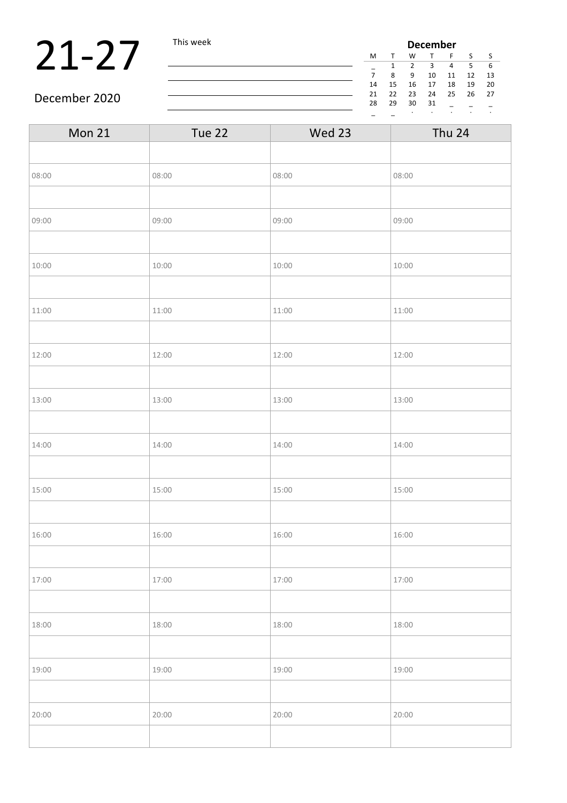### **21-27** This week **December 1** December **December 1** December 1  $\frac{M}{7}$   $\frac{T}{8}$   $\frac{W}{9}$   $\frac{T}{10}$

| December |    |    |    |    |    |    |
|----------|----|----|----|----|----|----|
| M        |    | W  |    | F  | S  | S  |
|          | 1  | 2  | З  | 4  | 5  | 6  |
| 7        | 8  | 9  | 10 | 11 | 12 | 13 |
| 14       | 15 | 16 | 17 | 18 | 19 | 20 |
| 21       | 22 | 23 | 24 | 25 | 26 | 27 |
| 28       | 29 | 30 | 31 |    |    |    |
|          |    | ٠  |    |    | ٠  |    |

#### December 2020

| Tue 22 | Wed 23 | <b>Thu 24</b> |  |
|--------|--------|---------------|--|
|        |        |               |  |
| 08:00  | 08:00  | 08:00         |  |
|        |        |               |  |
| 09:00  | 09:00  | 09:00         |  |
|        |        |               |  |
| 10:00  | 10:00  | 10:00         |  |
|        |        |               |  |
| 11:00  | 11:00  | 11:00         |  |
|        |        |               |  |
| 12:00  | 12:00  | 12:00         |  |
|        |        |               |  |
| 13:00  | 13:00  | 13:00         |  |
|        |        |               |  |
| 14:00  | 14:00  | 14:00         |  |
|        |        |               |  |
| 15:00  | 15:00  | 15:00         |  |
|        |        |               |  |
| 16:00  | 16:00  | 16:00         |  |
|        |        |               |  |
| 17:00  | 17:00  | 17:00         |  |
|        |        |               |  |
| 18:00  | 18:00  | 18:00         |  |
|        |        |               |  |
| 19:00  | 19:00  | 19:00         |  |
|        |        |               |  |
| 20:00  | 20:00  | 20:00         |  |
|        |        |               |  |
|        |        |               |  |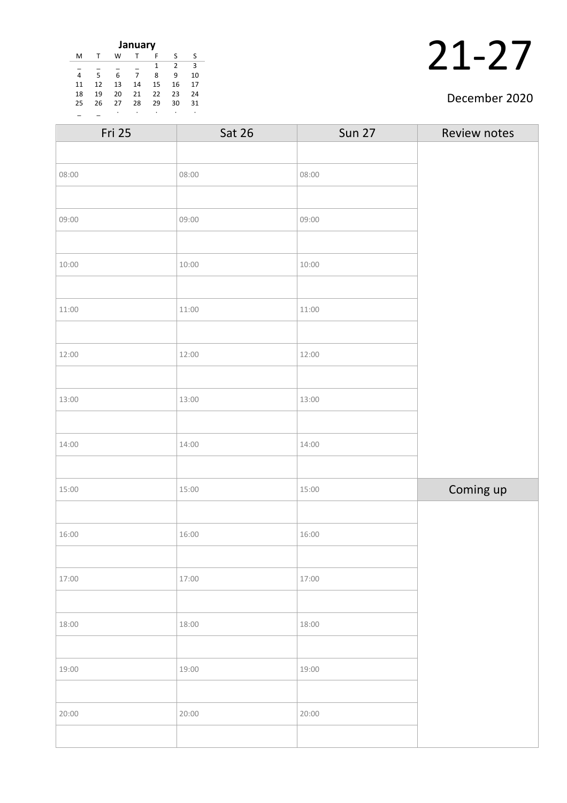| January |    |    |    |    |               |    |
|---------|----|----|----|----|---------------|----|
| M       |    | w  |    | F  | S             | S  |
|         |    |    |    | 1  | $\mathcal{P}$ | 3  |
| 4       | 5  | 6  | 7  | 8  | 9             | 10 |
| 11      | 12 | 13 | 14 | 15 | 16            | 17 |
| 18      | 19 | 20 | 21 | 22 | 23            | 24 |
| 25      | 26 | 27 | 28 | 29 | 30            | 31 |
|         |    | ٠  |    |    |               |    |

#### December 2020

| Fri 25 | <b>Sat 26</b> | <b>Sun 27</b> | Review notes |
|--------|---------------|---------------|--------------|
|        |               |               |              |
| 08:00  | 08:00         | 08:00         |              |
|        |               |               |              |
| 09:00  | 09:00         | 09:00         |              |
|        |               |               |              |
| 10:00  | 10:00         | 10:00         |              |
|        |               |               |              |
| 11:00  | 11:00         | 11:00         |              |
|        |               |               |              |
| 12:00  | 12:00         | 12:00         |              |
|        |               |               |              |
| 13:00  | 13:00         | 13:00         |              |
|        |               |               |              |
| 14:00  | 14:00         | 14:00         |              |
|        |               |               |              |
| 15:00  | 15:00         | 15:00         | Coming up    |
|        |               |               |              |
| 16:00  | 16:00         | 16:00         |              |
|        |               |               |              |
| 17:00  | 17:00         | 17:00         |              |
|        |               |               |              |
| 18:00  | 18:00         | 18:00         |              |
|        |               |               |              |
| 19:00  | 19:00         | 19:00         |              |
|        |               |               |              |
| 20:00  | 20:00         | 20:00         |              |
|        |               |               |              |
|        |               |               |              |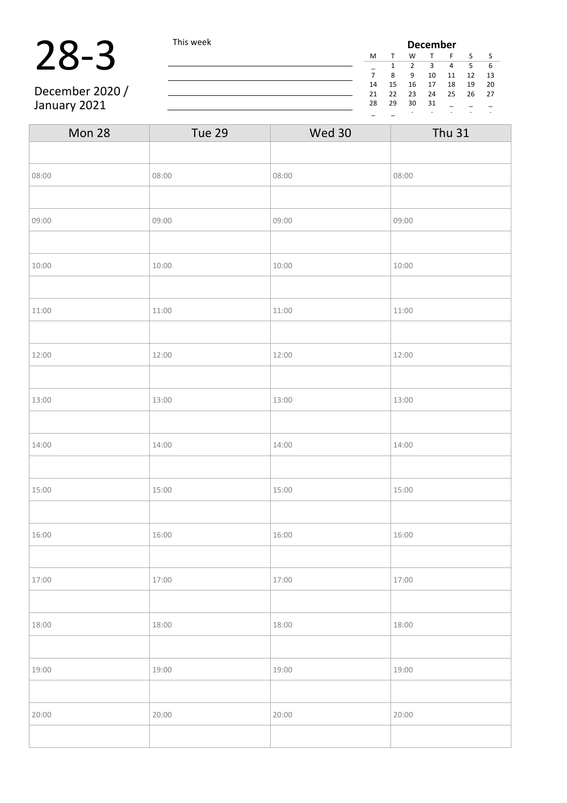### 28-3 This week

December 2020 / January 2021

| <b>December</b> |    |               |    |    |    |    |
|-----------------|----|---------------|----|----|----|----|
| M               | т  | W             | т  | F  | S  | S  |
|                 | 1  | $\mathcal{P}$ | 3  | 4  | 5  | 6  |
| 7               | ጸ  | 9             | 10 | 11 | 12 | 13 |
| 14              | 15 | 16            | 17 | 18 | 19 | 20 |
| 21              | 22 | 23            | 24 | 25 | 26 | 27 |
| 28              | 29 | 30            | 31 |    |    |    |
|                 |    |               | ٠  | ٠  |    | ٠  |

| Mon 28 | Tue 29 | Wed 30 | <b>Thu 31</b> |
|--------|--------|--------|---------------|
|        |        |        |               |
| 08:00  | 08:00  | 08:00  | 08:00         |
|        |        |        |               |
| 09:00  | 09:00  | 09:00  | 09:00         |
|        |        |        |               |
| 10:00  | 10:00  | 10:00  | 10:00         |
|        |        |        |               |
| 11:00  | 11:00  | 11:00  | 11:00         |
|        |        |        |               |
| 12:00  | 12:00  | 12:00  | 12:00         |
|        |        |        |               |
| 13:00  | 13:00  | 13:00  | 13:00         |
|        |        |        |               |
| 14:00  | 14:00  | 14:00  | 14:00         |
|        |        |        |               |
| 15:00  | 15:00  | 15:00  | 15:00         |
|        |        |        |               |
| 16:00  | 16:00  | 16:00  | 16:00         |
|        |        |        |               |
| 17:00  | 17:00  | 17:00  | 17:00         |
|        |        |        |               |
| 18:00  | 18:00  | 18:00  | 18:00         |
|        |        |        |               |
| 19:00  | 19:00  | 19:00  | 19:00         |
|        |        |        |               |
| 20:00  | 20:00  | 20:00  | 20:00         |
|        |        |        |               |